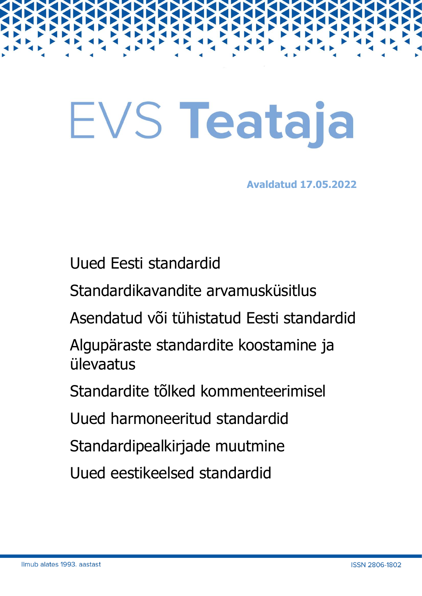# EVS Teataja

**Avaldatud 17.05.2022**

Uued Eesti standardid

Standardikavandite arvamusküsitlus

Asendatud või tühistatud Eesti standardid

Algupäraste standardite koostamine ja ülevaatus

Standardite tõlked kommenteerimisel

Uued harmoneeritud standardid

Standardipealkirjade muutmine

Uued eestikeelsed standardid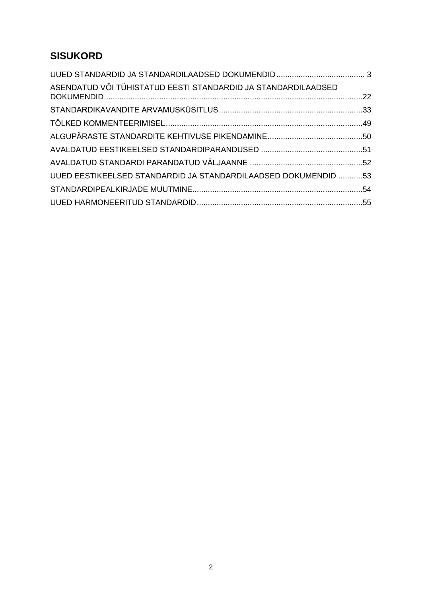# **SISUKORD**

| ASENDATUD VÕI TÜHISTATUD EESTI STANDARDID JA STANDARDILAADSED  |  |
|----------------------------------------------------------------|--|
|                                                                |  |
|                                                                |  |
|                                                                |  |
|                                                                |  |
|                                                                |  |
| UUED EESTIKEELSED STANDARDID JA STANDARDILAADSED DOKUMENDID 53 |  |
|                                                                |  |
|                                                                |  |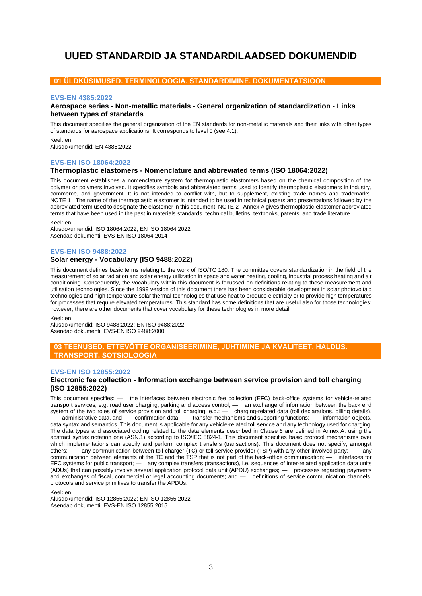# <span id="page-2-0"></span>**UUED STANDARDID JA STANDARDILAADSED DOKUMENDID**

## **01 ÜLDKÜSIMUSED. TERMINOLOOGIA. STANDARDIMINE. DOKUMENTATSIOON**

#### **EVS-EN 4385:2022**

## **Aerospace series - Non-metallic materials - General organization of standardization - Links between types of standards**

This document specifies the general organization of the EN standards for non-metallic materials and their links with other types of standards for aerospace applications. It corresponds to level 0 (see 4.1).

Keel: en Alusdokumendid: EN 4385:2022

## **EVS-EN ISO 18064:2022**

#### **Thermoplastic elastomers - Nomenclature and abbreviated terms (ISO 18064:2022)**

This document establishes a nomenclature system for thermoplastic elastomers based on the chemical composition of the polymer or polymers involved. It specifies symbols and abbreviated terms used to identify thermoplastic elastomers in industry, commerce, and government. It is not intended to conflict with, but to supplement, existing trade names and trademarks. NOTE 1 The name of the thermoplastic elastomer is intended to be used in technical papers and presentations followed by the abbreviated term used to designate the elastomer in this document. NOTE 2 Annex A gives thermoplastic-elastomer abbreviated terms that have been used in the past in materials standards, technical bulletins, textbooks, patents, and trade literature. Keel: en

Alusdokumendid: ISO 18064:2022; EN ISO 18064:2022 Asendab dokumenti: EVS-EN ISO 18064:2014

#### **EVS-EN ISO 9488:2022**

## **Solar energy - Vocabulary (ISO 9488:2022)**

This document defines basic terms relating to the work of ISO/TC 180. The committee covers standardization in the field of the measurement of solar radiation and solar energy utilization in space and water heating, cooling, industrial process heating and air conditioning. Consequently, the vocabulary within this document is focussed on definitions relating to those measurement and utilisation technologies. Since the 1999 version of this document there has been considerable development in solar photovoltaic technologies and high temperature solar thermal technologies that use heat to produce electricity or to provide high temperatures for processes that require elevated temperatures. This standard has some definitions that are useful also for those technologies; however, there are other documents that cover vocabulary for these technologies in more detail.

Keel: en

Alusdokumendid: ISO 9488:2022; EN ISO 9488:2022 Asendab dokumenti: EVS-EN ISO 9488:2000

#### **03 TEENUSED. ETTEVÕTTE ORGANISEERIMINE, JUHTIMINE JA KVALITEET. HALDUS. TRANSPORT. SOTSIOLOOGIA**

#### **EVS-EN ISO 12855:2022**

#### **Electronic fee collection - Information exchange between service provision and toll charging (ISO 12855:2022)**

This document specifies: — the interfaces between electronic fee collection (EFC) back-office systems for vehicle-related transport services, e.g. road user charging, parking and access control; — an exchange of information between the back end system of the two roles of service provision and toll charging, e.g.:  $-$  charging-related data (toll declarations, billing details), — administrative data, and — confirmation data; — transfer mechanisms and supporting functions; — information objects, data syntax and semantics. This document is applicable for any vehicle-related toll service and any technology used for charging. The data types and associated coding related to the data elements described in Clause 6 are defined in Annex A, using the abstract syntax notation one (ASN.1) according to ISO/IEC 8824‑1. This document specifies basic protocol mechanisms over which implementations can specify and perform complex transfers (transactions). This document does not specify, amongst others: — any communication between toll charger (TC) or toll service provider (TSP) with any other involved party; — any communication between elements of the TC and the TSP that is not part of the back-office communication; — interfaces for EFC systems for public transport; — any complex transfers (transactions), i.e. sequences of inter-related application data units (ADUs) that can possibly involve several application protocol data unit (APDU) exchanges; — processes regarding payments and exchanges of fiscal, commercial or legal accounting documents; and — definitions of service communication channels, protocols and service primitives to transfer the APDUs.

Keel: en

Alusdokumendid: ISO 12855:2022; EN ISO 12855:2022 Asendab dokumenti: EVS-EN ISO 12855:2015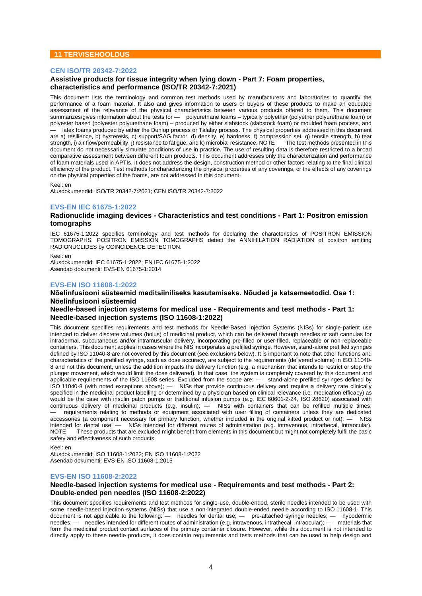## **11 TERVISEHOOLDUS**

#### **CEN ISO/TR 20342-7:2022**

## **Assistive products for tissue integrity when lying down - Part 7: Foam properties, characteristics and performance (ISO/TR 20342-7:2021)**

This document lists the terminology and common test methods used by manufacturers and laboratories to quantify the performance of a foam material. It also and gives information to users or buyers of these products to make an educated assessment of the relevance of the physical characteristics between various products offered to them. This document summarizes/gives information about the tests for — polyurethane foams – typically polyether (polyether polyurethane foam) or polyester based (polyester polyurethane foam) – produced by either slabstock (slabstock foam) or moulded foam process, and latex foams produced by either the Dunlop process or Talalay process. The physical properties addressed in this document are a) resilience, b) hysteresis, c) support/SAG factor, d) density, e) hardness, f) compression set, g) tensile strength, h) tear<br>strength, i) air flow/permeability, i) resistance to fatigue, and k) microbial resistance. strength, i) air flow/permeability, j) resistance to fatigue, and k) microbial resistance. NOTE document do not necessarily simulate conditions of use in practice. The use of resulting data is therefore restricted to a broad comparative assessment between different foam products. This document addresses only the characterization and performance of foam materials used in APTIs. It does not address the design, construction method or other factors relating to the final clinical efficiency of the product. Test methods for characterizing the physical properties of any coverings, or the effects of any coverings on the physical properties of the foams, are not addressed in this document.

#### Keel: en

Alusdokumendid: ISO/TR 20342-7:2021; CEN ISO/TR 20342-7:2022

#### **EVS-EN IEC 61675-1:2022**

#### **Radionuclide imaging devices - Characteristics and test conditions - Part 1: Positron emission tomographs**

IEC 61675-1:2022 specifies terminology and test methods for declaring the characteristics of POSITRON EMISSION TOMOGRAPHS. POSITRON EMISSION TOMOGRAPHS detect the ANNIHILATION RADIATION of positron emitting RADIONUCLIDES by COINCIDENCE DETECTION.

Keel: en

Alusdokumendid: IEC 61675-1:2022; EN IEC 61675-1:2022 Asendab dokumenti: EVS-EN 61675-1:2014

#### **EVS-EN ISO 11608-1:2022**

## **Nõelinfusiooni süsteemid meditsiiniliseks kasutamiseks. Nõuded ja katsemeetodid. Osa 1: Nõelinfusiooni süsteemid**

#### **Needle-based injection systems for medical use - Requirements and test methods - Part 1: Needle-based injection systems (ISO 11608-1:2022)**

This document specifies requirements and test methods for Needle-Based Injection Systems (NISs) for single-patient use intended to deliver discrete volumes (bolus) of medicinal product, which can be delivered through needles or soft cannulas for intradermal, subcutaneous and/or intramuscular delivery, incorporating pre-filled or user-filled, replaceable or non-replaceable containers. This document applies in cases where the NIS incorporates a prefilled syringe. However, stand-alone prefilled syringes defined by ISO 11040-8 are not covered by this document (see exclusions below). It is important to note that other functions and characteristics of the prefilled syringe, such as dose accuracy, are subject to the requirements (delivered volume) in ISO 11040- 8 and not this document, unless the addition impacts the delivery function (e.g. a mechanism that intends to restrict or stop the plunger movement, which would limit the dose delivered). In that case, the system is completely covered by this document and applicable requirements of the ISO 11608 series. Excluded from the scope are: — stand-alone prefilled syringes defined by ISO 11040-8 (with noted exceptions above); — NISs that provide continuous delivery and require a delivery rate clinically specified in the medicinal product labelling or determined by a physician based on clinical relevance (i.e. medication efficacy) as would be the case with insulin patch pumps or traditional infusion pumps (e.g. IEC 60601-2-24, ISO 28620) associated with continuous delivery of medicinal products (e.g. insulin); — NISs with containers that can be refilled multiple times; requirements relating to methods or equipment associated with user filling of containers unless they are dedicated<br>ssories (a component necessary for primary function, whether included in the original kitted product or not accessories (a component necessary for primary function, whether included in the original kitted product or not); intended for dental use; — NISs intended for different routes of administration (e.g. intravenous, intrathecal, intraocular).<br>NOTE These products that are excluded might benefit from elements in this document but might not These products that are excluded might benefit from elements in this document but might not completely fulfil the basic safety and effectiveness of such products.

Keel: en

Alusdokumendid: ISO 11608-1:2022; EN ISO 11608-1:2022 Asendab dokumenti: EVS-EN ISO 11608-1:2015

#### **EVS-EN ISO 11608-2:2022**

#### **Needle-based injection systems for medical use - Requirements and test methods - Part 2: Double-ended pen needles (ISO 11608-2:2022)**

This document specifies requirements and test methods for single-use, double-ended, sterile needles intended to be used with some needle-based injection systems (NISs) that use a non-integrated double-ended needle according to ISO 11608-1. This document is not applicable to the following: — needles for dental use; — pre-attached syringe needles; — hypodermic needles; — needles intended for different routes of administration (e.g. intravenous, intrathecal, intraocular); — materials that form the medicinal product contact surfaces of the primary container closure. However, while this document is not intended to directly apply to these needle products, it does contain requirements and tests methods that can be used to help design and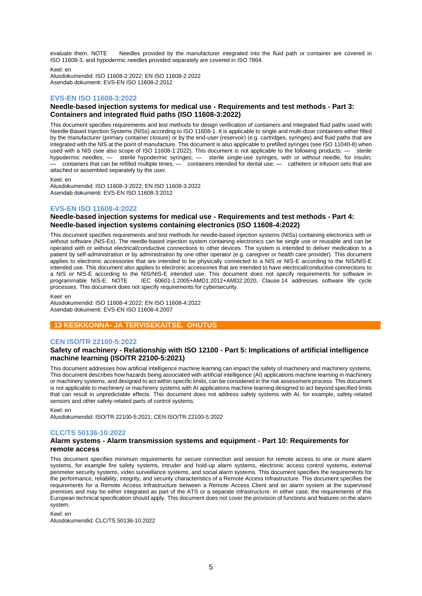evaluate them. NOTE Needles provided by the manufacturer integrated into the fluid path or container are covered in ISO 11608‑3, and hypodermic needles provided separately are covered in ISO 7864.

Keel: en

Alusdokumendid: ISO 11608-2:2022; EN ISO 11608-2:2022 Asendab dokumenti: EVS-EN ISO 11608-2:2012

## **EVS-EN ISO 11608-3:2022**

## **Needle-based injection systems for medical use - Requirements and test methods - Part 3: Containers and integrated fluid paths (ISO 11608-3:2022)**

This document specifies requirements and test methods for design verification of containers and integrated fluid paths used with Needle-Based Injection Systems (NISs) according to ISO 11608-1. It is applicable to single and multi-dose containers either filled by the manufacturer (primary container closure) or by the end-user (reservoir) (e.g. cartridges, syringes) and fluid paths that are integrated with the NIS at the point of manufacture. This document is also applicable to prefilled syringes (see ISO 11040-8) when used with a NIS (see also scope of ISO 11608-1:2022). This document is not applicable to the following products: — sterile hypodermic needles; — sterile hypodermic syringes; — sterile single-use syringes, with or without needle, for insulin; containers that can be refilled multiple times; — containers intended for dental use; — catheters or infusion sets that are attached or assembled separately by the user.

Keel: en

Alusdokumendid: ISO 11608-3:2022; EN ISO 11608-3:2022 Asendab dokumenti: EVS-EN ISO 11608-3:2012

## **EVS-EN ISO 11608-4:2022**

## **Needle-based injection systems for medical use - Requirements and test methods - Part 4: Needle-based injection systems containing electronics (ISO 11608-4:2022)**

This document specifies requirements and test methods for needle-based injection systems (NISs) containing electronics with or without software (NIS-Es). The needle-based injection system containing electronics can be single use or reusable and can be operated with or without electrical/conductive connections to other devices. The system is intended to deliver medication to a patient by self-administration or by administration by one other operator (e.g. caregiver or health care provider). This document applies to electronic accessories that are intended to be physically connected to a NIS or NIS-E according to the NIS/NIS-E intended use. This document also applies to electronic accessories that are intended to have electrical/conductive connections to a NIS or NIS-E according to the NIS/NIS-E intended use. This document does not specify requirements for software in<br>programmable NIS-E. NOTE IEC 60601-1:2005+AMD1:2012+AMD2:2020. Clause 14 addresses software life cycle IEC 60601-1:2005+AMD1:2012+AMD2:2020, Clause 14 addresses software life cycle processes. This document does not specify requirements for cybersecurity.

Keel: en

Alusdokumendid: ISO 11608-4:2022; EN ISO 11608-4:2022 Asendab dokumenti: EVS-EN ISO 11608-4:2007

## **13 KESKKONNA- JA TERVISEKAITSE. OHUTUS**

#### **CEN ISO/TR 22100-5:2022**

## **Safety of machinery - Relationship with ISO 12100 - Part 5: Implications of artificial intelligence machine learning (ISO/TR 22100-5:2021)**

This document addresses how artificial intelligence machine learning can impact the safety of machinery and machinery systems. This document describes how hazards being associated with artificial intelligence (AI) applications machine learning in machinery or machinery systems, and designed to act within specific limits, can be considered in the risk assessment process. This document is not applicable to machinery or machinery systems with AI applications machine learning designed to act beyond specified limits that can result in unpredictable effects. This document does not address safety systems with AI, for example, safety-related sensors and other safety-related parts of control systems.

Keel: en

Alusdokumendid: ISO/TR 22100-5:2021; CEN ISO/TR 22100-5:2022

## **CLC/TS 50136-10:2022**

#### **Alarm systems - Alarm transmission systems and equipment - Part 10: Requirements for remote access**

This document specifies minimum requirements for secure connection and session for remote access to one or more alarm systems, for example fire safety systems, intruder and hold-up alarm systems, electronic access control systems, external perimeter security systems, video surveillance systems, and social alarm systems. This document specifies the requirements for the performance, reliability, integrity, and security characteristics of a Remote Access Infrastructure. This document specifies the requirements for a Remote Access Infrastructure between a Remote Access Client and an alarm system at the supervised premises and may be either integrated as part of the ATS or a separate infrastructure. In either case, the requirements of this European technical specification should apply. This document does not cover the provision of functions and features on the alarm system.

Keel: en

Alusdokumendid: CLC/TS 50136-10:2022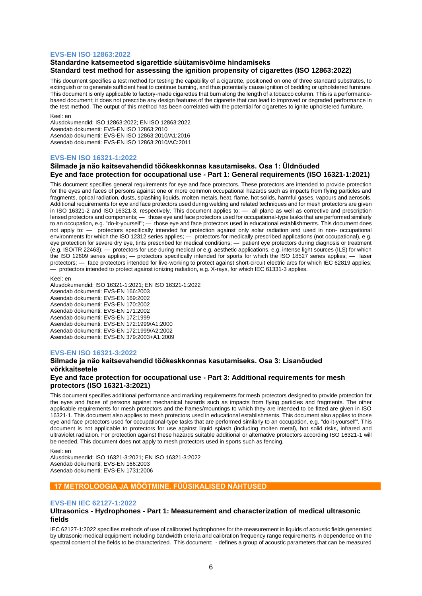#### **EVS-EN ISO 12863:2022**

#### **Standardne katsemeetod sigarettide süütamisvõime hindamiseks Standard test method for assessing the ignition propensity of cigarettes (ISO 12863:2022)**

This document specifies a test method for testing the capability of a cigarette, positioned on one of three standard substrates, to extinguish or to generate sufficient heat to continue burning, and thus potentially cause ignition of bedding or upholstered furniture. This document is only applicable to factory-made cigarettes that burn along the length of a tobacco column. This is a performancebased document; it does not prescribe any design features of the cigarette that can lead to improved or degraded performance in the test method. The output of this method has been correlated with the potential for cigarettes to ignite upholstered furniture.

#### Keel: en

Alusdokumendid: ISO 12863:2022; EN ISO 12863:2022 Asendab dokumenti: EVS-EN ISO 12863:2010 Asendab dokumenti: EVS-EN ISO 12863:2010/A1:2016 Asendab dokumenti: EVS-EN ISO 12863:2010/AC:2011

#### **EVS-EN ISO 16321-1:2022**

## **Silmade ja näo kaitsevahendid töökeskkonnas kasutamiseks. Osa 1: Üldnõuded Eye and face protection for occupational use - Part 1: General requirements (ISO 16321-1:2021)**

This document specifies general requirements for eye and face protectors. These protectors are intended to provide protection for the eyes and faces of persons against one or more common occupational hazards such as impacts from flying particles and fragments, optical radiation, dusts, splashing liquids, molten metals, heat, flame, hot solids, harmful gases, vapours and aerosols. Additional requirements for eye and face protectors used during welding and related techniques and for mesh protectors are given in ISO 16321-2 and ISO 16321-3, respectively. This document applies to: — all plano as well as corrective and prescription lensed protectors and components; — those eye and face protectors used for occupational-type tasks that are performed similarly to an occupation, e.g. "do-it-yourself"; — those eye and face protectors used in educational establishments. This document does not apply to: — protectors specifically intended for protection against only solar radiation and used in non- occupational environments for which the ISO 12312 series applies; — protectors for medically prescribed applications (not occupational), e.g. eye protection for severe dry eye, tints prescribed for medical conditions; — patient eye protectors during diagnosis or treatment (e.g. ISO/TR 22463); — protectors for use during medical or e.g. aesthetic applications, e.g. intense light sources (ILS) for which the ISO 12609 series applies; — protectors specifically intended for sports for which the ISO 18527 series applies; — laser protectors; — face protectors intended for live-working to protect against short-circuit electric arcs for which IEC 62819 applies; — protectors intended to protect against ionizing radiation, e.g. X-rays, for which IEC 61331-3 applies.

Keel: en Alusdokumendid: ISO 16321-1:2021; EN ISO 16321-1:2022 Asendab dokumenti: EVS-EN 166:2003 Asendab dokumenti: EVS-EN 169:2002 Asendab dokumenti: EVS-EN 170:2002 Asendab dokumenti: EVS-EN 171:2002 Asendab dokumenti: EVS-EN 172:1999 Asendab dokumenti: EVS-EN 172:1999/A1:2000 Asendab dokumenti: EVS-EN 172:1999/A2:2002 Asendab dokumenti: EVS-EN 379:2003+A1:2009

#### **EVS-EN ISO 16321-3:2022**

## **Silmade ja näo kaitsevahendid töökeskkonnas kasutamiseks. Osa 3: Lisanõuded võrkkaitsetele**

## **Eye and face protection for occupational use - Part 3: Additional requirements for mesh protectors (ISO 16321-3:2021)**

This document specifies additional performance and marking requirements for mesh protectors designed to provide protection for the eyes and faces of persons against mechanical hazards such as impacts from flying particles and fragments. The other applicable requirements for mesh protectors and the frames/mountings to which they are intended to be fitted are given in ISO 16321‑1. This document also applies to mesh protectors used in educational establishments. This document also applies to those eye and face protectors used for occupational-type tasks that are performed similarly to an occupation, e.g. "do-it-yourself". This document is not applicable to protectors for use against liquid splash (including molten metal), hot solid risks, infrared and ultraviolet radiation. For protection against these hazards suitable additional or alternative protectors according ISO 16321-1 will be needed. This document does not apply to mesh protectors used in sports such as fencing.

Keel: en

Alusdokumendid: ISO 16321-3:2021; EN ISO 16321-3:2022 Asendab dokumenti: EVS-EN 166:2003 Asendab dokumenti: EVS-EN 1731:2006

## **17 METROLOOGIA JA MÕÕTMINE. FÜÜSIKALISED NÄHTUSED**

#### **EVS-EN IEC 62127-1:2022**

#### **Ultrasonics - Hydrophones - Part 1: Measurement and characterization of medical ultrasonic fields**

IEC 62127-1:2022 specifies methods of use of calibrated hydrophones for the measurement in liquids of acoustic fields generated by ultrasonic medical equipment including bandwidth criteria and calibration frequency range requirements in dependence on the spectral content of the fields to be characterized. This document: - defines a group of acoustic parameters that can be measured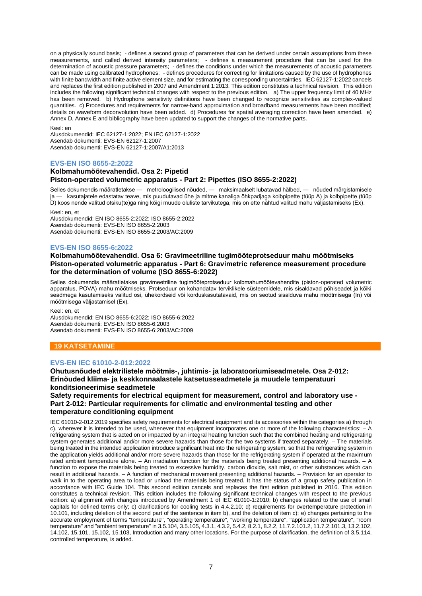on a physically sound basis; - defines a second group of parameters that can be derived under certain assumptions from these measurements, and called derived intensity parameters; - defines a measurement procedure that can be used for the determination of acoustic pressure parameters; - defines the conditions under which the measurements of acoustic parameters can be made using calibrated hydrophones; - defines procedures for correcting for limitations caused by the use of hydrophones with finite bandwidth and finite active element size, and for estimating the corresponding uncertainties. IEC 62127-1:2022 cancels and replaces the first edition published in 2007 and Amendment 1:2013. This edition constitutes a technical revision. This edition includes the following significant technical changes with respect to the previous edition. a) The upper frequency limit of 40 MHz has been removed. b) Hydrophone sensitivity definitions have been changed to recognize sensitivities as complex-valued quantities. c) Procedures and requirements for narrow-band approximation and broadband measurements have been modified; details on waveform deconvolution have been added. d) Procedures for spatial averaging correction have been amended. e) Annex D, Annex E and bibliography have been updated to support the changes of the normative parts.

#### Keel: en

Alusdokumendid: IEC 62127-1:2022; EN IEC 62127-1:2022 Asendab dokumenti: EVS-EN 62127-1:2007 Asendab dokumenti: EVS-EN 62127-1:2007/A1:2013

#### **EVS-EN ISO 8655-2:2022**

#### **Kolbmahumõõtevahendid. Osa 2: Pipetid Piston-operated volumetric apparatus - Part 2: Pipettes (ISO 8655-2:2022)**

Selles dokumendis määratletakse — metroloogilised nõuded, — maksimaalselt lubatavad hälbed, — nõuded märgistamisele ja — kasutajatele edastatav teave, mis puudutavad ühe ja mitme kanaliga õhkpadjaga kolbpipette (tüüp A) ja kolbpipette (tüüp D) koos nende valitud otsiku(te)ga ning kõigi muude oluliste tarvikutega, mis on ette nähtud valitud mahu väljastamiseks (Ex).

Keel: en, et

Alusdokumendid: EN ISO 8655-2:2022; ISO 8655-2:2022 Asendab dokumenti: EVS-EN ISO 8655-2:2003 Asendab dokumenti: EVS-EN ISO 8655-2:2003/AC:2009

#### **EVS-EN ISO 8655-6:2022**

## **Kolbmahumõõtevahendid. Osa 6: Gravimeetriline tugimõõteprotseduur mahu mõõtmiseks Piston-operated volumetric apparatus - Part 6: Gravimetric reference measurement procedure for the determination of volume (ISO 8655-6:2022)**

Selles dokumendis määratletakse gravimeetriline tugimõõteprotseduur kolbmahumõõtevahendite (piston-operated volumetric apparatus, POVA) mahu mõõtmiseks. Protseduur on kohandatav terviklikele süsteemidele, mis sisaldavad põhiseadet ja kõiki seadmega kasutamiseks valitud osi, ühekordseid või korduskasutatavaid, mis on seotud sisalduva mahu mõõtmisega (In) või mõõtmisega väljastamisel (Ex).

Keel: en, et

Alusdokumendid: EN ISO 8655-6:2022; ISO 8655-6:2022 Asendab dokumenti: EVS-EN ISO 8655-6:2003 Asendab dokumenti: EVS-EN ISO 8655-6:2003/AC:2009

#### **19 KATSETAMINE**

#### **EVS-EN IEC 61010-2-012:2022**

**Ohutusnõuded elektrilistele mõõtmis-, juhtimis- ja laboratooriumiseadmetele. Osa 2-012: Erinõuded kliima- ja keskkonnaalastele katsetusseadmetele ja muudele temperatuuri konditsioneerimise seadmetele**

#### **Safety requirements for electrical equipment for measurement, control and laboratory use - Part 2-012: Particular requirements for climatic and environmental testing and other temperature conditioning equipment**

IEC 61010-2-012:2019 specifies safety requirements for electrical equipment and its accessories within the categories a) through c), wherever it is intended to be used, whenever that equipment incorporates one or more of the following characteristics: – A refrigerating system that is acted on or impacted by an integral heating function such that the combined heating and refrigerating system generates additional and/or more severe hazards than those for the two systems if treated separately. – The materials being treated in the intended application introduce significant heat into the refrigerating system, so that the refrigerating system in the application yields additional and/or more severe hazards than those for the refrigerating system if operated at the maximum rated ambient temperature alone. – An irradiation function for the materials being treated presenting additional hazards. – A function to expose the materials being treated to excessive humidity, carbon dioxide, salt mist, or other substances which can result in additional hazards. – A function of mechanical movement presenting additional hazards. – Provision for an operator to walk in to the operating area to load or unload the materials being treated. It has the status of a group safety publication in accordance with IEC Guide 104. This second edition cancels and replaces the first edition published in 2016. This edition constitutes a technical revision. This edition includes the following significant technical changes with respect to the previous edition: a) alignment with changes introduced by Amendment 1 of IEC 61010-1:2010; b) changes related to the use of small capitals for defined terms only; c) clarifications for cooling tests in 4.4.2.10; d) requirements for overtemperature protection in 10.101, including deletion of the second part of the sentence in item b), and the deletion of item c); e) changes pertaining to the accurate employment of terms "temperature", "operating temperature", "working temperature", "application temperature", "room temperature" and "ambient temperature" in 3.5.104, 3.5.105, 4.3.1, 4.3.2, 5.4.2, 8.2.1, 8.2.2, 11.7.2.101.2, 11.7.2.101.3, 13.2.102, 14.102, 15.101, 15.102, 15.103, Introduction and many other locations. For the purpose of clarification, the definition of 3.5.114, controlled temperature, is added.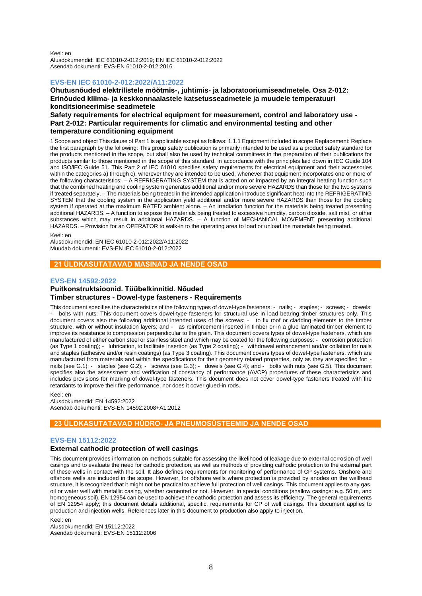Keel: en Alusdokumendid: IEC 61010-2-012:2019; EN IEC 61010-2-012:2022 Asendab dokumenti: EVS-EN 61010-2-012:2016

## **EVS-EN IEC 61010-2-012:2022/A11:2022**

**Ohutusnõuded elektrilistele mõõtmis-, juhtimis- ja laboratooriumiseadmetele. Osa 2-012: Erinõuded kliima- ja keskkonnaalastele katsetusseadmetele ja muudele temperatuuri konditsioneerimise seadmetele**

## **Safety requirements for electrical equipment for measurement, control and laboratory use - Part 2-012: Particular requirements for climatic and environmental testing and other temperature conditioning equipment**

1 Scope and object This clause of Part 1 is applicable except as follows: 1.1.1 Equipment included in scope Replacement: Replace the first paragraph by the following: This group safety publication is primarily intended to be used as a product safety standard for the products mentioned in the scope, but shall also be used by technical committees in the preparation of their publications for products similar to those mentioned in the scope of this standard, in accordance with the principles laid down in IEC Guide 104 and lSO/lEC Guide 51. This Part 2 of IEC 61010 specifies safety requirements for electrical equipment and their accessories within the categories a) through c), wherever they are intended to be used, whenever that equipment incorporates one or more of the following characteristics: – A REFRIGERATING SYSTEM that is acted on or impacted by an integral heating function such that the combined heating and cooling system generates additional and/or more severe HAZARDS than those for the two systems if treated separately. – The materials being treated in the intended application introduce significant heat into the REFRIGERATING SYSTEM that the cooling system in the application yield additional and/or more severe HAZARDS than those for the cooling system if operated at the maximum RATED ambient alone. – An irradiation function for the materials being treated presenting additional HAZARDS. – A function to expose the materials being treated to excessive humidity, carbon dioxide, salt mist, or other substances which may result in additional HAZARDS. – A function of MECHANICAL MOVEMENT presenting additional HAZARDS. – Provision for an OPERATOR to walk-in to the operating area to load or unload the materials being treated.

Keel: en

Alusdokumendid: EN IEC 61010-2-012:2022/A11:2022 Muudab dokumenti: EVS-EN IEC 61010-2-012:2022

## **21 ÜLDKASUTATAVAD MASINAD JA NENDE OSAD**

#### **EVS-EN 14592:2022**

## **Puitkonstruktsioonid. Tüübelkinnitid. Nõuded Timber structures - Dowel-type fasteners - Requirements**

This document specifies the characteristics of the following types of dowel-type fasteners: - nails; - staples; - screws; - dowels; - bolts with nuts. This document covers dowel-type fasteners for structural use in load bearing timber structures only. This document covers also the following additional intended uses of the screws: - to fix roof or cladding elements to the timber structure, with or without insulation layers; and - as reinforcement inserted in timber or in a glue laminated timber element to improve its resistance to compression perpendicular to the grain. This document covers types of dowel-type fasteners, which are manufactured of either carbon steel or stainless steel and which may be coated for the following purposes: - corrosion protection (as Type 1 coating); - lubrication, to facilitate insertion (as Type 2 coating); - withdrawal enhancement and/or collation for nails and staples (adhesive and/or resin coatings) (as Type 3 coating). This document covers types of dowel-type fasteners, which are manufactured from materials and within the specifications for their geometry related properties, only as they are specified for: nails (see G.1); - staples (see G.2); - screws (see G.3); - dowels (see G.4); and - bolts with nuts (see G.5). This document specifies also the assessment and verification of constancy of performance (AVCP) procedures of these characteristics and includes provisions for marking of dowel-type fasteners. This document does not cover dowel-type fasteners treated with fire retardants to improve their fire performance, nor does it cover glued-in rods.

Keel: en Alusdokumendid: EN 14592:2022 Asendab dokumenti: EVS-EN 14592:2008+A1:2012

## **23 ÜLDKASUTATAVAD HÜDRO- JA PNEUMOSÜSTEEMID JA NENDE OSAD**

#### **EVS-EN 15112:2022**

## **External cathodic protection of well casings**

This document provides information on methods suitable for assessing the likelihood of leakage due to external corrosion of well casings and to evaluate the need for cathodic protection, as well as methods of providing cathodic protection to the external part of these wells in contact with the soil. It also defines requirements for monitoring of performance of CP systems. Onshore and offshore wells are included in the scope. However, for offshore wells where protection is provided by anodes on the wellhead structure, it is recognized that it might not be practical to achieve full protection of well casings. This document applies to any gas, oil or water well with metallic casing, whether cemented or not. However, in special conditions (shallow casings: e.g. 50 m, and homogeneous soil), EN 12954 can be used to achieve the cathodic protection and assess its efficiency. The general requirements of EN 12954 apply; this document details additional, specific, requirements for CP of well casings. This document applies to production and injection wells. References later in this document to production also apply to injection.

Keel: en Alusdokumendid: EN 15112:2022 Asendab dokumenti: EVS-EN 15112:2006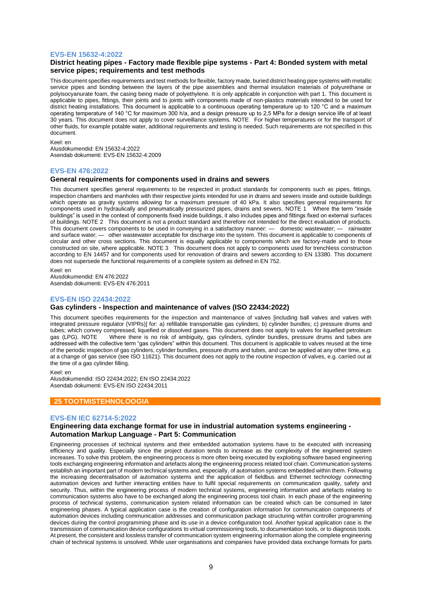#### **EVS-EN 15632-4:2022**

## **District heating pipes - Factory made flexible pipe systems - Part 4: Bonded system with metal service pipes; requirements and test methods**

This document specifies requirements and test methods for flexible, factory made, buried district heating pipe systems with metallic service pipes and bonding between the layers of the pipe assemblies and thermal insulation materials of polyurethane or polyisocyanurate foam, the casing being made of polyethylene. It is only applicable in conjunction with part 1. This document is applicable to pipes, fittings, their joints and to joints with components made of non-plastics materials intended to be used for district heating installations. This document is applicable to a continuous operating temperature up to 120 °C and a maximum operating temperature of 140 °C for maximum 300 h/a, and a design pressure up to 2,5 MPa for a design service life of at least 30 years. This document does not apply to cover surveillance systems. NOTE For higher temperatures or for the transport of other fluids, for example potable water, additional requirements and testing is needed. Such requirements are not specified in this document.

#### Keel: en

Alusdokumendid: EN 15632-4:2022 Asendab dokumenti: EVS-EN 15632-4:2009

#### **EVS-EN 476:2022**

#### **General requirements for components used in drains and sewers**

This document specifies general requirements to be respected in product standards for components such as pipes, fittings, inspection chambers and manholes with their respective joints intended for use in drains and sewers inside and outside buildings which operate as gravity systems allowing for a maximum pressure of 40 kPa. It also specifies general requirements for components used in hydraulically and pneumatically pressurized pipes, drains and sewers. NOTE 1 Where the term "inside buildings" is used in the context of components fixed inside buildings, it also includes pipes and fittings fixed on external surfaces of buildings. NOTE 2 This document is not a product standard and therefore not intended for the direct evaluation of products. This document covers components to be used in conveying in a satisfactory manner: — domestic wastewater; — rainwater and surface water; — other wastewater acceptable for discharge into the system. This document is applicable to components of circular and other cross sections. This document is equally applicable to components which are factory-made and to those constructed on site, where applicable. NOTE 3 This document does not apply to components used for trenchless construction according to EN 14457 and for components used for renovation of drains and sewers according to EN 13380. This document does not supersede the functional requirements of a complete system as defined in EN 752.

Keel: en Alusdokumendid: EN 476:2022 Asendab dokumenti: EVS-EN 476:2011

#### **EVS-EN ISO 22434:2022**

#### **Gas cylinders - Inspection and maintenance of valves (ISO 22434:2022)**

This document specifies requirements for the inspection and maintenance of valves [including ball valves and valves with integrated pressure regulator (VIPRs)] for: a) refillable transportable gas cylinders; b) cylinder bundles; c) pressure drums and tubes; which convey compressed, liquefied or dissolved gases. This document does not apply to valves for liquefied petroleum gas (LPG). NOTE Where there is no risk of ambiguity, gas cylinders, cylinder bundles, pressure drums and tubes are addressed with the collective term "gas cylinders" within this document. This document is applicable to valves reused at the time of the periodic inspection of gas cylinders, cylinder bundles, pressure drums and tubes, and can be applied at any other time, e.g. at a change of gas service (see ISO 11621). This document does not apply to the routine inspection of valves, e.g. carried out at the time of a gas cylinder filling.

Keel: en

Alusdokumendid: ISO 22434:2022; EN ISO 22434:2022 Asendab dokumenti: EVS-EN ISO 22434:2011

## **25 TOOTMISTEHNOLOOGIA**

#### **EVS-EN IEC 62714-5:2022**

## **Engineering data exchange format for use in industrial automation systems engineering - Automation Markup Language - Part 5: Communication**

Engineering processes of technical systems and their embedded automation systems have to be executed with increasing efficiency and quality. Especially since the project duration tends to increase as the complexity of the engineered system increases. To solve this problem, the engineering process is more often being executed by exploiting software based engineering tools exchanging engineering information and artefacts along the engineering process related tool chain. Communication systems establish an important part of modern technical systems and, especially, of automation systems embedded within them. Following the increasing decentralisation of automation systems and the application of fieldbus and Ethernet technology connecting automation devices and further interacting entities have to fulfil special requirements on communication quality, safety and security. Thus, within the engineering process of modern technical systems, engineering information and artefacts relating to communication systems also have to be exchanged along the engineering process tool chain. In each phase of the engineering process of technical systems, communication system related information can be created which can be consumed in later engineering phases. A typical application case is the creation of configuration information for communication components of automation devices including communication addresses and communication package structuring within controller programming devices during the control programming phase and its use in a device configuration tool. Another typical application case is the transmission of communication device configurations to virtual commissioning tools, to documentation tools, or to diagnosis tools. At present, the consistent and lossless transfer of communication system engineering information along the complete engineering chain of technical systems is unsolved. While user organisations and companies have provided data exchange formats for parts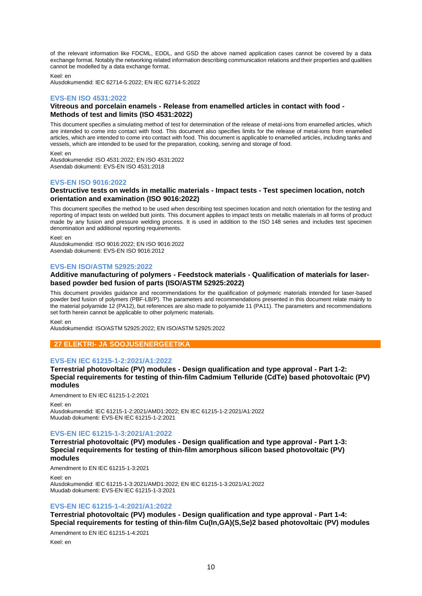of the relevant information like FDCML, EDDL, and GSD the above named application cases cannot be covered by a data exchange format. Notably the networking related information describing communication relations and their properties and qualities cannot be modelled by a data exchange format.

Keel: en Alusdokumendid: IEC 62714-5:2022; EN IEC 62714-5:2022

## **EVS-EN ISO 4531:2022**

#### **Vitreous and porcelain enamels - Release from enamelled articles in contact with food - Methods of test and limits (ISO 4531:2022)**

This document specifies a simulating method of test for determination of the release of metal-ions from enamelled articles, which are intended to come into contact with food. This document also specifies limits for the release of metal-ions from enamelled articles, which are intended to come into contact with food. This document is applicable to enamelled articles, including tanks and vessels, which are intended to be used for the preparation, cooking, serving and storage of food.

Keel: en

Alusdokumendid: ISO 4531:2022; EN ISO 4531:2022 Asendab dokumenti: EVS-EN ISO 4531:2018

## **EVS-EN ISO 9016:2022**

## **Destructive tests on welds in metallic materials - Impact tests - Test specimen location, notch orientation and examination (ISO 9016:2022)**

This document specifies the method to be used when describing test specimen location and notch orientation for the testing and reporting of impact tests on welded butt joints. This document applies to impact tests on metallic materials in all forms of product made by any fusion and pressure welding process. It is used in addition to the ISO 148 series and includes test specimen denomination and additional reporting requirements.

Keel: en

Alusdokumendid: ISO 9016:2022; EN ISO 9016:2022 Asendab dokumenti: EVS-EN ISO 9016:2012

## **EVS-EN ISO/ASTM 52925:2022**

## **Additive manufacturing of polymers - Feedstock materials - Qualification of materials for laserbased powder bed fusion of parts (ISO/ASTM 52925:2022)**

This document provides guidance and recommendations for the qualification of polymeric materials intended for laser-based powder bed fusion of polymers (PBF-LB/P). The parameters and recommendations presented in this document relate mainly to the material polyamide 12 (PA12), but references are also made to polyamide 11 (PA11). The parameters and recommendations set forth herein cannot be applicable to other polymeric materials.

Keel: en

Alusdokumendid: ISO/ASTM 52925:2022; EN ISO/ASTM 52925:2022

## **27 ELEKTRI- JA SOOJUSENERGEETIKA**

## **EVS-EN IEC 61215-1-2:2021/A1:2022**

**Terrestrial photovoltaic (PV) modules - Design qualification and type approval - Part 1-2: Special requirements for testing of thin-film Cadmium Telluride (CdTe) based photovoltaic (PV) modules**

Amendment to EN IEC 61215-1-2:2021

Keel: en

Alusdokumendid: IEC 61215-1-2:2021/AMD1:2022; EN IEC 61215-1-2:2021/A1:2022 Muudab dokumenti: EVS-EN IEC 61215-1-2:2021

## **EVS-EN IEC 61215-1-3:2021/A1:2022**

**Terrestrial photovoltaic (PV) modules - Design qualification and type approval - Part 1-3: Special requirements for testing of thin-film amorphous silicon based photovoltaic (PV) modules**

Amendment to EN IEC 61215-1-3:2021

Keel: en Alusdokumendid: IEC 61215-1-3:2021/AMD1:2022; EN IEC 61215-1-3:2021/A1:2022 Muudab dokumenti: EVS-EN IEC 61215-1-3:2021

## **EVS-EN IEC 61215-1-4:2021/A1:2022**

**Terrestrial photovoltaic (PV) modules - Design qualification and type approval - Part 1-4: Special requirements for testing of thin-film Cu(In,GA)(S,Se)2 based photovoltaic (PV) modules**

Amendment to EN IEC 61215-1-4:2021

Keel: en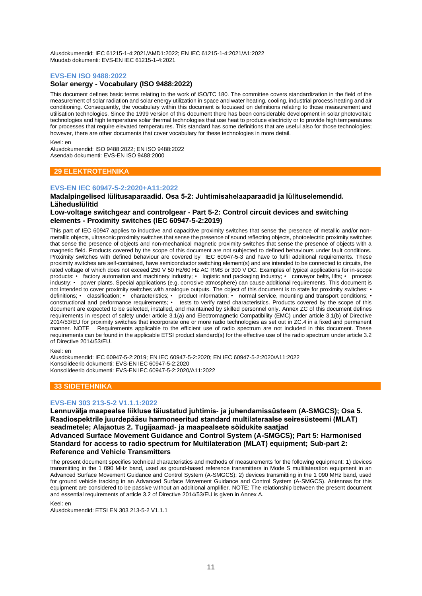Alusdokumendid: IEC 61215-1-4:2021/AMD1:2022; EN IEC 61215-1-4:2021/A1:2022 Muudab dokumenti: EVS-EN IEC 61215-1-4:2021

#### **EVS-EN ISO 9488:2022**

## **Solar energy - Vocabulary (ISO 9488:2022)**

This document defines basic terms relating to the work of ISO/TC 180. The committee covers standardization in the field of the measurement of solar radiation and solar energy utilization in space and water heating, cooling, industrial process heating and air conditioning. Consequently, the vocabulary within this document is focussed on definitions relating to those measurement and utilisation technologies. Since the 1999 version of this document there has been considerable development in solar photovoltaic technologies and high temperature solar thermal technologies that use heat to produce electricity or to provide high temperatures for processes that require elevated temperatures. This standard has some definitions that are useful also for those technologies; however, there are other documents that cover vocabulary for these technologies in more detail.

Keel: en

Alusdokumendid: ISO 9488:2022; EN ISO 9488:2022 Asendab dokumenti: EVS-EN ISO 9488:2000

## **29 ELEKTROTEHNIKA**

#### **EVS-EN IEC 60947-5-2:2020+A11:2022**

#### **Madalpingelised lülitusaparaadid. Osa 5-2: Juhtimisahelaaparaadid ja lülituselemendid. Läheduslülitid**

#### **Low-voltage switchgear and controlgear - Part 5-2: Control circuit devices and switching elements - Proximity switches (IEC 60947-5-2:2019)**

This part of IEC 60947 applies to inductive and capacitive proximity switches that sense the presence of metallic and/or nonmetallic objects, ultrasonic proximity switches that sense the presence of sound reflecting objects, photoelectric proximity switches that sense the presence of objects and non-mechanical magnetic proximity switches that sense the presence of objects with a magnetic field. Products covered by the scope of this document are not subjected to defined behaviours under fault conditions. Proximity switches with defined behaviour are covered by IEC 60947-5-3 and have to fulfil additional requirements. These proximity switches are self-contained, have semiconductor switching element(s) and are intended to be connected to circuits, the rated voltage of which does not exceed 250 V 50 Hz/60 Hz AC RMS or 300 V DC. Examples of typical applications for in-scope products: • factory automation and machinery industry; • logistic and packaging industry; • conveyor belts, lifts; • process industry; • power plants. Special applications (e.g. corrosive atmosphere) can cause additional requirements. This document is not intended to cover proximity switches with analogue outputs. The object of this document is to state for proximity switches: • definitions; • classification; • characteristics; • product information; • normal service, mounting and transport conditions; • constructional and performance requirements; • tests to verify rated characteristics. Products covered by the scope of this document are expected to be selected, installed, and maintained by skilled personnel only. Annex ZC of this document defines requirements in respect of safety under article 3.1(a) and Electromagnetic Compatibility (EMC) under article 3.1(b) of Directive 2014/53/EU for proximity switches that incorporate one or more radio technologies as set out in ZC.4 in a fixed and permanent manner. NOTE Requirements applicable to the efficient use of radio spectrum are not included in this document. These requirements can be found in the applicable ETSI product standard(s) for the effective use of the radio spectrum under article 3.2 of Directive 2014/53/EU.

Keel: en

Alusdokumendid: IEC 60947-5-2:2019; EN IEC 60947-5-2:2020; EN IEC 60947-5-2:2020/A11:2022 Konsolideerib dokumenti: EVS-EN IEC 60947-5-2:2020 Konsolideerib dokumenti: EVS-EN IEC 60947-5-2:2020/A11:2022

## **33 SIDETEHNIKA**

#### **EVS-EN 303 213-5-2 V1.1.1:2022**

**Lennuvälja maapealse liikluse täiustatud juhtimis- ja juhendamissüsteem (A-SMGCS); Osa 5. Raadiospektrile juurdepääsu harmoneeritud standard multilateraalse seiresüsteemi (MLAT) seadmetele; Alajaotus 2. Tugijaamad- ja maapealsete sõidukite saatjad Advanced Surface Movement Guidance and Control System (A-SMGCS); Part 5: Harmonised Standard for access to radio spectrum for Multilateration (MLAT) equipment; Sub-part 2: Reference and Vehicle Transmitters**

The present document specifies technical characteristics and methods of measurements for the following equipment: 1) devices transmitting in the 1 090 MHz band, used as ground-based reference transmitters in Mode S multilateration equipment in an Advanced Surface Movement Guidance and Control System (A-SMGCS); 2) devices transmitting in the 1 090 MHz band, used for ground vehicle tracking in an Advanced Surface Movement Guidance and Control System (A-SMGCS). Antennas for this equipment are considered to be passive without an additional amplifier. NOTE: The relationship between the present document and essential requirements of article 3.2 of Directive 2014/53/EU is given in Annex A.

Keel: en

Alusdokumendid: ETSI EN 303 213-5-2 V1.1.1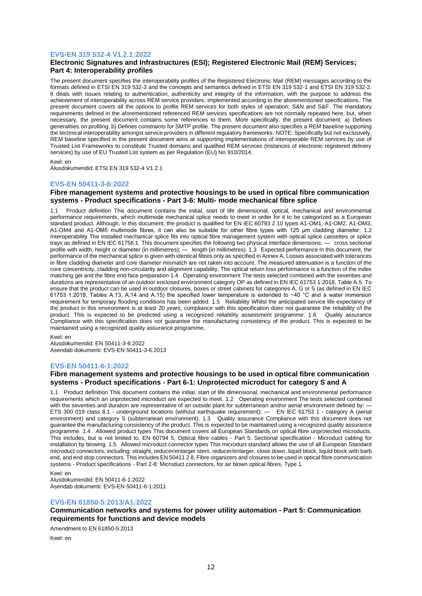## **EVS-EN 319 532-4 V1.2.1:2022**

## **Electronic Signatures and Infrastructures (ESI); Registered Electronic Mail (REM) Services; Part 4: Interoperability profiles**

The present document specifies the interoperability profiles of the Registered Electronic Mail (REM) messages according to the formats defined in ETSI EN 319 532-3 and the concepts and semantics defined in ETSI EN 319 532-1 and ETSI EN 319 532-2. It deals with issues relating to authentication, authenticity and integrity of the information, with the purpose to address the achievement of interoperability across REM service providers, implemented according to the aforementioned specifications. The present document covers all the options to profile REM services for both styles of operation: S&N and S&F. The mandatory requirements defined in the aforementioned referenced REM services specifications are not normally repeated here, but, when necessary, the present document contains some references to them. More specifically, the present document: a) Defines generalities on profiling. b) Defines constraints for SMTP profile. The present document also specifies a REM baseline supporting the technical interoperability amongst service providers in different regulatory frameworks. NOTE: Specifically but not exclusively, REM baseline specified in the present document aims at supporting implementations of interoperable REM services by use of Trusted List Frameworks to constitute Trusted domains and qualified REM services (instances of electronic registered delivery services) by use of EU Trusted List system as per Regulation (EU) No 910/2014.

#### Keel: en

Alusdokumendid: ETSI EN 319 532-4 V1.2.1

#### **EVS-EN 50411-3-6:2022**

#### **Fibre management systems and protective housings to be used in optical fibre communication systems - Product specifications - Part 3-6: Multi- mode mechanical fibre splice**

1.1 Product definition This document contains the initial, start of life dimensional, optical, mechanical and environmental performance requirements, which multimode mechanical splice needs to meet in order for it to be categorized as a European standard product. Although, in this document, the product is qualified for EN IEC 60793 2 10 types A1-OM1, A1-OM2, A1-OM3, A1-OM4 and A1-OM5 multimode fibres, it can also be suitable for other fibre types with 125 µm cladding diameter. 1.2 Interoperability The installed mechanical splice fits into optical fibre management system with optical splice cassettes or splice trays as defined in EN IEC 61756 1. This document specifies the following two physical interface dimensions: — cross sectional profile with width, height or diameter (in millimetres); — length (in millimetres). 1.3 Expected performance In this document, the performance of the mechanical splice is given with identical fibres only as specified in Annex A. Losses associated with tolerances in fibre cladding diameter and core diameter mismatch are not taken into account. The measured attenuation is a function of the core concentricity, cladding non-circularity and alignment capability. The optical return loss performance is a function of the index matching gel and the fibre end face preparation 1.4 Operating environment The tests selected combined with the severities and durations are representative of an outdoor enclosed environment category OP as defined in EN IEC 61753 1:2018, Table A.5. To ensure that the product can be used in outdoor closures, boxes or street cabinets for categories A, G or S (as defined in EN IEC 61753 1:2018, Tables A.13, A.14 and A.15) the specified lower temperature is extended to −40 °C and a water immersion requirement for temporary flooding conditions has been added. 1.5 Reliability Whilst the anticipated service life expectancy of the product in this environment is at least 20 years, compliance with this specification does not guarantee the reliability of the product. This is expected to be predicted using a recognized reliability assessment programme. 1.6 Quality assurance Compliance with this specification does not guarantee the manufacturing consistency of the product. This is expected to be maintained using a recognized quality assurance programme.

#### Keel: en

Alusdokumendid: EN 50411-3-6:2022 Asendab dokumenti: EVS-EN 50411-3-6:2013

#### **EVS-EN 50411-6-1:2022**

## **Fibre management systems and protective housings to be used in optical fibre communication systems - Product specifications - Part 6-1: Unprotected microduct for category S and A**

1.1 Product definition This document contains the initial, start of life dimensional, mechanical and environmental performance requirements which an unprotected microduct are expected to meet. 1.2 Operating environment The tests selected combined with the severities and duration are representative of an outside plant for subterranean and/or aerial environment defined by: ETS 300 019 class 8.1 - underground locations (without earthquake requirement); — EN IEC 61753 1 - category A (aerial environment) and category S (subterranean environment). 1.3 Quality assurance Compliance with this document does not guarantee the manufacturing consistency of the product. This is expected to be maintained using a recognized quality assurance programme. 1.4 Allowed product types This document covers all European Standards on optical fibre unprotected microducts. This includes, but is not limited to, EN 60794 5, Optical fibre cables - Part 5: Sectional specification - Microduct cabling for installation by blowing. 1.5 Allowed microduct connector types This microduct standard allows the use of all European Standard microduct connectors, including: straight, reducer/enlarger stem, reducer/enlarger, close down, liquid block, liquid block with barb end, and end stop connectors. This includes EN 50411 2 8, Fibre organizers and closures to be used in optical fibre communication systems - Product specifications - Part 2-8: Microduct connectors, for air blown optical fibres, Type 1.

Keel: en

Alusdokumendid: EN 50411-6-1:2022 Asendab dokumenti: EVS-EN 50411-6-1:2011

#### **EVS-EN 61850-5:2013/A1:2022**

**Communication networks and systems for power utility automation - Part 5: Communication requirements for functions and device models**

Amendment to EN 61850-5:2013

Keel: en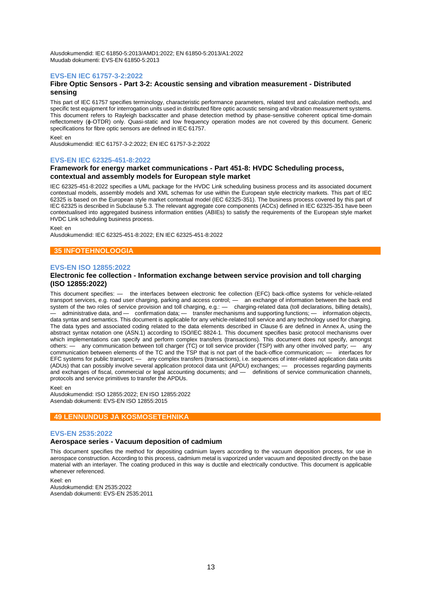Alusdokumendid: IEC 61850-5:2013/AMD1:2022; EN 61850-5:2013/A1:2022 Muudab dokumenti: EVS-EN 61850-5:2013

#### **EVS-EN IEC 61757-3-2:2022**

#### **Fibre Optic Sensors - Part 3-2: Acoustic sensing and vibration measurement - Distributed sensing**

This part of IEC 61757 specifies terminology, characteristic performance parameters, related test and calculation methods, and specific test equipment for interrogation units used in distributed fibre optic acoustic sensing and vibration measurement systems. This document refers to Rayleigh backscatter and phase detection method by phase-sensitive coherent optical time-domain reflectometry (ϕ-OTDR) only. Quasi-static and low frequency operation modes are not covered by this document. Generic specifications for fibre optic sensors are defined in IEC 61757.

Keel: en

Alusdokumendid: IEC 61757-3-2:2022; EN IEC 61757-3-2:2022

## **EVS-EN IEC 62325-451-8:2022**

## **Framework for energy market communications - Part 451-8: HVDC Scheduling process, contextual and assembly models for European style market**

IEC 62325-451-8:2022 specifies a UML package for the HVDC Link scheduling business process and its associated document contextual models, assembly models and XML schemas for use within the European style electricity markets. This part of IEC 62325 is based on the European style market contextual model (IEC 62325-351). The business process covered by this part of IEC 62325 is described in Subclause 5.3. The relevant aggregate core components (ACCs) defined in IEC 62325-351 have been contextualised into aggregated business information entities (ABIEs) to satisfy the requirements of the European style market HVDC Link scheduling business process.

Keel: en

Alusdokumendid: IEC 62325-451-8:2022; EN IEC 62325-451-8:2022

## **35 INFOTEHNOLOOGIA**

#### **EVS-EN ISO 12855:2022**

#### **Electronic fee collection - Information exchange between service provision and toll charging (ISO 12855:2022)**

This document specifies: — the interfaces between electronic fee collection (EFC) back-office systems for vehicle-related transport services, e.g. road user charging, parking and access control; — an exchange of information between the back end system of the two roles of service provision and toll charging, e.g.: — charging-related data (toll declarations, billing details), — administrative data, and — confirmation data; — transfer mechanisms and supporting functions; — information objects, data syntax and semantics. This document is applicable for any vehicle-related toll service and any technology used for charging. The data types and associated coding related to the data elements described in Clause 6 are defined in Annex A, using the abstract syntax notation one (ASN.1) according to ISO/IEC 8824-1. This document specifies basic protocol mechanisms over which implementations can specify and perform complex transfers (transactions). This document does not specify, amongst others: — any communication between toll charger (TC) or toll service provider (TSP) with any other involved party; — any communication between elements of the TC and the TSP that is not part of the back-office communication; — interfaces for EFC systems for public transport; — any complex transfers (transactions), i.e. sequences of inter-related application data units (ADUs) that can possibly involve several application protocol data unit (APDU) exchanges; — processes regarding payments and exchanges of fiscal, commercial or legal accounting documents; and — definitions of service communication channels, protocols and service primitives to transfer the APDUs.

Keel: en

Alusdokumendid: ISO 12855:2022; EN ISO 12855:2022 Asendab dokumenti: EVS-EN ISO 12855:2015

#### **49 LENNUNDUS JA KOSMOSETEHNIKA**

#### **EVS-EN 2535:2022**

## **Aerospace series - Vacuum deposition of cadmium**

This document specifies the method for depositing cadmium layers according to the vacuum deposition process, for use in aerospace construction. According to this process, cadmium metal is vaporized under vacuum and deposited directly on the base material with an interlayer. The coating produced in this way is ductile and electrically conductive. This document is applicable whenever referenced.

#### Keel: en Alusdokumendid: EN 2535:2022 Asendab dokumenti: EVS-EN 2535:2011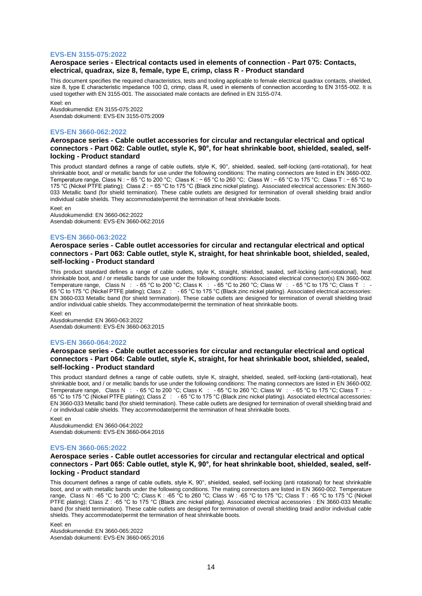#### **EVS-EN 3155-075:2022**

#### **Aerospace series - Electrical contacts used in elements of connection - Part 075: Contacts, electrical, quadrax, size 8, female, type E, crimp, class R - Product standard**

This document specifies the required characteristics, tests and tooling applicable to female electrical quadrax contacts, shielded, size 8, type E characteristic impedance 100 Ω, crimp, class R, used in elements of connection according to EN 3155-002. It is used together with EN 3155-001. The associated male contacts are defined in EN 3155-074.

Keel: en Alusdokumendid: EN 3155-075:2022 Asendab dokumenti: EVS-EN 3155-075:2009

#### **EVS-EN 3660-062:2022**

## **Aerospace series - Cable outlet accessories for circular and rectangular electrical and optical connectors - Part 062: Cable outlet, style K, 90°, for heat shrinkable boot, shielded, sealed, selflocking - Product standard**

This product standard defines a range of cable outlets, style K, 90°, shielded, sealed, self-locking (anti-rotational), for heat shrinkable boot, and/ or metallic bands for use under the following conditions: The mating connectors are listed in EN 3660-002. Temperature range, Class N : − 65 °C to 200 °C; Class K : − 65 °C to 260 °C; Class W : − 65 °C to 175 °C; Class T : − 65 °C to 175 °C (Nickel PTFE plating); Class Z : − 65 °C to 175 °C (Black zinc nickel plating). Associated electrical accessories: EN 3660- 033 Metallic band (for shield termination). These cable outlets are designed for termination of overall shielding braid and/or individual cable shields. They accommodate/permit the termination of heat shrinkable boots.

Keel: en

Alusdokumendid: EN 3660-062:2022 Asendab dokumenti: EVS-EN 3660-062:2016

#### **EVS-EN 3660-063:2022**

## **Aerospace series - Cable outlet accessories for circular and rectangular electrical and optical connectors - Part 063: Cable outlet, style K, straight, for heat shrinkable boot, shielded, sealed, self-locking - Product standard**

This product standard defines a range of cable outlets, style K, straight, shielded, sealed, self-locking (anti-rotational), heat shrinkable boot, and / or metallic bands for use under the following conditions: Associated electrical connector(s) EN 3660-002. Temperature range, Class N : -65 °C to 200 °C; Class K : -65 °C to 260 °C; Class W : -65 °C to 175 °C; Class T : -65 °C to 175 °C (Nickel PTFE plating); Class Z : - 65 °C to 175 °C (Black zinc nickel plating). Associated electrical accessories: EN 3660-033 Metallic band (for shield termination). These cable outlets are designed for termination of overall shielding braid and/or individual cable shields. They accommodate/permit the termination of heat shrinkable boots.

Keel: en Alusdokumendid: EN 3660-063:2022 Asendab dokumenti: EVS-EN 3660-063:2015

#### **EVS-EN 3660-064:2022**

#### **Aerospace series - Cable outlet accessories for circular and rectangular electrical and optical connectors - Part 064: Cable outlet, style K, straight, for heat shrinkable boot, shielded, sealed, self-locking - Product standard**

This product standard defines a range of cable outlets, style K, straight, shielded, sealed, self-locking (anti-rotational), heat shrinkable boot, and / or metallic bands for use under the following conditions: The mating connectors are listed in EN 3660-002. Temperature range, Class N : - 65 °C to 200 °C; Class K : - 65 °C to 260 °C; Class W : - 65 °C to 175 °C; Class T : - 65 °C to 175 °C (Nickel PTFE plating); Class Z : - 65 °C to 175 °C (Black zinc nickel plating). Associated electrical accessories: EN 3660-033 Metallic band (for shield termination). These cable outlets are designed for termination of overall shielding braid and / or individual cable shields. They accommodate/permit the termination of heat shrinkable boots.

Keel: en

Alusdokumendid: EN 3660-064:2022 Asendab dokumenti: EVS-EN 3660-064:2016

#### **EVS-EN 3660-065:2022**

## **Aerospace series - Cable outlet accessories for circular and rectangular electrical and optical connectors - Part 065: Cable outlet, style K, 90°, for heat shrinkable boot, shielded, sealed, selflocking - Product standard**

This document defines a range of cable outlets, style K, 90°, shielded, sealed, self-locking (anti rotational) for heat shrinkable boot, and or with metallic bands under the following conditions. The mating connectors are listed in EN 3660-002. Temperature range, Class N : -65 °C to 200 °C; Class K : -65 °C to 260 °C; Class W : -65 °C to 175 °C; Class T : -65 °C to 175 °C (Nickel PTFE plating); Class Z : -65 °C to 175 °C (Black zinc nickel plating). Associated electrical accessories : EN 3660-033 Metallic band (for shield termination). These cable outlets are designed for termination of overall shielding braid and/or individual cable shields. They accommodate/permit the termination of heat shrinkable boots.

Keel: en Alusdokumendid: EN 3660-065:2022 Asendab dokumenti: EVS-EN 3660-065:2016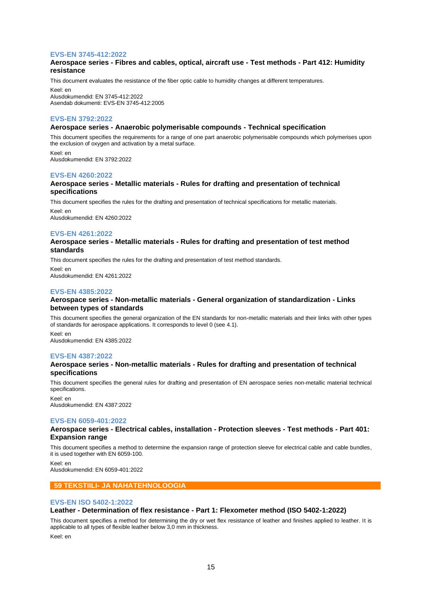## **EVS-EN 3745-412:2022**

## **Aerospace series - Fibres and cables, optical, aircraft use - Test methods - Part 412: Humidity resistance**

This document evaluates the resistance of the fiber optic cable to humidity changes at different temperatures.

Keel: en Alusdokumendid: EN 3745-412:2022 Asendab dokumenti: EVS-EN 3745-412:2005

## **EVS-EN 3792:2022**

#### **Aerospace series - Anaerobic polymerisable compounds - Technical specification**

This document specifies the requirements for a range of one part anaerobic polymerisable compounds which polymerises upon the exclusion of oxygen and activation by a metal surface.

Keel: en Alusdokumendid: EN 3792:2022

#### **EVS-EN 4260:2022**

#### **Aerospace series - Metallic materials - Rules for drafting and presentation of technical specifications**

This document specifies the rules for the drafting and presentation of technical specifications for metallic materials. Keel: en

Alusdokumendid: EN 4260:2022

## **EVS-EN 4261:2022**

## **Aerospace series - Metallic materials - Rules for drafting and presentation of test method standards**

This document specifies the rules for the drafting and presentation of test method standards. Keel: en Alusdokumendid: EN 4261:2022

## **EVS-EN 4385:2022**

## **Aerospace series - Non-metallic materials - General organization of standardization - Links between types of standards**

This document specifies the general organization of the EN standards for non-metallic materials and their links with other types of standards for aerospace applications. It corresponds to level 0 (see 4.1).

Keel: en Alusdokumendid: EN 4385:2022

#### **EVS-EN 4387:2022**

## **Aerospace series - Non-metallic materials - Rules for drafting and presentation of technical specifications**

This document specifies the general rules for drafting and presentation of EN aerospace series non-metallic material technical specifications.

Keel: en Alusdokumendid: EN 4387:2022

#### **EVS-EN 6059-401:2022**

## **Aerospace series - Electrical cables, installation - Protection sleeves - Test methods - Part 401: Expansion range**

This document specifies a method to determine the expansion range of protection sleeve for electrical cable and cable bundles, it is used together with EN 6059-100.

Keel: en Alusdokumendid: EN 6059-401:2022

## **59 TEKSTIILI- JA NAHATEHNOLOOGIA**

#### **EVS-EN ISO 5402-1:2022**

#### **Leather - Determination of flex resistance - Part 1: Flexometer method (ISO 5402-1:2022)**

This document specifies a method for determining the dry or wet flex resistance of leather and finishes applied to leather. It is applicable to all types of flexible leather below 3,0 mm in thickness.

Keel: en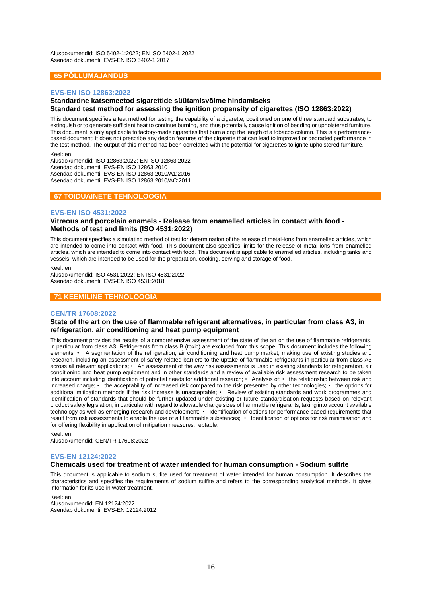Alusdokumendid: ISO 5402-1:2022; EN ISO 5402-1:2022 Asendab dokumenti: EVS-EN ISO 5402-1:2017

## **65 PÕLLUMAJANDUS**

## **EVS-EN ISO 12863:2022**

## **Standardne katsemeetod sigarettide süütamisvõime hindamiseks Standard test method for assessing the ignition propensity of cigarettes (ISO 12863:2022)**

This document specifies a test method for testing the capability of a cigarette, positioned on one of three standard substrates, to extinguish or to generate sufficient heat to continue burning, and thus potentially cause ignition of bedding or upholstered furniture. This document is only applicable to factory-made cigarettes that burn along the length of a tobacco column. This is a performancebased document; it does not prescribe any design features of the cigarette that can lead to improved or degraded performance in the test method. The output of this method has been correlated with the potential for cigarettes to ignite upholstered furniture.

Keel: en

Alusdokumendid: ISO 12863:2022; EN ISO 12863:2022 Asendab dokumenti: EVS-EN ISO 12863:2010 Asendab dokumenti: EVS-EN ISO 12863:2010/A1:2016 Asendab dokumenti: EVS-EN ISO 12863:2010/AC:2011

## **67 TOIDUAINETE TEHNOLOOGIA**

## **EVS-EN ISO 4531:2022**

## **Vitreous and porcelain enamels - Release from enamelled articles in contact with food - Methods of test and limits (ISO 4531:2022)**

This document specifies a simulating method of test for determination of the release of metal-ions from enamelled articles, which are intended to come into contact with food. This document also specifies limits for the release of metal-ions from enamelled articles, which are intended to come into contact with food. This document is applicable to enamelled articles, including tanks and vessels, which are intended to be used for the preparation, cooking, serving and storage of food.

#### Keel: en

Alusdokumendid: ISO 4531:2022; EN ISO 4531:2022 Asendab dokumenti: EVS-EN ISO 4531:2018

## **71 KEEMILINE TEHNOLOOGIA**

### **CEN/TR 17608:2022**

## **State of the art on the use of flammable refrigerant alternatives, in particular from class A3, in refrigeration, air conditioning and heat pump equipment**

This document provides the results of a comprehensive assessment of the state of the art on the use of flammable refrigerants, in particular from class A3. Refrigerants from class B (toxic) are excluded from this scope. This document includes the following elements: • A segmentation of the refrigeration, air conditioning and heat pump market, making use of existing studies and research, including an assessment of safety-related barriers to the uptake of flammable refrigerants in particular from class A3 across all relevant applications; • An assessment of the way risk assessments is used in existing standards for refrigeration, air conditioning and heat pump equipment and in other standards and a review of available risk assessment research to be taken into account including identification of potential needs for additional research; • Analysis of: • the relationship between risk and increased charge; • the acceptability of increased risk compared to the risk presented by other technologies; • the options for additional mitigation methods if the risk increase is unacceptable; • Review of existing standards and work programmes and identification of standards that should be further updated under existing or future standardisation requests based on relevant product safety legislation, in particular with regard to allowable charge sizes of flammable refrigerants, taking into account available technology as well as emerging research and development; • Identification of options for performance based requirements that result from risk assessments to enable the use of all flammable substances; • Identification of options for risk minimisation and for offering flexibility in application of mitigation measures. eptable.

Keel: en Alusdokumendid: CEN/TR 17608:2022

## **EVS-EN 12124:2022**

## **Chemicals used for treatment of water intended for human consumption - Sodium sulfite**

This document is applicable to sodium sulfite used for treatment of water intended for human consumption. It describes the characteristics and specifies the requirements of sodium sulfite and refers to the corresponding analytical methods. It gives information for its use in water treatment.

Keel: en Alusdokumendid: EN 12124:2022 Asendab dokumenti: EVS-EN 12124:2012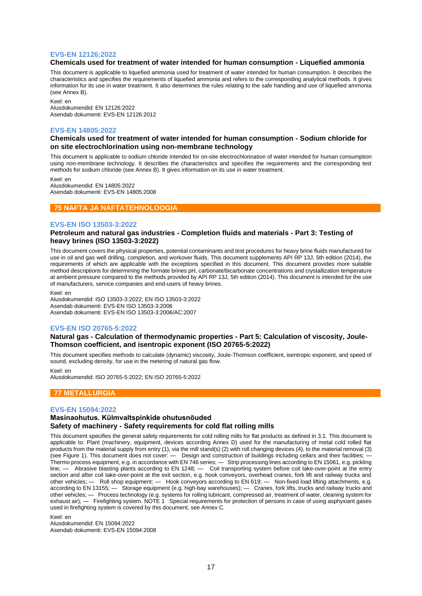#### **EVS-EN 12126:2022**

#### **Chemicals used for treatment of water intended for human consumption - Liquefied ammonia**

This document is applicable to liquefied ammonia used for treatment of water intended for human consumption. It describes the characteristics and specifies the requirements of liquefied ammonia and refers to the corresponding analytical methods. It gives information for its use in water treatment. It also determines the rules relating to the safe handling and use of liquefied ammonia (see Annex B).

Keel: en Alusdokumendid: EN 12126:2022 Asendab dokumenti: EVS-EN 12126:2012

#### **EVS-EN 14805:2022**

#### **Chemicals used for treatment of water intended for human consumption - Sodium chloride for on site electrochlorination using non-membrane technology**

This document is applicable to sodium chloride intended for on-site electrochlorination of water intended for human consumption using non-membrane technology. It describes the characteristics and specifies the requirements and the corresponding test methods for sodium chloride (see Annex B). It gives information on its use in water treatment.

Keel: en Alusdokumendid: EN 14805:2022 Asendab dokumenti: EVS-EN 14805:2008

#### **75 NAFTA JA NAFTATEHNOLOOGIA**

#### **EVS-EN ISO 13503-3:2022**

#### **Petroleum and natural gas industries - Completion fluids and materials - Part 3: Testing of heavy brines (ISO 13503-3:2022)**

This document covers the physical properties, potential contaminants and test procedures for heavy brine fluids manufactured for use in oil and gas well drilling, completion, and workover fluids. This document supplements API RP 13J, 5th edition (2014), the requirements of which are applicable with the exceptions specified in this document. This document provides more suitable method descriptions for determining the formate brines pH, carbonate/bicarbonate concentrations and crystallization temperature at ambient pressure compared to the methods provided by API RP 13J, 5th edition (2014). This document is intended for the use of manufacturers, service companies and end-users of heavy brines.

Keel: en

Alusdokumendid: ISO 13503-3:2022; EN ISO 13503-3:2022 Asendab dokumenti: EVS-EN ISO 13503-3:2006 Asendab dokumenti: EVS-EN ISO 13503-3:2006/AC:2007

#### **EVS-EN ISO 20765-5:2022**

#### **Natural gas - Calculation of thermodynamic properties - Part 5: Calculation of viscosity, Joule-Thomson coefficient, and isentropic exponent (ISO 20765-5:2022)**

This document specifies methods to calculate (dynamic) viscosity, Joule-Thomson coefficient, isentropic exponent, and speed of sound, excluding density, for use in the metering of natural gas flow.

Keel: en

Alusdokumendid: ISO 20765-5:2022; EN ISO 20765-5:2022

## **77 METALLURGIA**

## **EVS-EN 15094:2022**

#### **Masinaohutus. Külmvaltspinkide ohutusnõuded Safety of machinery - Safety requirements for cold flat rolling mills**

This document specifies the general safety requirements for cold rolling mills for flat products as defined in 3.1. This document is applicable to: Plant (machinery, equipment, devices according Annex D) used for the manufacturing of metal cold rolled flat products from the material supply from entry (1), via the mill stand(s) (2) with roll changing devices (4), to the material removal (3) (see Figure 1). This document does not cover:  $-$  Design and construction of buildings including cellars and their facilities: Thermo process equipment, e.g. in accordance with EN 746 series; — Strip processing lines according to EN 15061, e.g. pickling line; — Abrasive blasting plants according to EN 1248; — Coil transporting system before coil take-over-point at the entry section and after coil take-over-point at the exit section, e.g. hook conveyors, overhead cranes, fork lift and railway trucks and other vehicles; — Roll shop equipment; — Hook conveyors according to EN 619; — Non-fixed load lifting attachments, e.g. according to EN 13155; — Storage equipment (e.g. high-bay warehouses); — Cranes, fork lifts, trucks and railway trucks and other vehicles; — Process technology (e.g. systems for rolling lubricant, compressed air, treatment of water, cleaning system for exhaust air); — Firefighting system. NOTE 1 Special requirements for protection of persons in case of using asphyxiant gases used in firefighting system is covered by this document, see Annex C.

Keel: en Alusdokumendid: EN 15094:2022 Asendab dokumenti: EVS-EN 15094:2008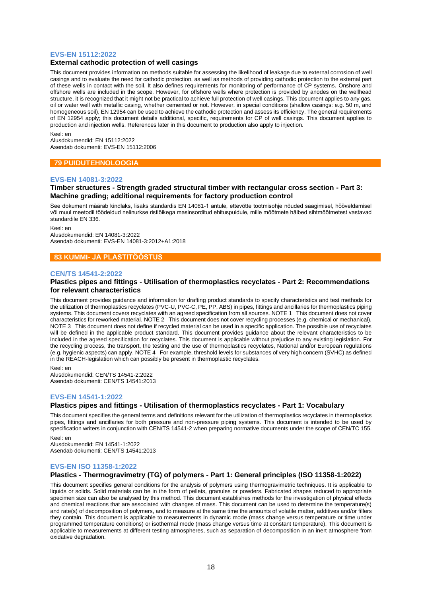#### **EVS-EN 15112:2022**

#### **External cathodic protection of well casings**

This document provides information on methods suitable for assessing the likelihood of leakage due to external corrosion of well casings and to evaluate the need for cathodic protection, as well as methods of providing cathodic protection to the external part of these wells in contact with the soil. It also defines requirements for monitoring of performance of CP systems. Onshore and offshore wells are included in the scope. However, for offshore wells where protection is provided by anodes on the wellhead structure, it is recognized that it might not be practical to achieve full protection of well casings. This document applies to any gas, oil or water well with metallic casing, whether cemented or not. However, in special conditions (shallow casings: e.g. 50 m, and homogeneous soil), EN 12954 can be used to achieve the cathodic protection and assess its efficiency. The general requirements of EN 12954 apply; this document details additional, specific, requirements for CP of well casings. This document applies to production and injection wells. References later in this document to production also apply to injection.

#### Keel: en

Alusdokumendid: EN 15112:2022 Asendab dokumenti: EVS-EN 15112:2006

## **79 PUIDUTEHNOLOOGIA**

#### **EVS-EN 14081-3:2022**

#### **Timber structures - Strength graded structural timber with rectangular cross section - Part 3: Machine grading; additional requirements for factory production control**

See dokument määrab kindlaks, lisaks standardis EN 14081-1 antule, ettevõtte tootmisohje nõuded saagimisel, hööveldamisel või muul meetodil töödeldud nelinurkse ristlõikega masinsorditud ehituspuidule, mille mõõtmete hälbed sihtmõõtmetest vastavad standardile EN 336.

Keel: en Alusdokumendid: EN 14081-3:2022 Asendab dokumenti: EVS-EN 14081-3:2012+A1:2018

#### **83 KUMMI- JA PLASTITÖÖSTUS**

#### **CEN/TS 14541-2:2022**

#### **Plastics pipes and fittings - Utilisation of thermoplastics recyclates - Part 2: Recommendations for relevant characteristics**

This document provides guidance and information for drafting product standards to specify characteristics and test methods for the utilization of thermoplastics recyclates (PVC-U, PVC-C, PE, PP, ABS) in pipes, fittings and ancillaries for thermoplastics piping systems. This document covers recyclates with an agreed specification from all sources. NOTE 1 This document does not cover characteristics for reworked material. NOTE 2 This document does not cover recycling processes (e.g. chemical or mechanical). NOTE 3 This document does not define if recycled material can be used in a specific application. The possible use of recyclates will be defined in the applicable product standard. This document provides guidance about the relevant characteristics to be included in the agreed specification for recyclates. This document is applicable without prejudice to any existing legislation. For the recycling process, the transport, the testing and the use of thermoplastics recyclates, National and/or European regulations (e.g. hygienic aspects) can apply. NOTE 4 For example, threshold levels for substances of very high concern (SVHC) as defined in the REACH-legislation which can possibly be present in thermoplastic recyclates.

Keel: en Alusdokumendid: CEN/TS 14541-2:2022 Asendab dokumenti: CEN/TS 14541:2013

#### **EVS-EN 14541-1:2022**

#### **Plastics pipes and fittings - Utilisation of thermoplastics recyclates - Part 1: Vocabulary**

This document specifies the general terms and definitions relevant for the utilization of thermoplastics recyclates in thermoplastics pipes, fittings and ancillaries for both pressure and non-pressure piping systems. This document is intended to be used by specification writers in conjunction with CEN/TS 14541-2 when preparing normative documents under the scope of CEN/TC 155.

Keel: en Alusdokumendid: EN 14541-1:2022 Asendab dokumenti: CEN/TS 14541:2013

#### **EVS-EN ISO 11358-1:2022**

#### **Plastics - Thermogravimetry (TG) of polymers - Part 1: General principles (ISO 11358-1:2022)**

This document specifies general conditions for the analysis of polymers using thermogravimetric techniques. It is applicable to liquids or solids. Solid materials can be in the form of pellets, granules or powders. Fabricated shapes reduced to appropriate specimen size can also be analysed by this method. This document establishes methods for the investigation of physical effects and chemical reactions that are associated with changes of mass. This document can be used to determine the temperature(s) and rate(s) of decomposition of polymers, and to measure at the same time the amounts of volatile matter, additives and/or fillers they contain. This document is applicable to measurements in dynamic mode (mass change versus temperature or time under programmed temperature conditions) or isothermal mode (mass change versus time at constant temperature). This document is applicable to measurements at different testing atmospheres, such as separation of decomposition in an inert atmosphere from oxidative degradation.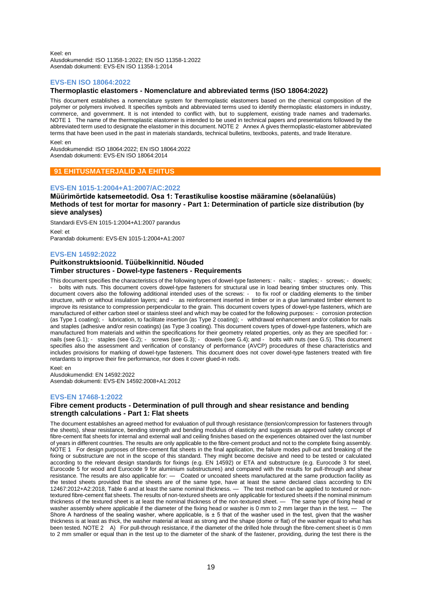Keel: en Alusdokumendid: ISO 11358-1:2022; EN ISO 11358-1:2022 Asendab dokumenti: EVS-EN ISO 11358-1:2014

## **EVS-EN ISO 18064:2022**

#### **Thermoplastic elastomers - Nomenclature and abbreviated terms (ISO 18064:2022)**

This document establishes a nomenclature system for thermoplastic elastomers based on the chemical composition of the polymer or polymers involved. It specifies symbols and abbreviated terms used to identify thermoplastic elastomers in industry, commerce, and government. It is not intended to conflict with, but to supplement, existing trade names and trademarks. NOTE 1 The name of the thermoplastic elastomer is intended to be used in technical papers and presentations followed by the abbreviated term used to designate the elastomer in this document. NOTE 2 Annex A gives thermoplastic-elastomer abbreviated terms that have been used in the past in materials standards, technical bulletins, textbooks, patents, and trade literature.

Keel: en

Alusdokumendid: ISO 18064:2022; EN ISO 18064:2022 Asendab dokumenti: EVS-EN ISO 18064:2014

## **91 EHITUSMATERJALID JA EHITUS**

#### **EVS-EN 1015-1:2004+A1:2007/AC:2022**

## **Müürimörtide katsemeetodid. Osa 1: Terastikulise koostise määramine (sõelanalüüs) Methods of test for mortar for masonry - Part 1: Determination of particle size distribution (by sieve analyses)**

Standardi EVS-EN 1015-1:2004+A1:2007 parandus

Keel: et Parandab dokumenti: EVS-EN 1015-1:2004+A1:2007

#### **EVS-EN 14592:2022**

## **Puitkonstruktsioonid. Tüübelkinnitid. Nõuded Timber structures - Dowel-type fasteners - Requirements**

This document specifies the characteristics of the following types of dowel-type fasteners: - nails; - staples; - screws; - dowels; bolts with nuts. This document covers dowel-type fasteners for structural use in load bearing timber structures only. This document covers also the following additional intended uses of the screws: - to fix roof or cladding elements to the timber structure, with or without insulation layers; and - as reinforcement inserted in timber or in a glue laminated timber element to improve its resistance to compression perpendicular to the grain. This document covers types of dowel-type fasteners, which are manufactured of either carbon steel or stainless steel and which may be coated for the following purposes: - corrosion protection (as Type 1 coating); - lubrication, to facilitate insertion (as Type 2 coating); - withdrawal enhancement and/or collation for nails and staples (adhesive and/or resin coatings) (as Type 3 coating). This document covers types of dowel-type fasteners, which are manufactured from materials and within the specifications for their geometry related properties, only as they are specified for: nails (see G.1); - staples (see G.2); - screws (see G.3); - dowels (see G.4); and - bolts with nuts (see G.5). This document specifies also the assessment and verification of constancy of performance (AVCP) procedures of these characteristics and includes provisions for marking of dowel-type fasteners. This document does not cover dowel-type fasteners treated with fire retardants to improve their fire performance, nor does it cover glued-in rods.

Keel: en Alusdokumendid: EN 14592:2022 Asendab dokumenti: EVS-EN 14592:2008+A1:2012

#### **EVS-EN 17468-1:2022**

## **Fibre cement products - Determination of pull through and shear resistance and bending strength calculations - Part 1: Flat sheets**

The document establishes an agreed method for evaluation of pull through resistance (tension/compression for fasteners through the sheets), shear resistance, bending strength and bending modulus of elasticity and suggests an approved safety concept of fibre-cement flat sheets for internal and external wall and ceiling finishes based on the experiences obtained over the last number of years in different countries. The results are only applicable to the fibre-cement product and not to the complete fixing assembly. NOTE 1 For design purposes of fibre-cement flat sheets in the final application, the failure modes pull-out and breaking of the fixing or substructure are not in the scope of this standard. They might become decisive and need to be tested or calculated according to the relevant design standards for fixings (e.g. EN 14592) or ETA and substructure (e.g. Eurocode 3 for steel, Eurocode 5 for wood and Eurocode 9 for aluminium substructures) and compared with the results for pull-through and shear resistance. The results are also applicable for: — Coated or uncoated sheets manufactured at the same production facility as the tested sheets provided that the sheets are of the same type, have at least the same declared class according to EN 12467:2012+A2:2018, Table 6 and at least the same nominal thickness. — The test method can be applied to textured or nontextured fibre-cement flat sheets. The results of non-textured sheets are only applicable for textured sheets if the nominal minimum thickness of the textured sheet is at least the nominal thickness of the non-textured sheet. — The same type of fixing head or washer assembly where applicable if the diameter of the fixing head or washer is 0 mm to 2 mm l washer assembly where applicable if the diameter of the fixing head or washer is 0 mm to 2 mm larger than in the test. — Shore A hardness of the sealing washer, where applicable, is  $\pm$  5 that of the washer used in the test, given that the washer thickness is at least as thick, the washer material at least as strong and the shape (dome or flat) of the washer equal to what has been tested. NOTE 2 A) For pull-through resistance, if the diameter of the drilled hole through the fibre-cement sheet is 0 mm to 2 mm smaller or equal than in the test up to the diameter of the shank of the fastener, providing, during the test there is the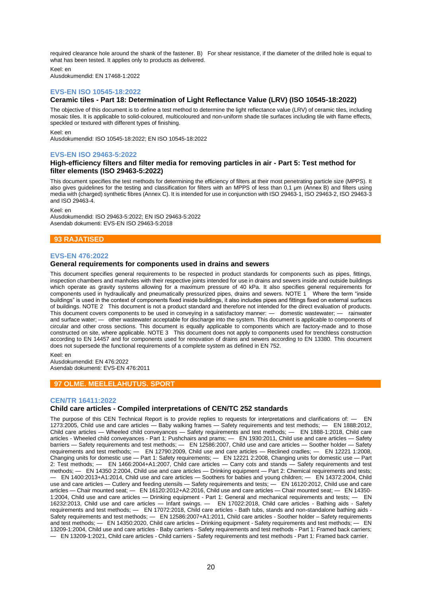required clearance hole around the shank of the fastener. B) For shear resistance, if the diameter of the drilled hole is equal to what has been tested. It applies only to products as delivered.

Keel: en

Alusdokumendid: EN 17468-1:2022

## **EVS-EN ISO 10545-18:2022**

## **Ceramic tiles - Part 18: Determination of Light Reflectance Value (LRV) (ISO 10545-18:2022)**

The objective of this document is to define a test method to determine the light reflectance value (LRV) of ceramic tiles, including mosaic tiles. It is applicable to solid-coloured, multicoloured and non-uniform shade tile surfaces including tile with flame effects, speckled or textured with different types of finishing.

Keel: en

Alusdokumendid: ISO 10545-18:2022; EN ISO 10545-18:2022

#### **EVS-EN ISO 29463-5:2022**

#### **High-efficiency filters and filter media for removing particles in air - Part 5: Test method for filter elements (ISO 29463-5:2022)**

This document specifies the test methods for determining the efficiency of filters at their most penetrating particle size (MPPS). It also gives guidelines for the testing and classification for filters with an MPPS of less than 0,1 μm (Annex B) and filters using media with (charged) synthetic fibres (Annex C). It is intended for use in conjunction with ISO 29463‑1, ISO 29463‑2, ISO 29463‑3 and ISO 29463‑4.

Keel: en

Alusdokumendid: ISO 29463-5:2022; EN ISO 29463-5:2022 Asendab dokumenti: EVS-EN ISO 29463-5:2018

## **93 RAJATISED**

#### **EVS-EN 476:2022**

#### **General requirements for components used in drains and sewers**

This document specifies general requirements to be respected in product standards for components such as pipes, fittings, inspection chambers and manholes with their respective joints intended for use in drains and sewers inside and outside buildings which operate as gravity systems allowing for a maximum pressure of 40 kPa. It also specifies general requirements for components used in hydraulically and pneumatically pressurized pipes, drains and sewers. NOTE 1 Where the term "inside buildings" is used in the context of components fixed inside buildings, it also includes pipes and fittings fixed on external surfaces of buildings. NOTE 2 This document is not a product standard and therefore not intended for the direct evaluation of products. This document covers components to be used in conveying in a satisfactory manner: — domestic wastewater; — rainwater and surface water; — other wastewater acceptable for discharge into the system. This document is applicable to components of circular and other cross sections. This document is equally applicable to components which are factory-made and to those constructed on site, where applicable. NOTE 3 This document does not apply to components used for trenchless construction according to EN 14457 and for components used for renovation of drains and sewers according to EN 13380. This document does not supersede the functional requirements of a complete system as defined in EN 752.

Keel: en Alusdokumendid: EN 476:2022 Asendab dokumenti: EVS-EN 476:2011

## **97 OLME. MEELELAHUTUS. SPORT**

## **CEN/TR 16411:2022**

#### **Child care articles - Compiled interpretations of CEN/TC 252 standards**

The purpose of this CEN Technical Report is to provide replies to requests for interpretations and clarifications of: — EN 1273:2005, Child use and care articles — Baby walking frames — Safety requirements and test methods; — EN 1888:2012, Child care articles — Wheeled child conveyances — Safety requirements and test methods; — EN 1888-1:2018, Child care articles - Wheeled child conveyances - Part 1: Pushchairs and prams; — EN 1930:2011, Child use and care articles — Safety barriers — Safety requirements and test methods; — EN 12586:2007, Child use and care articles — Soother holder — Safety requirements and test methods; — EN 12790:2009, Child use and care articles — Reclined cradles; — EN 12221 1:2008, Changing units for domestic use — Part 1: Safety requirements; — EN 12221 2:2008, Changing units for domestic use — Part 2: Test methods; — EN 1466:2004+A1:2007, Child care articles — Carry cots and stands — Safety requirements and test methods; — EN 14350 2:2004, Child use and care articles — Drinking equipment — Part 2: Chemical requirements and tests; — EN 1400:2013+A1:2014, Child use and care articles — Soothers for babies and young children; — EN 14372:2004, Child use and care articles — Cutlery and feeding utensils — Safety requirements and tests; — EN 16120:2012, Child use and care articles — Chair mounted seat; — EN 16120:2012+A2:2016, Child use and care articles — Chair mounted seat; — EN 14350- 1:2004, Child use and care articles — Drinking equipment - Part 1: General and mechanical requirements and tests; — EN 16232:2013, Child use and care articles — Infant swings. — EN 17022:2018, Child care articles - Bathing aids - Safety requirements and test methods; — EN 17072:2018, Child care articles - Bath tubs, stands and non-standalone bathing aids - Safety requirements and test methods; — EN 12586:2007+A1:2011, Child care articles - Soother holder – Safety requirements and test methods; — EN 14350:2020, Child care articles – Drinking equipment - Safety requirements and test methods; — EN 13209-1:2004, Child use and care articles - Baby carriers - Safety requirements and test methods - Part 1: Framed back carriers; — EN 13209-1:2021, Child care articles - Child carriers - Safety requirements and test methods - Part 1: Framed back carrier.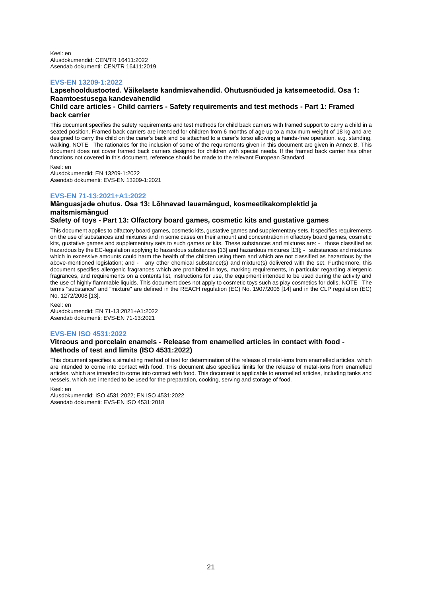Keel: en Alusdokumendid: CEN/TR 16411:2022 Asendab dokumenti: CEN/TR 16411:2019

#### **EVS-EN 13209-1:2022**

## **Lapsehooldustooted. Väikelaste kandmisvahendid. Ohutusnõuded ja katsemeetodid. Osa 1: Raamtoestusega kandevahendid**

#### **Child care articles - Child carriers - Safety requirements and test methods - Part 1: Framed back carrier**

This document specifies the safety requirements and test methods for child back carriers with framed support to carry a child in a seated position. Framed back carriers are intended for children from 6 months of age up to a maximum weight of 18 kg and are designed to carry the child on the carer's back and be attached to a carer's torso allowing a hands-free operation, e.g. standing, walking. NOTE The rationales for the inclusion of some of the requirements given in this document are given in Annex B. This document does not cover framed back carriers designed for children with special needs. If the framed back carrier has other functions not covered in this document, reference should be made to the relevant European Standard.

Keel: en

Alusdokumendid: EN 13209-1:2022 Asendab dokumenti: EVS-EN 13209-1:2021

## **EVS-EN 71-13:2021+A1:2022**

## **Mänguasjade ohutus. Osa 13: Lõhnavad lauamängud, kosmeetikakomplektid ja maitsmismängud**

## **Safety of toys - Part 13: Olfactory board games, cosmetic kits and gustative games**

This document applies to olfactory board games, cosmetic kits, gustative games and supplementary sets. It specifies requirements on the use of substances and mixtures and in some cases on their amount and concentration in olfactory board games, cosmetic kits, gustative games and supplementary sets to such games or kits. These substances and mixtures are: - those classified as hazardous by the EC-legislation applying to hazardous substances [13] and hazardous mixtures [13]; - substances and mixtures which in excessive amounts could harm the health of the children using them and which are not classified as hazardous by the above-mentioned legislation; and - any other chemical substance(s) and mixture(s) delivered with the set. Furthermore, this document specifies allergenic fragrances which are prohibited in toys, marking requirements, in particular regarding allergenic fragrances, and requirements on a contents list, instructions for use, the equipment intended to be used during the activity and the use of highly flammable liquids. This document does not apply to cosmetic toys such as play cosmetics for dolls. NOTE The terms "substance" and "mixture" are defined in the REACH regulation (EC) No. 1907/2006 [14] and in the CLP regulation (EC) No. 1272/2008 [13].

Keel: en

Alusdokumendid: EN 71-13:2021+A1:2022 Asendab dokumenti: EVS-EN 71-13:2021

## **EVS-EN ISO 4531:2022**

## **Vitreous and porcelain enamels - Release from enamelled articles in contact with food - Methods of test and limits (ISO 4531:2022)**

This document specifies a simulating method of test for determination of the release of metal-ions from enamelled articles, which are intended to come into contact with food. This document also specifies limits for the release of metal-ions from enamelled articles, which are intended to come into contact with food. This document is applicable to enamelled articles, including tanks and vessels, which are intended to be used for the preparation, cooking, serving and storage of food.

#### Keel: en

Alusdokumendid: ISO 4531:2022; EN ISO 4531:2022 Asendab dokumenti: EVS-EN ISO 4531:2018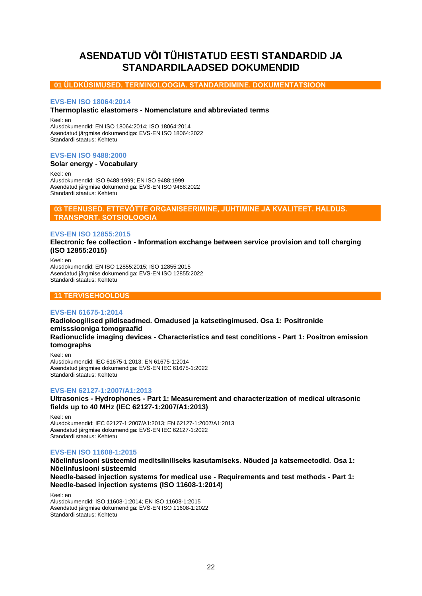# <span id="page-21-0"></span>**ASENDATUD VÕI TÜHISTATUD EESTI STANDARDID JA STANDARDILAADSED DOKUMENDID**

## **01 ÜLDKÜSIMUSED. TERMINOLOOGIA. STANDARDIMINE. DOKUMENTATSIOON**

## **EVS-EN ISO 18064:2014**

## **Thermoplastic elastomers - Nomenclature and abbreviated terms**

Keel: en Alusdokumendid: EN ISO 18064:2014; ISO 18064:2014 Asendatud järgmise dokumendiga: EVS-EN ISO 18064:2022

## **EVS-EN ISO 9488:2000**

Standardi staatus: Kehtetu

## **Solar energy - Vocabulary**

Keel: en Alusdokumendid: ISO 9488:1999; EN ISO 9488:1999 Asendatud järgmise dokumendiga: EVS-EN ISO 9488:2022 Standardi staatus: Kehtetu

## **03 TEENUSED. ETTEVÕTTE ORGANISEERIMINE, JUHTIMINE JA KVALITEET. HALDUS. TRANSPORT. SOTSIOLOOGIA**

## **EVS-EN ISO 12855:2015**

**Electronic fee collection - Information exchange between service provision and toll charging (ISO 12855:2015)**

Keel: en Alusdokumendid: EN ISO 12855:2015; ISO 12855:2015 Asendatud järgmise dokumendiga: EVS-EN ISO 12855:2022 Standardi staatus: Kehtetu

## **11 TERVISEHOOLDUS**

## **EVS-EN 61675-1:2014**

**Radioloogilised pildiseadmed. Omadused ja katsetingimused. Osa 1: Positronide emisssiooniga tomograafid Radionuclide imaging devices - Characteristics and test conditions - Part 1: Positron emission tomographs**

Keel: en Alusdokumendid: IEC 61675-1:2013; EN 61675-1:2014 Asendatud järgmise dokumendiga: EVS-EN IEC 61675-1:2022 Standardi staatus: Kehtetu

## **EVS-EN 62127-1:2007/A1:2013**

**Ultrasonics - Hydrophones - Part 1: Measurement and characterization of medical ultrasonic fields up to 40 MHz (IEC 62127-1:2007/A1:2013)**

Keel: en Alusdokumendid: IEC 62127-1:2007/A1:2013; EN 62127-1:2007/A1:2013 Asendatud järgmise dokumendiga: EVS-EN IEC 62127-1:2022 Standardi staatus: Kehtetu

## **EVS-EN ISO 11608-1:2015**

**Nõelinfusiooni süsteemid meditsiiniliseks kasutamiseks. Nõuded ja katsemeetodid. Osa 1: Nõelinfusiooni süsteemid Needle-based injection systems for medical use - Requirements and test methods - Part 1: Needle-based injection systems (ISO 11608-1:2014)**

Keel: en Alusdokumendid: ISO 11608-1:2014; EN ISO 11608-1:2015 Asendatud järgmise dokumendiga: EVS-EN ISO 11608-1:2022 Standardi staatus: Kehtetu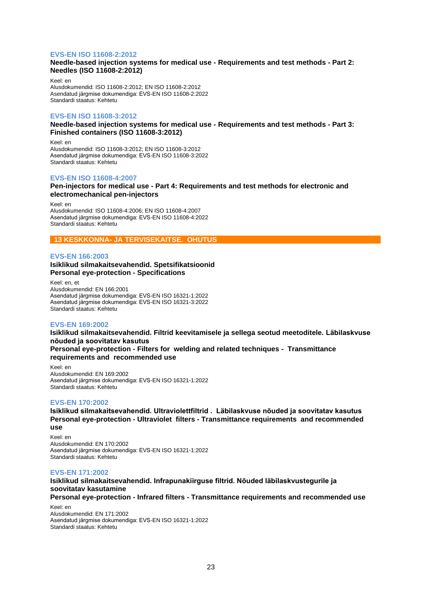#### **EVS-EN ISO 11608-2:2012**

**Needle-based injection systems for medical use - Requirements and test methods - Part 2: Needles (ISO 11608-2:2012)**

Keel: en Alusdokumendid: ISO 11608-2:2012; EN ISO 11608-2:2012 Asendatud järgmise dokumendiga: EVS-EN ISO 11608-2:2022 Standardi staatus: Kehtetu

#### **EVS-EN ISO 11608-3:2012**

**Needle-based injection systems for medical use - Requirements and test methods - Part 3: Finished containers (ISO 11608-3:2012)**

Keel: en Alusdokumendid: ISO 11608-3:2012; EN ISO 11608-3:2012 Asendatud järgmise dokumendiga: EVS-EN ISO 11608-3:2022 Standardi staatus: Kehtetu

#### **EVS-EN ISO 11608-4:2007**

#### **Pen-injectors for medical use - Part 4: Requirements and test methods for electronic and electromechanical pen-injectors**

Keel: en Alusdokumendid: ISO 11608-4:2006; EN ISO 11608-4:2007 Asendatud järgmise dokumendiga: EVS-EN ISO 11608-4:2022 Standardi staatus: Kehtetu

## **13 KESKKONNA- JA TERVISEKAITSE. OHUTUS**

#### **EVS-EN 166:2003**

## **Isiklikud silmakaitsevahendid. Spetsifikatsioonid Personal eye-protection - Specifications**

Keel: en, et Alusdokumendid: EN 166:2001 Asendatud järgmise dokumendiga: EVS-EN ISO 16321-1:2022 Asendatud järgmise dokumendiga: EVS-EN ISO 16321-3:2022 Standardi staatus: Kehtetu

#### **EVS-EN 169:2002**

**Isiklikud silmakaitsevahendid. Filtrid keevitamisele ja sellega seotud meetoditele. Läbilaskvuse nõuded ja soovitatav kasutus Personal eye-protection - Filters for welding and related techniques - Transmittance requirements and recommended use**

Keel: en Alusdokumendid: EN 169:2002 Asendatud järgmise dokumendiga: EVS-EN ISO 16321-1:2022 Standardi staatus: Kehtetu

#### **EVS-EN 170:2002**

**Isiklikud silmakaitsevahendid. Ultraviolettfiltrid . Läbilaskvuse nõuded ja soovitatav kasutus Personal eye-protection - Ultraviolet filters - Transmittance requirements and recommended use**

Keel: en Alusdokumendid: EN 170:2002 Asendatud järgmise dokumendiga: EVS-EN ISO 16321-1:2022 Standardi staatus: Kehtetu

#### **EVS-EN 171:2002**

**Isiklikud silmakaitsevahendid. Infrapunakiirguse filtrid. Nõuded läbilaskvustegurile ja soovitatav kasutamine**

**Personal eye-protection - Infrared filters - Transmittance requirements and recommended use**

Keel: en Alusdokumendid: EN 171:2002 Asendatud järgmise dokumendiga: EVS-EN ISO 16321-1:2022 Standardi staatus: Kehtetu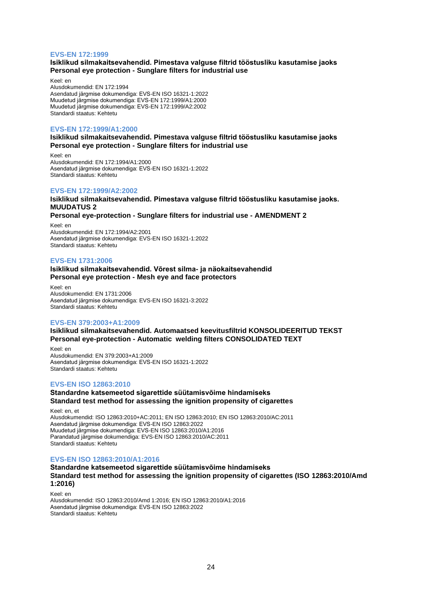#### **EVS-EN 172:1999**

## **Isiklikud silmakaitsevahendid. Pimestava valguse filtrid tööstusliku kasutamise jaoks Personal eye protection - Sunglare filters for industrial use**

Keel: en Alusdokumendid: EN 172:1994 Asendatud järgmise dokumendiga: EVS-EN ISO 16321-1:2022 Muudetud järgmise dokumendiga: EVS-EN 172:1999/A1:2000 Muudetud järgmise dokumendiga: EVS-EN 172:1999/A2:2002 Standardi staatus: Kehtetu

#### **EVS-EN 172:1999/A1:2000**

## **Isiklikud silmakaitsevahendid. Pimestava valguse filtrid tööstusliku kasutamise jaoks Personal eye protection - Sunglare filters for industrial use**

Keel: en Alusdokumendid: EN 172:1994/A1:2000 Asendatud järgmise dokumendiga: EVS-EN ISO 16321-1:2022 Standardi staatus: Kehtetu

#### **EVS-EN 172:1999/A2:2002**

## **Isiklikud silmakaitsevahendid. Pimestava valguse filtrid tööstusliku kasutamise jaoks. MUUDATUS 2**

**Personal eye-protection - Sunglare filters for industrial use - AMENDMENT 2**

Keel: en Alusdokumendid: EN 172:1994/A2:2001 Asendatud järgmise dokumendiga: EVS-EN ISO 16321-1:2022 Standardi staatus: Kehtetu

#### **EVS-EN 1731:2006**

#### **Isiklikud silmakaitsevahendid. Võrest silma- ja näokaitsevahendid Personal eye protection - Mesh eye and face protectors**

Keel: en Alusdokumendid: EN 1731:2006 Asendatud järgmise dokumendiga: EVS-EN ISO 16321-3:2022 Standardi staatus: Kehtetu

#### **EVS-EN 379:2003+A1:2009**

**Isiklikud silmakaitsevahendid. Automaatsed keevitusfiltrid KONSOLIDEERITUD TEKST Personal eye-protection - Automatic welding filters CONSOLIDATED TEXT**

Keel: en Alusdokumendid: EN 379:2003+A1:2009 Asendatud järgmise dokumendiga: EVS-EN ISO 16321-1:2022 Standardi staatus: Kehtetu

#### **EVS-EN ISO 12863:2010**

## **Standardne katsemeetod sigarettide süütamisvõime hindamiseks Standard test method for assessing the ignition propensity of cigarettes**

Keel: en, et Alusdokumendid: ISO 12863:2010+AC:2011; EN ISO 12863:2010; EN ISO 12863:2010/AC:2011 Asendatud järgmise dokumendiga: EVS-EN ISO 12863:2022 Muudetud järgmise dokumendiga: EVS-EN ISO 12863:2010/A1:2016 Parandatud järgmise dokumendiga: EVS-EN ISO 12863:2010/AC:2011 Standardi staatus: Kehtetu

#### **EVS-EN ISO 12863:2010/A1:2016**

#### **Standardne katsemeetod sigarettide süütamisvõime hindamiseks Standard test method for assessing the ignition propensity of cigarettes (ISO 12863:2010/Amd 1:2016)**

Keel: en

Alusdokumendid: ISO 12863:2010/Amd 1:2016; EN ISO 12863:2010/A1:2016 Asendatud järgmise dokumendiga: EVS-EN ISO 12863:2022 Standardi staatus: Kehtetu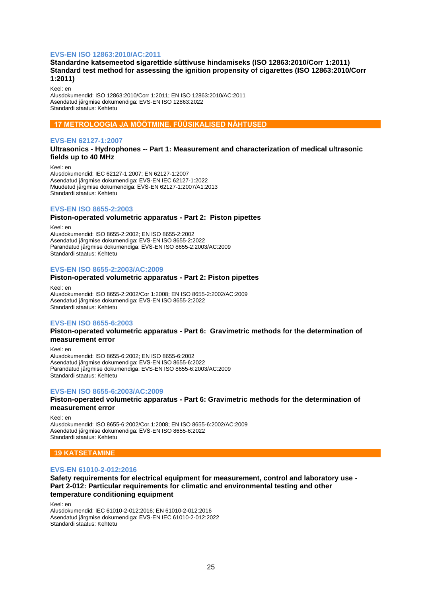## **EVS-EN ISO 12863:2010/AC:2011**

## **Standardne katsemeetod sigarettide süttivuse hindamiseks (ISO 12863:2010/Corr 1:2011) Standard test method for assessing the ignition propensity of cigarettes (ISO 12863:2010/Corr 1:2011)**

Keel: en Alusdokumendid: ISO 12863:2010/Corr 1:2011; EN ISO 12863:2010/AC:2011 Asendatud järgmise dokumendiga: EVS-EN ISO 12863:2022 Standardi staatus: Kehtetu

## **17 METROLOOGIA JA MÕÕTMINE. FÜÜSIKALISED NÄHTUSED**

#### **EVS-EN 62127-1:2007**

**Ultrasonics - Hydrophones -- Part 1: Measurement and characterization of medical ultrasonic fields up to 40 MHz**

Keel: en Alusdokumendid: IEC 62127-1:2007; EN 62127-1:2007 Asendatud järgmise dokumendiga: EVS-EN IEC 62127-1:2022 Muudetud järgmise dokumendiga: EVS-EN 62127-1:2007/A1:2013 Standardi staatus: Kehtetu

## **EVS-EN ISO 8655-2:2003**

**Piston-operated volumetric apparatus - Part 2: Piston pipettes**

Keel: en Alusdokumendid: ISO 8655-2:2002; EN ISO 8655-2:2002 Asendatud järgmise dokumendiga: EVS-EN ISO 8655-2:2022 Parandatud järgmise dokumendiga: EVS-EN ISO 8655-2:2003/AC:2009 Standardi staatus: Kehtetu

## **EVS-EN ISO 8655-2:2003/AC:2009**

#### **Piston-operated volumetric apparatus - Part 2: Piston pipettes**

Keel: en Alusdokumendid: ISO 8655-2:2002/Cor 1:2008; EN ISO 8655-2:2002/AC:2009 Asendatud järgmise dokumendiga: EVS-EN ISO 8655-2:2022 Standardi staatus: Kehtetu

## **EVS-EN ISO 8655-6:2003**

#### **Piston-operated volumetric apparatus - Part 6: Gravimetric methods for the determination of measurement error**

Keel: en Alusdokumendid: ISO 8655-6:2002; EN ISO 8655-6:2002 Asendatud järgmise dokumendiga: EVS-EN ISO 8655-6:2022 Parandatud järgmise dokumendiga: EVS-EN ISO 8655-6:2003/AC:2009 Standardi staatus: Kehtetu

## **EVS-EN ISO 8655-6:2003/AC:2009**

## **Piston-operated volumetric apparatus - Part 6: Gravimetric methods for the determination of measurement error**

Keel: en Alusdokumendid: ISO 8655-6:2002/Cor.1:2008; EN ISO 8655-6:2002/AC:2009 Asendatud järgmise dokumendiga: EVS-EN ISO 8655-6:2022 Standardi staatus: Kehtetu

## **19 KATSETAMINE**

#### **EVS-EN 61010-2-012:2016**

**Safety requirements for electrical equipment for measurement, control and laboratory use - Part 2-012: Particular requirements for climatic and environmental testing and other temperature conditioning equipment**

Keel: en

Alusdokumendid: IEC 61010-2-012:2016; EN 61010-2-012:2016 Asendatud järgmise dokumendiga: EVS-EN IEC 61010-2-012:2022 Standardi staatus: Kehtetu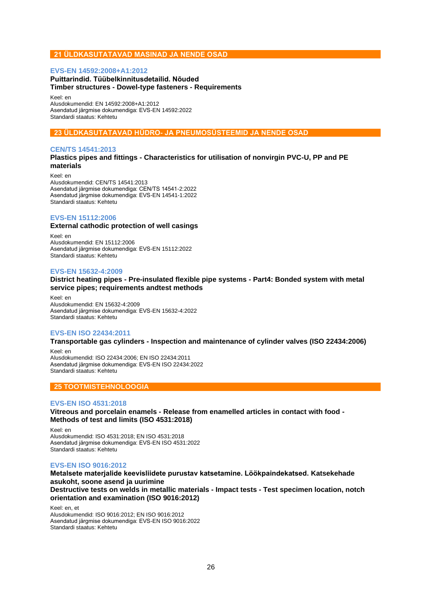## **21 ÜLDKASUTATAVAD MASINAD JA NENDE OSAD**

## **EVS-EN 14592:2008+A1:2012**

## **Puittarindid. Tüübelkinnitusdetailid. Nõuded Timber structures - Dowel-type fasteners - Requirements**

Keel: en

Alusdokumendid: EN 14592:2008+A1:2012 Asendatud järgmise dokumendiga: EVS-EN 14592:2022 Standardi staatus: Kehtetu

## **23 ÜLDKASUTATAVAD HÜDRO- JA PNEUMOSÜSTEEMID JA NENDE OSAD**

## **CEN/TS 14541:2013**

## **Plastics pipes and fittings - Characteristics for utilisation of nonvirgin PVC-U, PP and PE materials**

Keel: en Alusdokumendid: CEN/TS 14541:2013 Asendatud järgmise dokumendiga: CEN/TS 14541-2:2022 Asendatud järgmise dokumendiga: EVS-EN 14541-1:2022 Standardi staatus: Kehtetu

## **EVS-EN 15112:2006**

## **External cathodic protection of well casings**

Keel: en Alusdokumendid: EN 15112:2006 Asendatud järgmise dokumendiga: EVS-EN 15112:2022 Standardi staatus: Kehtetu

## **EVS-EN 15632-4:2009**

#### **District heating pipes - Pre-insulated flexible pipe systems - Part4: Bonded system with metal service pipes; requirements andtest methods**

Keel: en Alusdokumendid: EN 15632-4:2009 Asendatud järgmise dokumendiga: EVS-EN 15632-4:2022 Standardi staatus: Kehtetu

## **EVS-EN ISO 22434:2011**

**Transportable gas cylinders - Inspection and maintenance of cylinder valves (ISO 22434:2006)** Keel: en

Alusdokumendid: ISO 22434:2006; EN ISO 22434:2011 Asendatud järgmise dokumendiga: EVS-EN ISO 22434:2022 Standardi staatus: Kehtetu

## **25 TOOTMISTEHNOLOOGIA**

## **EVS-EN ISO 4531:2018**

**Vitreous and porcelain enamels - Release from enamelled articles in contact with food - Methods of test and limits (ISO 4531:2018)**

Keel: en Alusdokumendid: ISO 4531:2018; EN ISO 4531:2018 Asendatud järgmise dokumendiga: EVS-EN ISO 4531:2022 Standardi staatus: Kehtetu

## **EVS-EN ISO 9016:2012**

**Metalsete materjalide keevisliidete purustav katsetamine. Löökpaindekatsed. Katsekehade asukoht, soone asend ja uurimine**

**Destructive tests on welds in metallic materials - Impact tests - Test specimen location, notch orientation and examination (ISO 9016:2012)**

Keel: en, et Alusdokumendid: ISO 9016:2012; EN ISO 9016:2012 Asendatud järgmise dokumendiga: EVS-EN ISO 9016:2022 Standardi staatus: Kehtetu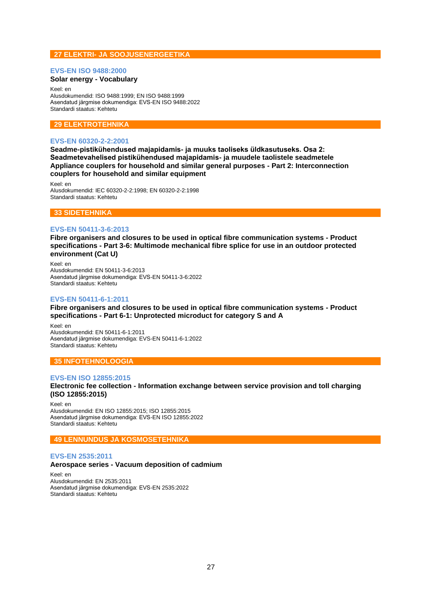## **27 ELEKTRI- JA SOOJUSENERGEETIKA**

#### **EVS-EN ISO 9488:2000**

## **Solar energy - Vocabulary**

Keel: en Alusdokumendid: ISO 9488:1999; EN ISO 9488:1999 Asendatud järgmise dokumendiga: EVS-EN ISO 9488:2022 Standardi staatus: Kehtetu

## **29 ELEKTROTEHNIKA**

#### **EVS-EN 60320-2-2:2001**

**Seadme-pistikühendused majapidamis- ja muuks taoliseks üldkasutuseks. Osa 2: Seadmetevahelised pistikühendused majapidamis- ja muudele taolistele seadmetele Appliance couplers for household and similar general purposes - Part 2: Interconnection couplers for household and similar equipment**

Keel: en Alusdokumendid: IEC 60320-2-2:1998; EN 60320-2-2:1998 Standardi staatus: Kehtetu

## **33 SIDETEHNIKA**

#### **EVS-EN 50411-3-6:2013**

**Fibre organisers and closures to be used in optical fibre communication systems - Product specifications - Part 3-6: Multimode mechanical fibre splice for use in an outdoor protected environment (Cat U)**

Keel: en Alusdokumendid: EN 50411-3-6:2013 Asendatud järgmise dokumendiga: EVS-EN 50411-3-6:2022 Standardi staatus: Kehtetu

## **EVS-EN 50411-6-1:2011**

**Fibre organisers and closures to be used in optical fibre communication systems - Product specifications - Part 6-1: Unprotected microduct for category S and A**

Keel: en Alusdokumendid: EN 50411-6-1:2011 Asendatud järgmise dokumendiga: EVS-EN 50411-6-1:2022 Standardi staatus: Kehtetu

## **35 INFOTEHNOLOOGIA**

#### **EVS-EN ISO 12855:2015**

**Electronic fee collection - Information exchange between service provision and toll charging (ISO 12855:2015)**

Keel: en Alusdokumendid: EN ISO 12855:2015; ISO 12855:2015 Asendatud järgmise dokumendiga: EVS-EN ISO 12855:2022 Standardi staatus: Kehtetu

## **49 LENNUNDUS JA KOSMOSETEHNIKA**

## **EVS-EN 2535:2011**

#### **Aerospace series - Vacuum deposition of cadmium**

Keel: en Alusdokumendid: EN 2535:2011 Asendatud järgmise dokumendiga: EVS-EN 2535:2022 Standardi staatus: Kehtetu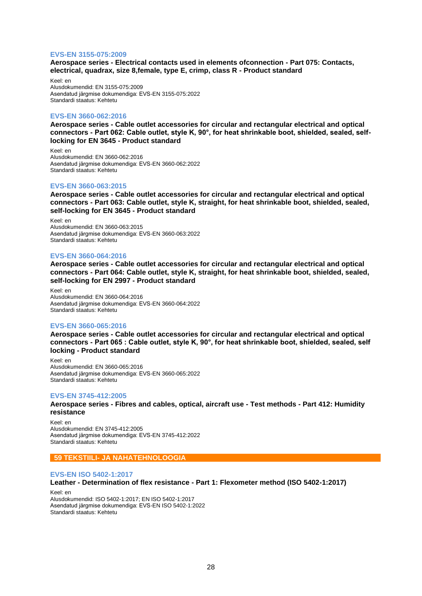#### **EVS-EN 3155-075:2009**

**Aerospace series - Electrical contacts used in elements ofconnection - Part 075: Contacts, electrical, quadrax, size 8,female, type E, crimp, class R - Product standard**

Keel: en Alusdokumendid: EN 3155-075:2009 Asendatud järgmise dokumendiga: EVS-EN 3155-075:2022 Standardi staatus: Kehtetu

#### **EVS-EN 3660-062:2016**

**Aerospace series - Cable outlet accessories for circular and rectangular electrical and optical connectors - Part 062: Cable outlet, style K, 90°, for heat shrinkable boot, shielded, sealed, selflocking for EN 3645 - Product standard**

Keel: en Alusdokumendid: EN 3660-062:2016 Asendatud järgmise dokumendiga: EVS-EN 3660-062:2022 Standardi staatus: Kehtetu

#### **EVS-EN 3660-063:2015**

**Aerospace series - Cable outlet accessories for circular and rectangular electrical and optical connectors - Part 063: Cable outlet, style K, straight, for heat shrinkable boot, shielded, sealed, self-locking for EN 3645 - Product standard**

Keel: en Alusdokumendid: EN 3660-063:2015 Asendatud järgmise dokumendiga: EVS-EN 3660-063:2022 Standardi staatus: Kehtetu

#### **EVS-EN 3660-064:2016**

**Aerospace series - Cable outlet accessories for circular and rectangular electrical and optical connectors - Part 064: Cable outlet, style K, straight, for heat shrinkable boot, shielded, sealed, self-locking for EN 2997 - Product standard**

Keel: en Alusdokumendid: EN 3660-064:2016 Asendatud järgmise dokumendiga: EVS-EN 3660-064:2022 Standardi staatus: Kehtetu

#### **EVS-EN 3660-065:2016**

**Aerospace series - Cable outlet accessories for circular and rectangular electrical and optical connectors - Part 065 : Cable outlet, style K, 90°, for heat shrinkable boot, shielded, sealed, self locking - Product standard**

Keel: en Alusdokumendid: EN 3660-065:2016 Asendatud järgmise dokumendiga: EVS-EN 3660-065:2022 Standardi staatus: Kehtetu

#### **EVS-EN 3745-412:2005**

**Aerospace series - Fibres and cables, optical, aircraft use - Test methods - Part 412: Humidity resistance**

Keel: en Alusdokumendid: EN 3745-412:2005 Asendatud järgmise dokumendiga: EVS-EN 3745-412:2022 Standardi staatus: Kehtetu

#### **59 TEKSTIILI- JA NAHATEHNOLOOGIA**

#### **EVS-EN ISO 5402-1:2017**

**Leather - Determination of flex resistance - Part 1: Flexometer method (ISO 5402-1:2017)**

Keel: en Alusdokumendid: ISO 5402-1:2017; EN ISO 5402-1:2017 Asendatud järgmise dokumendiga: EVS-EN ISO 5402-1:2022 Standardi staatus: Kehtetu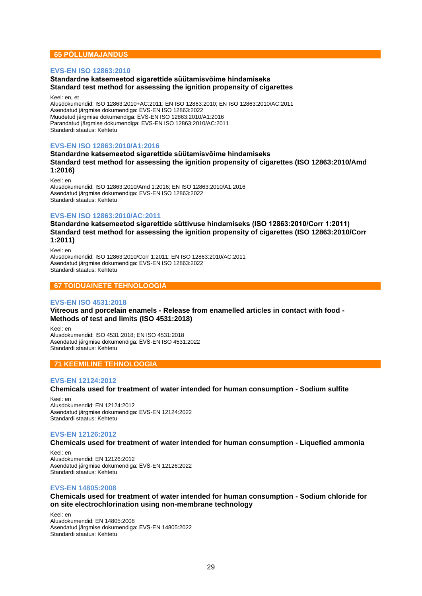## **65 PÕLLUMAJANDUS**

## **EVS-EN ISO 12863:2010**

## **Standardne katsemeetod sigarettide süütamisvõime hindamiseks Standard test method for assessing the ignition propensity of cigarettes**

#### Keel: en, et

Alusdokumendid: ISO 12863:2010+AC:2011; EN ISO 12863:2010; EN ISO 12863:2010/AC:2011 Asendatud järgmise dokumendiga: EVS-EN ISO 12863:2022 Muudetud järgmise dokumendiga: EVS-EN ISO 12863:2010/A1:2016 Parandatud järgmise dokumendiga: EVS-EN ISO 12863:2010/AC:2011 Standardi staatus: Kehtetu

## **EVS-EN ISO 12863:2010/A1:2016**

**Standardne katsemeetod sigarettide süütamisvõime hindamiseks Standard test method for assessing the ignition propensity of cigarettes (ISO 12863:2010/Amd 1:2016)**

Keel: en Alusdokumendid: ISO 12863:2010/Amd 1:2016; EN ISO 12863:2010/A1:2016 Asendatud järgmise dokumendiga: EVS-EN ISO 12863:2022 Standardi staatus: Kehtetu

## **EVS-EN ISO 12863:2010/AC:2011**

**Standardne katsemeetod sigarettide süttivuse hindamiseks (ISO 12863:2010/Corr 1:2011) Standard test method for assessing the ignition propensity of cigarettes (ISO 12863:2010/Corr 1:2011)**

Keel: en Alusdokumendid: ISO 12863:2010/Corr 1:2011; EN ISO 12863:2010/AC:2011 Asendatud järgmise dokumendiga: EVS-EN ISO 12863:2022 Standardi staatus: Kehtetu

## **67 TOIDUAINETE TEHNOLOOGIA**

## **EVS-EN ISO 4531:2018**

**Vitreous and porcelain enamels - Release from enamelled articles in contact with food - Methods of test and limits (ISO 4531:2018)**

Keel: en Alusdokumendid: ISO 4531:2018; EN ISO 4531:2018 Asendatud järgmise dokumendiga: EVS-EN ISO 4531:2022 Standardi staatus: Kehtetu

## **71 KEEMILINE TEHNOLOOGIA**

## **EVS-EN 12124:2012**

**Chemicals used for treatment of water intended for human consumption - Sodium sulfite**

Keel: en Alusdokumendid: EN 12124:2012 Asendatud järgmise dokumendiga: EVS-EN 12124:2022 Standardi staatus: Kehtetu

#### **EVS-EN 12126:2012**

**Chemicals used for treatment of water intended for human consumption - Liquefied ammonia**

Keel: en Alusdokumendid: EN 12126:2012 Asendatud järgmise dokumendiga: EVS-EN 12126:2022 Standardi staatus: Kehtetu

#### **EVS-EN 14805:2008**

## **Chemicals used for treatment of water intended for human consumption - Sodium chloride for on site electrochlorination using non-membrane technology**

Keel: en Alusdokumendid: EN 14805:2008 Asendatud järgmise dokumendiga: EVS-EN 14805:2022 Standardi staatus: Kehtetu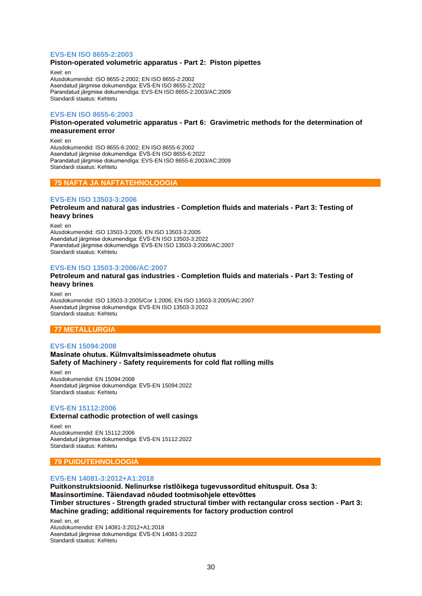## **EVS-EN ISO 8655-2:2003**

#### **Piston-operated volumetric apparatus - Part 2: Piston pipettes**

Keel: en Alusdokumendid: ISO 8655-2:2002; EN ISO 8655-2:2002 Asendatud järgmise dokumendiga: EVS-EN ISO 8655-2:2022 Parandatud järgmise dokumendiga: EVS-EN ISO 8655-2:2003/AC:2009 Standardi staatus: Kehtetu

#### **EVS-EN ISO 8655-6:2003**

#### **Piston-operated volumetric apparatus - Part 6: Gravimetric methods for the determination of measurement error**

Keel: en Alusdokumendid: ISO 8655-6:2002; EN ISO 8655-6:2002 Asendatud järgmise dokumendiga: EVS-EN ISO 8655-6:2022 Parandatud järgmise dokumendiga: EVS-EN ISO 8655-6:2003/AC:2009 Standardi staatus: Kehtetu

## **75 NAFTA JA NAFTATEHNOLOOGIA**

#### **EVS-EN ISO 13503-3:2006**

**Petroleum and natural gas industries - Completion fluids and materials - Part 3: Testing of heavy brines**

Keel: en Alusdokumendid: ISO 13503-3:2005; EN ISO 13503-3:2005 Asendatud järgmise dokumendiga: EVS-EN ISO 13503-3:2022 Parandatud järgmise dokumendiga: EVS-EN ISO 13503-3:2006/AC:2007 Standardi staatus: Kehtetu

#### **EVS-EN ISO 13503-3:2006/AC:2007**

#### **Petroleum and natural gas industries - Completion fluids and materials - Part 3: Testing of heavy brines**

Keel: en Alusdokumendid: ISO 13503-3:2005/Cor 1:2006; EN ISO 13503-3:2005/AC:2007 Asendatud järgmise dokumendiga: EVS-EN ISO 13503-3:2022 Standardi staatus: Kehtetu

## **77 METALLURGIA**

#### **EVS-EN 15094:2008**

**Masinate ohutus. Külmvaltsimisseadmete ohutus Safety of Machinery - Safety requirements for cold flat rolling mills**

Keel: en Alusdokumendid: EN 15094:2008 Asendatud järgmise dokumendiga: EVS-EN 15094:2022 Standardi staatus: Kehtetu

#### **EVS-EN 15112:2006**

#### **External cathodic protection of well casings**

Keel: en Alusdokumendid: EN 15112:2006 Asendatud järgmise dokumendiga: EVS-EN 15112:2022 Standardi staatus: Kehtetu

## **79 PUIDUTEHNOLOOGIA**

#### **EVS-EN 14081-3:2012+A1:2018**

**Puitkonstruktsioonid. Nelinurkse ristlõikega tugevussorditud ehituspuit. Osa 3: Masinsortimine. Täiendavad nõuded tootmisohjele ettevõttes Timber structures - Strength graded structural timber with rectangular cross section - Part 3: Machine grading; additional requirements for factory production control**

Keel: en, et Alusdokumendid: EN 14081-3:2012+A1:2018 Asendatud järgmise dokumendiga: EVS-EN 14081-3:2022 Standardi staatus: Kehtetu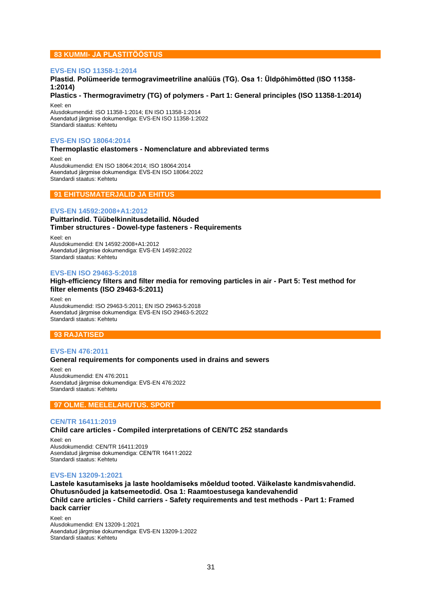## **83 KUMMI- JA PLASTITÖÖSTUS**

#### **EVS-EN ISO 11358-1:2014**

## **Plastid. Polümeeride termogravimeetriline analüüs (TG). Osa 1: Üldpõhimõtted (ISO 11358- 1:2014)**

**Plastics - Thermogravimetry (TG) of polymers - Part 1: General principles (ISO 11358-1:2014)** Keel: en

Alusdokumendid: ISO 11358-1:2014; EN ISO 11358-1:2014 Asendatud järgmise dokumendiga: EVS-EN ISO 11358-1:2022 Standardi staatus: Kehtetu

## **EVS-EN ISO 18064:2014**

#### **Thermoplastic elastomers - Nomenclature and abbreviated terms**

Keel: en Alusdokumendid: EN ISO 18064:2014; ISO 18064:2014 Asendatud järgmise dokumendiga: EVS-EN ISO 18064:2022 Standardi staatus: Kehtetu

## **91 EHITUSMATERJALID JA EHITUS**

#### **EVS-EN 14592:2008+A1:2012**

## **Puittarindid. Tüübelkinnitusdetailid. Nõuded Timber structures - Dowel-type fasteners - Requirements**

Keel: en Alusdokumendid: EN 14592:2008+A1:2012 Asendatud järgmise dokumendiga: EVS-EN 14592:2022 Standardi staatus: Kehtetu

#### **EVS-EN ISO 29463-5:2018**

#### **High-efficiency filters and filter media for removing particles in air - Part 5: Test method for filter elements (ISO 29463-5:2011)**

Keel: en Alusdokumendid: ISO 29463-5:2011; EN ISO 29463-5:2018 Asendatud järgmise dokumendiga: EVS-EN ISO 29463-5:2022 Standardi staatus: Kehtetu

#### **93 RAJATISED**

#### **EVS-EN 476:2011 General requirements for components used in drains and sewers**

Keel: en Alusdokumendid: EN 476:2011 Asendatud järgmise dokumendiga: EVS-EN 476:2022 Standardi staatus: Kehtetu

## **97 OLME. MEELELAHUTUS. SPORT**

#### **CEN/TR 16411:2019**

#### **Child care articles - Compiled interpretations of CEN/TC 252 standards**

Keel: en Alusdokumendid: CEN/TR 16411:2019 Asendatud järgmise dokumendiga: CEN/TR 16411:2022 Standardi staatus: Kehtetu

#### **EVS-EN 13209-1:2021**

**Lastele kasutamiseks ja laste hooldamiseks mõeldud tooted. Väikelaste kandmisvahendid. Ohutusnõuded ja katsemeetodid. Osa 1: Raamtoestusega kandevahendid Child care articles - Child carriers - Safety requirements and test methods - Part 1: Framed back carrier**

Keel: en Alusdokumendid: EN 13209-1:2021 Asendatud järgmise dokumendiga: EVS-EN 13209-1:2022 Standardi staatus: Kehtetu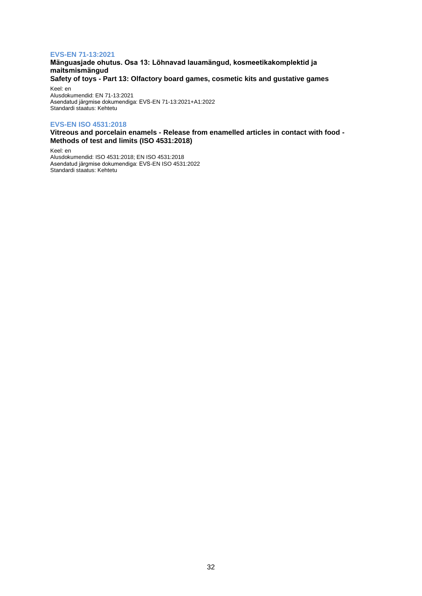## **EVS-EN 71-13:2021**

**Mänguasjade ohutus. Osa 13: Lõhnavad lauamängud, kosmeetikakomplektid ja maitsmismängud Safety of toys - Part 13: Olfactory board games, cosmetic kits and gustative games**

Keel: en Alusdokumendid: EN 71-13:2021 Asendatud järgmise dokumendiga: EVS-EN 71-13:2021+A1:2022 Standardi staatus: Kehtetu

## **EVS-EN ISO 4531:2018**

**Vitreous and porcelain enamels - Release from enamelled articles in contact with food - Methods of test and limits (ISO 4531:2018)**

Keel: en Alusdokumendid: ISO 4531:2018; EN ISO 4531:2018 Asendatud järgmise dokumendiga: EVS-EN ISO 4531:2022 Standardi staatus: Kehtetu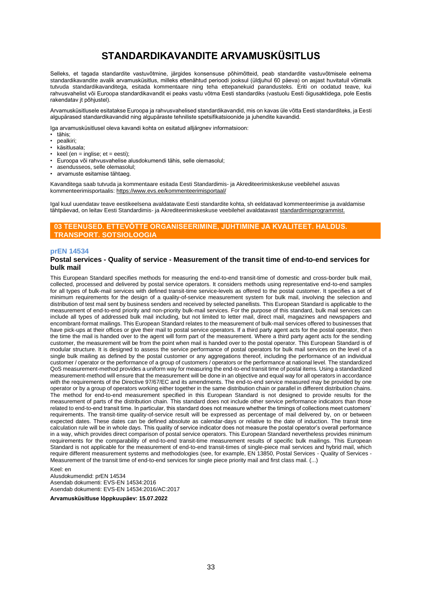# **STANDARDIKAVANDITE ARVAMUSKÜSITLUS**

<span id="page-32-0"></span>Selleks, et tagada standardite vastuvõtmine, järgides konsensuse põhimõtteid, peab standardite vastuvõtmisele eelnema standardikavandite avalik arvamusküsitlus, milleks ettenähtud perioodi jooksul (üldjuhul 60 päeva) on asjast huvitatuil võimalik tutvuda standardikavanditega, esitada kommentaare ning teha ettepanekuid parandusteks. Eriti on oodatud teave, kui rahvusvahelist või Euroopa standardikavandit ei peaks vastu võtma Eesti standardiks (vastuolu Eesti õigusaktidega, pole Eestis rakendatav jt põhjustel).

Arvamusküsitlusele esitatakse Euroopa ja rahvusvahelised standardikavandid, mis on kavas üle võtta Eesti standarditeks, ja Eesti algupärased standardikavandid ning algupäraste tehniliste spetsifikatsioonide ja juhendite kavandid.

Iga arvamusküsitlusel oleva kavandi kohta on esitatud alljärgnev informatsioon:

- tähis;
- pealkiri;
- käsitlusala;
- $\frac{1}{2}$  keel (en = inglise; et = eesti);
- Euroopa või rahvusvahelise alusdokumendi tähis, selle olemasolul;
- asendusseos, selle olemasolul;
- arvamuste esitamise tähtaeg.

Kavanditega saab tutvuda ja kommentaare esitada Eesti Standardimis- ja Akrediteerimiskeskuse veebilehel asuvas kommenteerimisportaalis[: https://www.evs.ee/kommenteerimisportaal/](https://www.evs.ee/kommenteerimisportaal/)

Igal kuul uuendatav teave eestikeelsena avaldatavate Eesti standardite kohta, sh eeldatavad kommenteerimise ja avaldamise tähtpäevad, on leitav Eesti Standardimis- ja Akrediteerimiskeskuse veebilehel avaldatavas[t standardimisprogrammist.](https://www.evs.ee/et/standardimisprogramm)

## **03 TEENUSED. ETTEVÕTTE ORGANISEERIMINE, JUHTIMINE JA KVALITEET. HALDUS. TRANSPORT. SOTSIOLOOGIA**

#### **prEN 14534**

#### **Postal services - Quality of service - Measurement of the transit time of end-to-end services for bulk mail**

This European Standard specifies methods for measuring the end-to-end transit-time of domestic and cross-border bulk mail, collected, processed and delivered by postal service operators. It considers methods using representative end-to-end samples for all types of bulk-mail services with defined transit-time service-levels as offered to the postal customer. It specifies a set of minimum requirements for the design of a quality-of-service measurement system for bulk mail, involving the selection and distribution of test mail sent by business senders and received by selected panellists. This European Standard is applicable to the measurement of end-to-end priority and non-priority bulk-mail services. For the purpose of this standard, bulk mail services can include all types of addressed bulk mail including, but not limited to letter mail, direct mail, magazines and newspapers and encombrant-format mailings. This European Standard relates to the measurement of bulk-mail services offered to businesses that have pick-ups at their offices or give their mail to postal service operators. If a third party agent acts for the postal operator, then the time the mail is handed over to the agent will form part of the measurement. Where a third party agent acts for the sending customer, the measurement will be from the point when mail is handed over to the postal operator. This European Standard is of modular structure. It is designed to assess the service performance of postal operators for bulk mail services on the level of a single bulk mailing as defined by the postal customer or any aggregations thereof, including the performance of an individual customer / operator or the performance of a group of customers / operators or the performance at national level. The standardized QoS measurement-method provides a uniform way for measuring the end-to-end transit time of postal items. Using a standardized measurement-method will ensure that the measurement will be done in an objective and equal way for all operators in accordance with the requirements of the Directive 97/67/EC and its amendments. The end-to-end service measured may be provided by one operator or by a group of operators working either together in the same distribution chain or parallel in different distribution chains. The method for end-to-end measurement specified in this European Standard is not designed to provide results for the measurement of parts of the distribution chain. This standard does not include other service performance indicators than those related to end-to-end transit time. In particular, this standard does not measure whether the timings of collections meet customers' requirements. The transit-time quality-of-service result will be expressed as percentage of mail delivered by, on or between expected dates. These dates can be defined absolute as calendar-days or relative to the date of induction. The transit time calculation rule will be in whole days. This quality of service indicator does not measure the postal operator's overall performance in a way, which provides direct comparison of postal service operators. This European Standard nevertheless provides minimum requirements for the comparability of end-to-end transit-time measurement results of specific bulk mailings. This European Standard is not applicable for the measurement of end-to-end transit-times of single-piece mail services and hybrid mail, which require different measurement systems and methodologies (see, for example, EN 13850, Postal Services - Quality of Services - Measurement of the transit time of end-to-end services for single piece priority mail and first class mail. (...)

#### Keel: en

Alusdokumendid: prEN 14534 Asendab dokumenti: EVS-EN 14534:2016 Asendab dokumenti: EVS-EN 14534:2016/AC:2017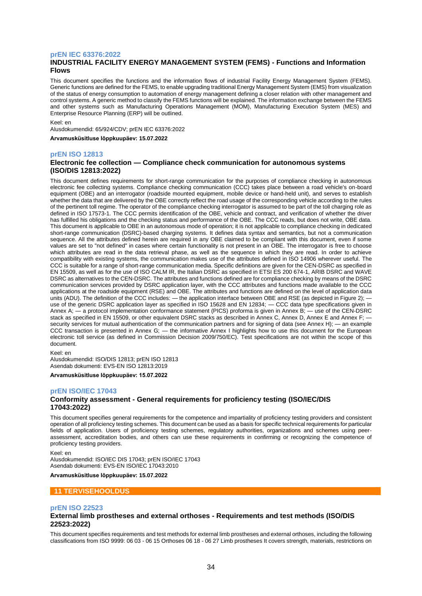#### **prEN IEC 63376:2022**

## **INDUSTRIAL FACILITY ENERGY MANAGEMENT SYSTEM (FEMS) - Functions and Information Flows**

This document specifies the functions and the information flows of industrial Facility Energy Management System (FEMS). Generic functions are defined for the FEMS, to enable upgrading traditional Energy Management System (EMS) from visualization of the status of energy consumption to automation of energy management defining a closer relation with other management and control systems. A generic method to classify the FEMS functions will be explained. The information exchange between the FEMS and other systems such as Manufacturing Operations Management (MOM), Manufacturing Execution System (MES) and Enterprise Resource Planning (ERP) will be outlined.

#### Keel: en

Alusdokumendid: 65/924/CDV; prEN IEC 63376:2022

**Arvamusküsitluse lõppkuupäev: 15.07.2022**

#### **prEN ISO 12813**

#### **Electronic fee collection — Compliance check communication for autonomous systems (ISO/DIS 12813:2022)**

This document defines requirements for short-range communication for the purposes of compliance checking in autonomous electronic fee collecting systems. Compliance checking communication (CCC) takes place between a road vehicle's on-board equipment (OBE) and an interrogator (roadside mounted equipment, mobile device or hand-held unit), and serves to establish whether the data that are delivered by the OBE correctly reflect the road usage of the corresponding vehicle according to the rules of the pertinent toll regime. The operator of the compliance checking interrogator is assumed to be part of the toll charging role as defined in ISO 17573-1. The CCC permits identification of the OBE, vehicle and contract, and verification of whether the driver has fulfilled his obligations and the checking status and performance of the OBE. The CCC reads, but does not write, OBE data. This document is applicable to OBE in an autonomous mode of operation; it is not applicable to compliance checking in dedicated short-range communication (DSRC)-based charging systems. It defines data syntax and semantics, but not a communication sequence. All the attributes defined herein are required in any OBE claimed to be compliant with this document, even if some values are set to "not defined" in cases where certain functionality is not present in an OBE. The interrogator is free to choose which attributes are read in the data retrieval phase, as well as the sequence in which they are read. In order to achieve compatibility with existing systems, the communication makes use of the attributes defined in ISO 14906 wherever useful. The CCC is suitable for a range of short-range communication media. Specific definitions are given for the CEN-DSRC as specified in EN 15509, as well as for the use of ISO CALM IR, the Italian DSRC as specified in ETSI ES 200 674-1, ARIB DSRC and WAVE DSRC as alternatives to the CEN-DSRC. The attributes and functions defined are for compliance checking by means of the DSRC communication services provided by DSRC application layer, with the CCC attributes and functions made available to the CCC applications at the roadside equipment (RSE) and OBE. The attributes and functions are defined on the level of application data units (ADU). The definition of the CCC includes: — the application interface between OBE and RSE (as depicted in Figure 2); use of the generic DSRC application layer as specified in ISO 15628 and EN 12834; — CCC data type specifications given in Annex A; — a protocol implementation conformance statement (PICS) proforma is given in Annex B; — use of the CEN-DSRC stack as specified in EN 15509, or other equivalent DSRC stacks as described in Annex C, Annex D, Annex E and Annex F; security services for mutual authentication of the communication partners and for signing of data (see Annex H); — an example CCC transaction is presented in Annex G; — the informative Annex I highlights how to use this document for the European electronic toll service (as defined in Commission Decision 2009/750/EC). Test specifications are not within the scope of this document.

#### Keel: en

Alusdokumendid: ISO/DIS 12813; prEN ISO 12813 Asendab dokumenti: EVS-EN ISO 12813:2019

**Arvamusküsitluse lõppkuupäev: 15.07.2022**

## **prEN ISO/IEC 17043**

## **Conformity assessment - General requirements for proficiency testing (ISO/IEC/DIS 17043:2022)**

This document specifies general requirements for the competence and impartiality of proficiency testing providers and consistent operation of all proficiency testing schemes. This document can be used as a basis for specific technical requirements for particular fields of application. Users of proficiency testing schemes, regulatory authorities, organizations and schemes using peerassessment, accreditation bodies, and others can use these requirements in confirming or recognizing the competence of proficiency testing providers.

#### Keel: en

Alusdokumendid: ISO/IEC DIS 17043; prEN ISO/IEC 17043 Asendab dokumenti: EVS-EN ISO/IEC 17043:2010

**Arvamusküsitluse lõppkuupäev: 15.07.2022**

#### **11 TERVISEHOOLDUS**

#### **prEN ISO 22523**

## **External limb prostheses and external orthoses - Requirements and test methods (ISO/DIS 22523:2022)**

This document specifies requirements and test methods for external limb prostheses and external orthoses, including the following classifications from ISO 9999: 06 03 - 06 15 Orthoses 06 18 - 06 27 Limb prostheses It covers strength, materials, restrictions on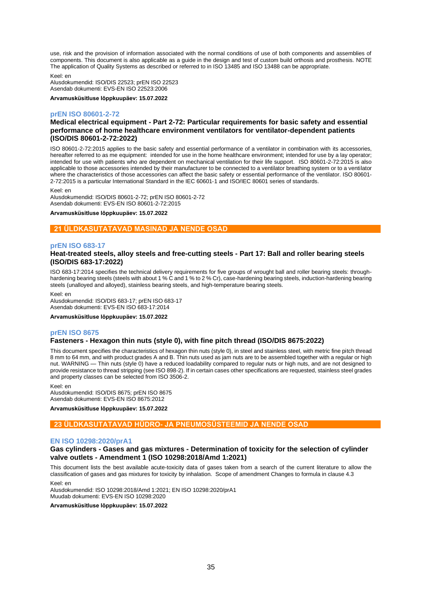use, risk and the provision of information associated with the normal conditions of use of both components and assemblies of components. This document is also applicable as a guide in the design and test of custom build orthosis and prosthesis. NOTE The application of Quality Systems as described or referred to in ISO 13485 and ISO 13488 can be appropriate.

Keel: en

Alusdokumendid: ISO/DIS 22523; prEN ISO 22523 Asendab dokumenti: EVS-EN ISO 22523:2006

**Arvamusküsitluse lõppkuupäev: 15.07.2022**

#### **prEN ISO 80601-2-72**

## **Medical electrical equipment - Part 2-72: Particular requirements for basic safety and essential performance of home healthcare environment ventilators for ventilator-dependent patients (ISO/DIS 80601-2-72:2022)**

ISO 80601-2-72:2015 applies to the basic safety and essential performance of a ventilator in combination with its accessories, hereafter referred to as me equipment: intended for use in the home healthcare environment; intended for use by a lay operator; intended for use with patients who are dependent on mechanical ventilation for their life support. ISO 80601-2-72:2015 is also applicable to those accessories intended by their manufacturer to be connected to a ventilator breathing system or to a ventilator where the characteristics of those accessories can affect the basic safety or essential performance of the ventilator. ISO 80601-2-72:2015 is a particular International Standard in the IEC 60601‑1 and ISO/IEC 80601 series of standards.

Keel: en

Alusdokumendid: ISO/DIS 80601-2-72; prEN ISO 80601-2-72 Asendab dokumenti: EVS-EN ISO 80601-2-72:2015

**Arvamusküsitluse lõppkuupäev: 15.07.2022**

#### **21 ÜLDKASUTATAVAD MASINAD JA NENDE OSAD**

#### **prEN ISO 683-17**

#### **Heat-treated steels, alloy steels and free-cutting steels - Part 17: Ball and roller bearing steels (ISO/DIS 683-17:2022)**

ISO 683-17:2014 specifies the technical delivery requirements for five groups of wrought ball and roller bearing steels: throughhardening bearing steels (steels with about 1 % C and 1 % to 2 % Cr), case-hardening bearing steels, induction-hardening bearing steels (unalloyed and alloyed), stainless bearing steels, and high-temperature bearing steels.

Keel: en

Alusdokumendid: ISO/DIS 683-17; prEN ISO 683-17 Asendab dokumenti: EVS-EN ISO 683-17:2014

**Arvamusküsitluse lõppkuupäev: 15.07.2022**

#### **prEN ISO 8675**

#### **Fasteners - Hexagon thin nuts (style 0), with fine pitch thread (ISO/DIS 8675:2022)**

This document specifies the characteristics of hexagon thin nuts (style 0), in steel and stainless steel, with metric fine pitch thread 8 mm to 64 mm, and with product grades A and B. Thin nuts used as jam nuts are to be assembled together with a regular or high nut. WARNING — Thin nuts (style 0) have a reduced loadability compared to regular nuts or high nuts, and are not designed to provide resistance to thread stripping (see ISO 898-2). If in certain cases other specifications are requested, stainless steel grades and property classes can be selected from ISO 3506-2.

Keel: en Alusdokumendid: ISO/DIS 8675; prEN ISO 8675 Asendab dokumenti: EVS-EN ISO 8675:2012

**Arvamusküsitluse lõppkuupäev: 15.07.2022**

## **23 ÜLDKASUTATAVAD HÜDRO- JA PNEUMOSÜSTEEMID JA NENDE OSAD**

#### **EN ISO 10298:2020/prA1**

#### **Gas cylinders - Gases and gas mixtures - Determination of toxicity for the selection of cylinder valve outlets - Amendment 1 (ISO 10298:2018/Amd 1:2021)**

This document lists the best available acute-toxicity data of gases taken from a search of the current literature to allow the classification of gases and gas mixtures for toxicity by inhalation. Scope of amendment Changes to formula in clause 4.3

Keel: en

Alusdokumendid: ISO 10298:2018/Amd 1:2021; EN ISO 10298:2020/prA1 Muudab dokumenti: EVS-EN ISO 10298:2020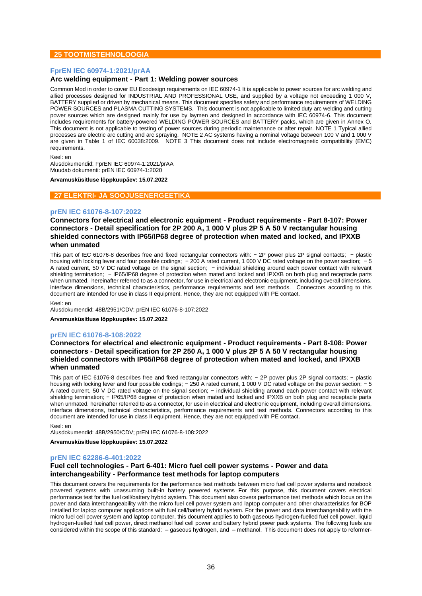## **25 TOOTMISTEHNOLOOGIA**

## **FprEN IEC 60974-1:2021/prAA**

#### **Arc welding equipment - Part 1: Welding power sources**

Common Mod in order to cover EU Ecodesign requirements on IEC 60974-1 It is applicable to power sources for arc welding and allied processes designed for INDUSTRIAL AND PROFESSIONAL USE, and supplied by a voltage not exceeding 1 000 V, BATTERY supplied or driven by mechanical means. This document specifies safety and performance requirements of WELDING POWER SOURCES and PLASMA CUTTING SYSTEMS. This document is not applicable to limited duty arc welding and cutting power sources which are designed mainly for use by laymen and designed in accordance with IEC 60974-6. This document includes requirements for battery-powered WELDING POWER SOURCES and BATTERY packs, which are given in Annex O. This document is not applicable to testing of power sources during periodic maintenance or after repair. NOTE 1 Typical allied processes are electric arc cutting and arc spraying. NOTE 2 AC systems having a nominal voltage between 100 V and 1 000 V are given in Table 1 of IEC 60038:2009. NOTE 3 This document does not include electromagnetic compatibility (EMC) requirements.

Keel: en

Alusdokumendid: FprEN IEC 60974-1:2021/prAA Muudab dokumenti: prEN IEC 60974-1:2020

**Arvamusküsitluse lõppkuupäev: 15.07.2022**

#### **27 ELEKTRI- JA SOOJUSENERGEETIKA**

## **prEN IEC 61076-8-107:2022**

**Connectors for electrical and electronic equipment - Product requirements - Part 8-107: Power connectors - Detail specification for 2P 200 A, 1 000 V plus 2P 5 A 50 V rectangular housing shielded connectors with IP65/IP68 degree of protection when mated and locked, and IPXXB when unmated**

This part of IEC 61076-8 describes free and fixed rectangular connectors with: − 2P power plus 2P signal contacts: − plastic housing with locking lever and four possible codings; − 200 A rated current, 1 000 V DC rated voltage on the power section; − 5 A rated current, 50 V DC rated voltage on the signal section; - individual shielding around each power contact with relevant shielding termination; − IP65/IP68 degree of protection when mated and locked and IPXXB on both plug and receptacle parts when unmated. hereinafter referred to as a connector, for use in electrical and electronic equipment, including overall dimensions, interface dimensions, technical characteristics, performance requirements and test methods. Connectors according to this document are intended for use in class II equipment. Hence, they are not equipped with PE contact.

Keel: en

Alusdokumendid: 48B/2951/CDV; prEN IEC 61076-8-107:2022

**Arvamusküsitluse lõppkuupäev: 15.07.2022**

#### **prEN IEC 61076-8-108:2022**

**Connectors for electrical and electronic equipment - Product requirements - Part 8-108: Power connectors - Detail specification for 2P 250 A, 1 000 V plus 2P 5 A 50 V rectangular housing shielded connectors with IP65/IP68 degree of protection when mated and locked, and IPXXB when unmated**

This part of IEC 61076-8 describes free and fixed rectangular connectors with: − 2P power plus 2P signal contacts: − plastic housing with locking lever and four possible codings; − 250 A rated current, 1 000 V DC rated voltage on the power section; − 5 A rated current, 50 V DC rated voltage on the signal section; − individual shielding around each power contact with relevant shielding termination; − IP65/IP68 degree of protection when mated and locked and IPXXB on both plug and receptacle parts when unmated, hereinafter referred to as a connector, for use in electrical and electronic equipment, including overall dimensions, interface dimensions, technical characteristics, performance requirements and test methods. Connectors according to this document are intended for use in class II equipment. Hence, they are not equipped with PE contact.

Keel: en

Alusdokumendid: 48B/2950/CDV; prEN IEC 61076-8-108:2022

**Arvamusküsitluse lõppkuupäev: 15.07.2022**

## **prEN IEC 62286-6-401:2022**

## **Fuel cell technologies - Part 6-401: Micro fuel cell power systems - Power and data interchangeability - Performance test methods for laptop computers**

This document covers the requirements for the performance test methods between micro fuel cell power systems and notebook powered systems with unassuming built-in battery powered systems For this purpose, this document covers electrical performance test for the fuel cell/battery hybrid system. This document also covers performance test methods which focus on the power and data interchangeability with the micro fuel cell power system and laptop computer and other characteristics for BOP installed for laptop computer applications with fuel cell/battery hybrid system. For the power and data interchangeability with the micro fuel cell power system and laptop computer, this document applies to both gaseous hydrogen-fuelled fuel cell power, liquid hydrogen-fuelled fuel cell power, direct methanol fuel cell power and battery hybrid power pack systems. The following fuels are considered within the scope of this standard: – gaseous hydrogen, and – methanol. This document does not apply to reformer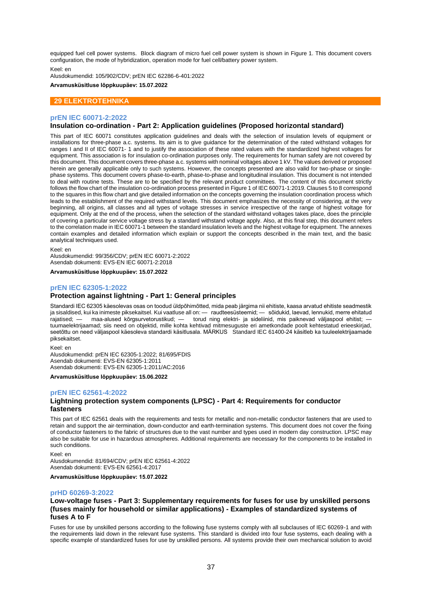equipped fuel cell power systems. Block diagram of micro fuel cell power system is shown in Figure 1. This document covers configuration, the mode of hybridization, operation mode for fuel cell/battery power system.

Keel: en

Alusdokumendid: 105/902/CDV; prEN IEC 62286-6-401:2022 **Arvamusküsitluse lõppkuupäev: 15.07.2022**

## **29 ELEKTROTEHNIKA**

#### **prEN IEC 60071-2:2022**

#### **Insulation co-ordination - Part 2: Application guidelines (Proposed horizontal standard)**

This part of IEC 60071 constitutes application guidelines and deals with the selection of insulation levels of equipment or installations for three-phase a.c. systems. Its aim is to give guidance for the determination of the rated withstand voltages for ranges I and II of IEC 60071- 1 and to justify the association of these rated values with the standardized highest voltages for equipment. This association is for insulation co-ordination purposes only. The requirements for human safety are not covered by this document. This document covers three-phase a.c. systems with nominal voltages above 1 kV. The values derived or proposed herein are generally applicable only to such systems. However, the concepts presented are also valid for two-phase or singlephase systems. This document covers phase-to-earth, phase-to-phase and longitudinal insulation. This document is not intended to deal with routine tests. These are to be specified by the relevant product committees. The content of this document strictly follows the flow chart of the insulation co-ordination process presented in Figure 1 of IEC 60071-1:2019. Clauses 5 to 8 correspond to the squares in this flow chart and give detailed information on the concepts governing the insulation coordination process which leads to the establishment of the required withstand levels. This document emphasizes the necessity of considering, at the very beginning, all origins, all classes and all types of voltage stresses in service irrespective of the range of highest voltage for equipment. Only at the end of the process, when the selection of the standard withstand voltages takes place, does the principle of covering a particular service voltage stress by a standard withstand voltage apply. Also, at this final step, this document refers to the correlation made in IEC 60071-1 between the standard insulation levels and the highest voltage for equipment. The annexes contain examples and detailed information which explain or support the concepts described in the main text, and the basic analytical techniques used.

Keel: en

Alusdokumendid: 99/356/CDV; prEN IEC 60071-2:2022 Asendab dokumenti: EVS-EN IEC 60071-2:2018

**Arvamusküsitluse lõppkuupäev: 15.07.2022**

#### **prEN IEC 62305-1:2022**

#### **Protection against lightning - Part 1: General principles**

Standardi IEC 62305 käesolevas osas on toodud üldpõhimõtted, mida peab järgima nii ehitiste, kaasa arvatud ehitiste seadmestik ja sisaldised, kui ka inimeste piksekaitsel. Kui vaatluse all on: — raudteesüsteemid; — sõidukid, laevad, lennukid, merre ehitatud rajatised; — maa-alused kõrgsurvetorustikud; — torud ning elektri- ja sideliinid, mis paiknevad väljaspool ehitist; tuumaelektrijaamad; siis need on objektid, mille kohta kehtivad mitmesuguste eri ametkondade poolt kehtestatud erieeskirjad, seetõttu on need väljaspool käesoleva standardi käsitlusala. MÄRKUS Standard IEC 61400-24 käsitleb ka tuuleelektrijaamade piksekaitset.

Keel: en

Alusdokumendid: prEN IEC 62305-1:2022; 81/695/FDIS Asendab dokumenti: EVS-EN 62305-1:2011 Asendab dokumenti: EVS-EN 62305-1:2011/AC:2016

**Arvamusküsitluse lõppkuupäev: 15.06.2022**

#### **prEN IEC 62561-4:2022**

## **Lightning protection system components (LPSC) - Part 4: Requirements for conductor fasteners**

This part of IEC 62561 deals with the requirements and tests for metallic and non-metallic conductor fasteners that are used to retain and support the air-termination, down-conductor and earth-termination systems. This document does not cover the fixing of conductor fasteners to the fabric of structures due to the vast number and types used in modern day construction. LPSC may also be suitable for use in hazardous atmospheres. Additional requirements are necessary for the components to be installed in such conditions.

Keel: en Alusdokumendid: 81/694/CDV; prEN IEC 62561-4:2022 Asendab dokumenti: EVS-EN 62561-4:2017

**Arvamusküsitluse lõppkuupäev: 15.07.2022**

#### **prHD 60269-3:2022**

## **Low-voltage fuses - Part 3: Supplementary requirements for fuses for use by unskilled persons (fuses mainly for household or similar applications) - Examples of standardized systems of fuses A to F**

Fuses for use by unskilled persons according to the following fuse systems comply with all subclauses of IEC 60269-1 and with the requirements laid down in the relevant fuse systems. This standard is divided into four fuse systems, each dealing with a specific example of standardized fuses for use by unskilled persons. All systems provide their own mechanical solution to avoid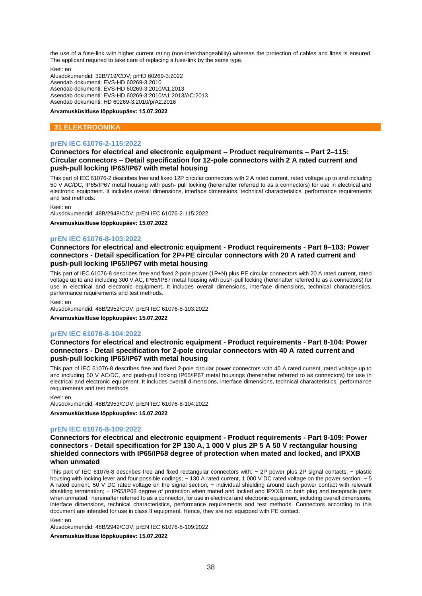the use of a fuse-link with higher current rating (non-interchangeability) whereas the protection of cables and lines is ensured. The applicant required to take care of replacing a fuse-link by the same type.

Keel: en

Alusdokumendid: 32B/719/CDV; prHD 60269-3:2022 Asendab dokumenti: EVS-HD 60269-3:2010 Asendab dokumenti: EVS-HD 60269-3:2010/A1:2013 Asendab dokumenti: EVS-HD 60269-3:2010/A1:2013/AC:2013 Asendab dokumenti: HD 60269-3:2010/prA2:2016

**Arvamusküsitluse lõppkuupäev: 15.07.2022**

## **31 ELEKTROONIKA**

## **prEN IEC 61076-2-115:2022**

## **Connectors for electrical and electronic equipment – Product requirements – Part 2–115: Circular connectors – Detail specification for 12-pole connectors with 2 A rated current and push-pull locking IP65/IP67 with metal housing**

This part of IEC 61076-2 describes free and fixed 12P circular connectors with 2 A rated current, rated voltage up to and including 50 V AC/DC, IP65/IP67 metal housing with push- pull locking (hereinafter referred to as a connectors) for use in electrical and electronic equipment. It includes overall dimensions, interface dimensions, technical characteristics, performance requirements and test methods.

Keel: en

Alusdokumendid: 48B/2948/CDV; prEN IEC 61076-2-115:2022

**Arvamusküsitluse lõppkuupäev: 15.07.2022**

#### **prEN IEC 61076-8-103:2022**

## **Connectors for electrical and electronic equipment - Product requirements - Part 8–103: Power connectors - Detail specification for 2P+PE circular connectors with 20 A rated current and push-pull locking IP65/IP67 with metal housing**

This part of IEC 61076-8 describes free and fixed 2-pole power (1P+N) plus PE circular connectors with 20 A rated current, rated voltage up to and including 300 V AC, IP65/IP67 metal housing with push-pull locking (hereinafter referred to as a connectors) for use in electrical and electronic equipment. It includes overall dimensions, interface dimensions, technical characteristics, performance requirements and test methods.

Keel: en

Alusdokumendid: 48B/2952/CDV; prEN IEC 61076-8-103:2022

**Arvamusküsitluse lõppkuupäev: 15.07.2022**

#### **prEN IEC 61076-8-104:2022**

**Connectors for electrical and electronic equipment - Product requirements - Part 8-104: Power connectors - Detail specification for 2-pole circular connectors with 40 A rated current and push-pull locking IP65/IP67 with metal housing**

This part of IEC 61076-8 describes free and fixed 2-pole circular power connectors with 40 A rated current, rated voltage up to and including 50 V AC/DC, and push-pull locking IP65/IP67 metal housings (hereinafter referred to as connectors) for use in electrical and electronic equipment. It includes overall dimensions, interface dimensions, technical characteristics, performance requirements and test methods.

Keel: en

Alusdokumendid: 48B/2953/CDV; prEN IEC 61076-8-104:2022

**Arvamusküsitluse lõppkuupäev: 15.07.2022**

#### **prEN IEC 61076-8-109:2022**

**Connectors for electrical and electronic equipment - Product requirements - Part 8-109: Power connectors - Detail specification for 2P 130 A, 1 000 V plus 2P 5 A 50 V rectangular housing shielded connectors with IP65/IP68 degree of protection when mated and locked, and IPXXB when unmated**

This part of IEC 61076-8 describes free and fixed rectangular connectors with: − 2P power plus 2P signal contacts; − plastic housing with locking lever and four possible codings; − 130 A rated current, 1 000 V DC rated voltage on the power section; − 5 A rated current, 50 V DC rated voltage on the signal section; − individual shielding around each power contact with relevant shielding termination; − IP65/IP68 degree of protection when mated and locked and IPXXB on both plug and receptacle parts when unmated. hereinafter referred to as a connector, for use in electrical and electronic equipment, including overall dimensions, interface dimensions, technical characteristics, performance requirements and test methods. Connectors according to this document are intended for use in class II equipment. Hence, they are not equipped with PE contact.

Keel: en

Alusdokumendid: 48B/2949/CDV; prEN IEC 61076-8-109:2022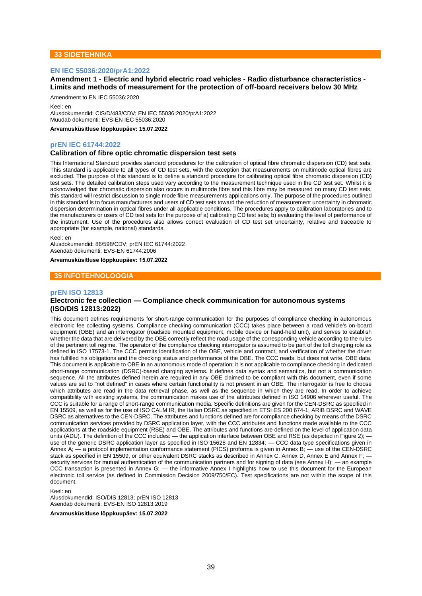## **33 SIDETEHNIKA**

#### **EN IEC 55036:2020/prA1:2022**

**Amendment 1 - Electric and hybrid electric road vehicles - Radio disturbance characteristics - Limits and methods of measurement for the protection of off-board receivers below 30 MHz**

#### Amendment to EN IEC 55036:2020

Keel: en

Alusdokumendid: CIS/D/483/CDV; EN IEC 55036:2020/prA1:2022 Muudab dokumenti: EVS-EN IEC 55036:2020

**Arvamusküsitluse lõppkuupäev: 15.07.2022**

#### **prEN IEC 61744:2022**

#### **Calibration of fibre optic chromatic dispersion test sets**

This International Standard provides standard procedures for the calibration of optical fibre chromatic dispersion (CD) test sets. This standard is applicable to all types of CD test sets, with the exception that measurements on multimode optical fibres are excluded. The purpose of this standard is to define a standard procedure for calibrating optical fibre chromatic dispersion (CD) test sets. The detailed calibration steps used vary according to the measurement technique used in the CD test set. Whilst it is acknowledged that chromatic dispersion also occurs in multimode fibre and this fibre may be measured on many CD test sets, this standard will restrict discussion to single mode fibre measurements applications only. The purpose of the procedures outlined in this standard is to focus manufacturers and users of CD test sets toward the reduction of measurement uncertainty in chromatic dispersion determination in optical fibres under all applicable conditions. The procedures apply to calibration laboratories and to the manufacturers or users of CD test sets for the purpose of a) calibrating CD test sets; b) evaluating the level of performance of the instrument. Use of the procedures also allows correct evaluation of CD test set uncertainty, relative and traceable to appropriate (for example, national) standards.

Keel: en

Alusdokumendid: 86/598/CDV; prEN IEC 61744:2022 Asendab dokumenti: EVS-EN 61744:2006

#### **Arvamusküsitluse lõppkuupäev: 15.07.2022**

#### **35 INFOTEHNOLOOGIA**

#### **prEN ISO 12813**

## **Electronic fee collection — Compliance check communication for autonomous systems (ISO/DIS 12813:2022)**

This document defines requirements for short-range communication for the purposes of compliance checking in autonomous electronic fee collecting systems. Compliance checking communication (CCC) takes place between a road vehicle's on-board equipment (OBE) and an interrogator (roadside mounted equipment, mobile device or hand-held unit), and serves to establish whether the data that are delivered by the OBE correctly reflect the road usage of the corresponding vehicle according to the rules of the pertinent toll regime. The operator of the compliance checking interrogator is assumed to be part of the toll charging role as defined in ISO 17573-1. The CCC permits identification of the OBE, vehicle and contract, and verification of whether the driver has fulfilled his obligations and the checking status and performance of the OBE. The CCC reads, but does not write, OBE data. This document is applicable to OBE in an autonomous mode of operation; it is not applicable to compliance checking in dedicated short-range communication (DSRC)-based charging systems. It defines data syntax and semantics, but not a communication sequence. All the attributes defined herein are required in any OBE claimed to be compliant with this document, even if some values are set to "not defined" in cases where certain functionality is not present in an OBE. The interrogator is free to choose which attributes are read in the data retrieval phase, as well as the sequence in which they are read. In order to achieve compatibility with existing systems, the communication makes use of the attributes defined in ISO 14906 wherever useful. The CCC is suitable for a range of short-range communication media. Specific definitions are given for the CEN-DSRC as specified in EN 15509, as well as for the use of ISO CALM IR, the Italian DSRC as specified in ETSI ES 200 674-1, ARIB DSRC and WAVE DSRC as alternatives to the CEN-DSRC. The attributes and functions defined are for compliance checking by means of the DSRC communication services provided by DSRC application layer, with the CCC attributes and functions made available to the CCC applications at the roadside equipment (RSE) and OBE. The attributes and functions are defined on the level of application data units (ADU). The definition of the CCC includes: — the application interface between OBE and RSE (as depicted in Figure 2); use of the generic DSRC application layer as specified in ISO 15628 and EN 12834; — CCC data type specifications given in Annex A; — a protocol implementation conformance statement (PICS) proforma is given in Annex B; — use of the CEN-DSRC stack as specified in EN 15509, or other equivalent DSRC stacks as described in Annex C, Annex D, Annex E and Annex F; security services for mutual authentication of the communication partners and for signing of data (see Annex H); — an example CCC transaction is presented in Annex G; — the informative Annex I highlights how to use this document for the European electronic toll service (as defined in Commission Decision 2009/750/EC). Test specifications are not within the scope of this document.

Keel: en

Alusdokumendid: ISO/DIS 12813; prEN ISO 12813 Asendab dokumenti: EVS-EN ISO 12813:2019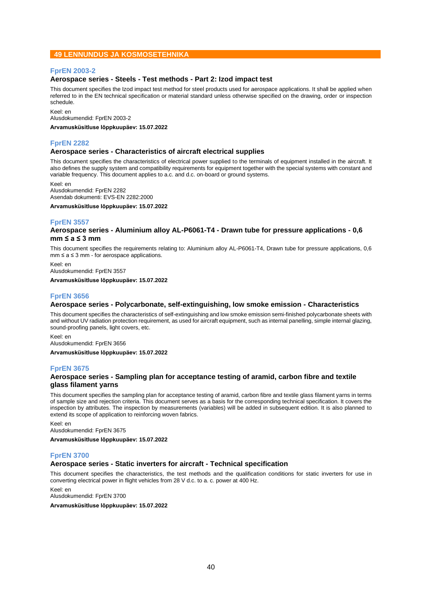## **49 LENNUNDUS JA KOSMOSETEHNIKA**

## **FprEN 2003-2**

## **Aerospace series - Steels - Test methods - Part 2: Izod impact test**

This document specifies the Izod impact test method for steel products used for aerospace applications. It shall be applied when referred to in the EN technical specification or material standard unless otherwise specified on the drawing, order or inspection schedule.

Keel: en Alusdokumendid: FprEN 2003-2

**Arvamusküsitluse lõppkuupäev: 15.07.2022**

## **FprEN 2282**

## **Aerospace series - Characteristics of aircraft electrical supplies**

This document specifies the characteristics of electrical power supplied to the terminals of equipment installed in the aircraft. It also defines the supply system and compatibility requirements for equipment together with the special systems with constant and variable frequency. This document applies to a.c. and d.c. on-board or ground systems.

Keel: en

Alusdokumendid: FprEN 2282 Asendab dokumenti: EVS-EN 2282:2000

**Arvamusküsitluse lõppkuupäev: 15.07.2022**

## **FprEN 3557**

#### **Aerospace series - Aluminium alloy AL-P6061-T4 - Drawn tube for pressure applications - 0,6 mm ≤ a ≤ 3 mm**

This document specifies the requirements relating to: Aluminium alloy AL-P6061-T4, Drawn tube for pressure applications, 0,6  $mm \le a \le 3$  mm - for aerospace applications.

Keel: en Alusdokumendid: FprEN 3557

**Arvamusküsitluse lõppkuupäev: 15.07.2022**

## **FprEN 3656**

## **Aerospace series - Polycarbonate, self-extinguishing, low smoke emission - Characteristics**

This document specifies the characteristics of self-extinguishing and low smoke emission semi-finished polycarbonate sheets with and without UV radiation protection requirement, as used for aircraft equipment, such as internal panelling, simple internal glazing, sound-proofing panels, light covers, etc.

Keel: en Alusdokumendid: FprEN 3656

**Arvamusküsitluse lõppkuupäev: 15.07.2022**

## **FprEN 3675**

## **Aerospace series - Sampling plan for acceptance testing of aramid, carbon fibre and textile glass filament yarns**

This document specifies the sampling plan for acceptance testing of aramid, carbon fibre and textile glass filament yarns in terms of sample size and rejection criteria. This document serves as a basis for the corresponding technical specification. It covers the inspection by attributes. The inspection by measurements (variables) will be added in subsequent edition. It is also planned to extend its scope of application to reinforcing woven fabrics.

Keel: en Alusdokumendid: FprEN 3675

**Arvamusküsitluse lõppkuupäev: 15.07.2022**

## **FprEN 3700**

#### **Aerospace series - Static inverters for aircraft - Technical specification**

This document specifies the characteristics, the test methods and the qualification conditions for static inverters for use in converting electrical power in flight vehicles from 28 V d.c. to a. c. power at 400 Hz.

Keel: en

Alusdokumendid: FprEN 3700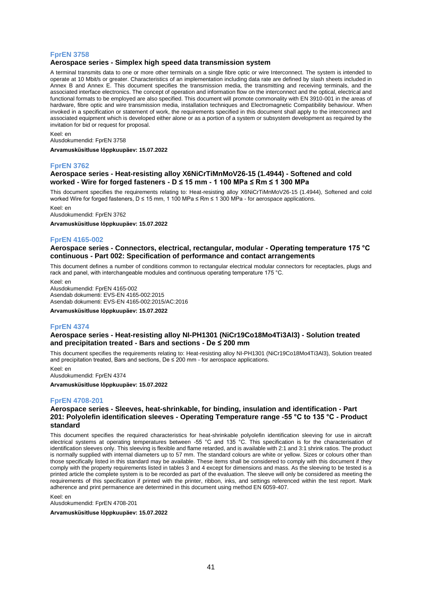## **FprEN 3758**

## **Aerospace series - Simplex high speed data transmission system**

A terminal transmits data to one or more other terminals on a single fibre optic or wire Interconnect. The system is intended to operate at 10 Mbit/s or greater. Characteristics of an implementation including data rate are defined by slash sheets included in Annex B and Annex E. This document specifies the transmission media, the transmitting and receiving terminals, and the associated interface electronics. The concept of operation and information flow on the interconnect and the optical, electrical and functional formats to be employed are also specified. This document will promote commonality with EN 3910-001 in the areas of hardware, fibre optic and wire transmission media, installation techniques and Electromagnetic Compatibility behaviour. When invoked in a specification or statement of work, the requirements specified in this document shall apply to the interconnect and associated equipment which is developed either alone or as a portion of a system or subsystem development as required by the invitation for bid or request for proposal.

Keel: en Alusdokumendid: FprEN 3758

**Arvamusküsitluse lõppkuupäev: 15.07.2022**

## **FprEN 3762**

## **Aerospace series - Heat-resisting alloy X6NiCrTiMnMoV26-15 (1.4944) - Softened and cold worked - Wire for forged fasteners - D ≤ 15 mm - 1 100 MPa ≤ Rm ≤ 1 300 MPa**

This document specifies the requirements relating to: Heat-resisting alloy X6NiCrTiMnMoV26-15 (1.4944), Softened and cold worked Wire for forged fasteners, D ≤ 15 mm, 1 100 MPa ≤ Rm ≤ 1 300 MPa - for aerospace applications.

Keel: en

Alusdokumendid: FprEN 3762

**Arvamusküsitluse lõppkuupäev: 15.07.2022**

## **FprEN 4165-002**

#### **Aerospace series - Connectors, electrical, rectangular, modular - Operating temperature 175 °C continuous - Part 002: Specification of performance and contact arrangements**

This document defines a number of conditions common to rectangular electrical modular connectors for receptacles, plugs and rack and panel, with interchangeable modules and continuous operating temperature 175 °C.

Keel: en Alusdokumendid: FprEN 4165-002 Asendab dokumenti: EVS-EN 4165-002:2015 Asendab dokumenti: EVS-EN 4165-002:2015/AC:2016

**Arvamusküsitluse lõppkuupäev: 15.07.2022**

## **FprEN 4374**

#### **Aerospace series - Heat-resisting alloy NI-PH1301 (NiCr19Co18Mo4Ti3Al3) - Solution treated and precipitation treated - Bars and sections - De ≤ 200 mm**

This document specifies the requirements relating to: Heat-resisting alloy NI-PH1301 (NiCr19Co18Mo4Ti3Al3), Solution treated and precipitation treated, Bars and sections, De ≤ 200 mm - for aerospace applications.

Keel: en

Alusdokumendid: FprEN 4374

**Arvamusküsitluse lõppkuupäev: 15.07.2022**

#### **FprEN 4708-201**

#### **Aerospace series - Sleeves, heat-shrinkable, for binding, insulation and identification - Part 201: Polyolefin identification sleeves - Operating Temperature range -55 °C to 135 °C - Product standard**

This document specifies the required characteristics for heat-shrinkable polyolefin identification sleeving for use in aircraft electrical systems at operating temperatures between -55 °C and 135 °C. This specification is for the characterisation of identification sleeves only. This sleeving is flexible and flame retarded, and is available with 2:1 and 3:1 shrink ratios. The product is normally supplied with internal diameters up to 57 mm. The standard colours are white or yellow. Sizes or colours other than those specifically listed in this standard may be available. These items shall be considered to comply with this document if they comply with the property requirements listed in tables 3 and 4 except for dimensions and mass. As the sleeving to be tested is a printed article the complete system is to be recorded as part of the evaluation. The sleeve will only be considered as meeting the requirements of this specification if printed with the printer, ribbon, inks, and settings referenced within the test report. Mark adherence and print permanence are determined in this document using method EN 6059-407.

Keel: en Alusdokumendid: FprEN 4708-201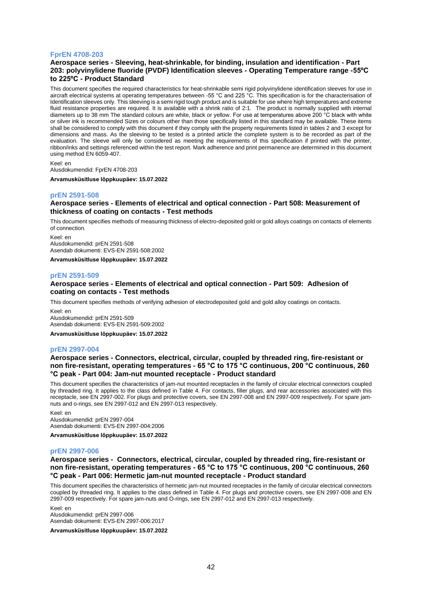## **FprEN 4708-203**

## **Aerospace series - Sleeving, heat-shrinkable, for binding, insulation and identification - Part 203: polyvinylidene fluoride (PVDF) Identification sleeves - Operating Temperature range -55ºC to 225ºC - Product Standard**

This document specifies the required characteristics for heat-shrinkable semi rigid polyvinylidene identification sleeves for use in aircraft electrical systems at operating temperatures between -55 °C and 225 °C. This specification is for the characterisation of Identification sleeves only. This sleeving is a semi rigid tough product and is suitable for use where high temperatures and extreme fluid resistance properties are required. It is available with a shrink ratio of 2:1. The product is normally supplied with internal diameters up to 38 mm The standard colours are white, black or yellow. For use at temperatures above 200 °C black with white or silver ink is recommended Sizes or colours other than those specifically listed in this standard may be available. These items shall be considered to comply with this document if they comply with the property requirements listed in tables 2 and 3 except for dimensions and mass. As the sleeving to be tested is a printed article the complete system is to be recorded as part of the evaluation. The sleeve will only be considered as meeting the requirements of this specification if printed with the printer, ribbon/inks and settings referenced within the test report. Mark adherence and print permanence are determined in this document using method EN 6059-407.

Keel: en Alusdokumendid: FprEN 4708-203 **Arvamusküsitluse lõppkuupäev: 15.07.2022**

#### **prEN 2591-508**

#### **Aerospace series - Elements of electrical and optical connection - Part 508: Measurement of thickness of coating on contacts - Test methods**

This document specifies methods of measuring thickness of electro-deposited gold or gold alloys coatings on contacts of elements of connection.

Keel: en Alusdokumendid: prEN 2591-508 Asendab dokumenti: EVS-EN 2591-508:2002

**Arvamusküsitluse lõppkuupäev: 15.07.2022**

#### **prEN 2591-509**

#### **Aerospace series - Elements of electrical and optical connection - Part 509: Adhesion of coating on contacts - Test methods**

This document specifies methods of verifying adhesion of electrodeposited gold and gold alloy coatings on contacts.

Keel: en Alusdokumendid: prEN 2591-509 Asendab dokumenti: EVS-EN 2591-509:2002

**Arvamusküsitluse lõppkuupäev: 15.07.2022**

#### **prEN 2997-004**

#### **Aerospace series - Connectors, electrical, circular, coupled by threaded ring, fire-resistant or non fire-resistant, operating temperatures - 65 °C to 175 °C continuous, 200 °C continuous, 260 °C peak - Part 004: Jam-nut mounted receptacle - Product standard**

This document specifies the characteristics of jam-nut mounted receptacles in the family of circular electrical connectors coupled by threaded ring. It applies to the class defined in Table 4. For contacts, filler plugs, and rear accessories associated with this receptacle, see EN 2997-002. For plugs and protective covers, see EN 2997-008 and EN 2997-009 respectively. For spare jamnuts and o-rings, see EN 2997-012 and EN 2997-013 respectively.

Keel: en Alusdokumendid: prEN 2997-004 Asendab dokumenti: EVS-EN 2997-004:2006

**Arvamusküsitluse lõppkuupäev: 15.07.2022**

#### **prEN 2997-006**

#### **Aerospace series - Connectors, electrical, circular, coupled by threaded ring, fire-resistant or non fire-resistant, operating temperatures - 65 °C to 175 °C continuous, 200 °C continuous, 260 °C peak - Part 006: Hermetic jam-nut mounted receptacle - Product standard**

This document specifies the characteristics of hermetic jam-nut mounted receptacles in the family of circular electrical connectors coupled by threaded ring. It applies to the class defined in Table 4. For plugs and protective covers, see EN 2997-008 and EN 2997-009 respectively. For spare jam-nuts and O-rings, see EN 2997-012 and EN 2997-013 respectively.

Keel: en Alusdokumendid: prEN 2997-006 Asendab dokumenti: EVS-EN 2997-006:2017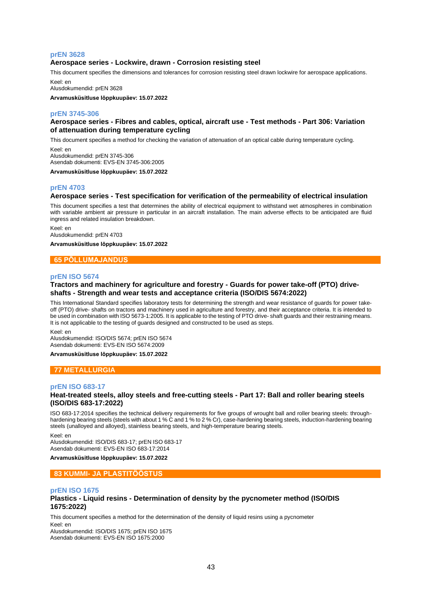## **prEN 3628**

#### **Aerospace series - Lockwire, drawn - Corrosion resisting steel**

This document specifies the dimensions and tolerances for corrosion resisting steel drawn lockwire for aerospace applications. Keel: en

Alusdokumendid: prEN 3628

**Arvamusküsitluse lõppkuupäev: 15.07.2022**

#### **prEN 3745-306**

## **Aerospace series - Fibres and cables, optical, aircraft use - Test methods - Part 306: Variation of attenuation during temperature cycling**

This document specifies a method for checking the variation of attenuation of an optical cable during temperature cycling.

Keel: en Alusdokumendid: prEN 3745-306 Asendab dokumenti: EVS-EN 3745-306:2005

**Arvamusküsitluse lõppkuupäev: 15.07.2022**

#### **prEN 4703**

#### **Aerospace series - Test specification for verification of the permeability of electrical insulation**

This document specifies a test that determines the ability of electrical equipment to withstand wet atmospheres in combination with variable ambient air pressure in particular in an aircraft installation. The main adverse effects to be anticipated are fluid ingress and related insulation breakdown.

Keel: en Alusdokumendid: prEN 4703

**Arvamusküsitluse lõppkuupäev: 15.07.2022**

#### **65 PÕLLUMAJANDUS**

#### **prEN ISO 5674**

#### **Tractors and machinery for agriculture and forestry - Guards for power take-off (PTO) driveshafts - Strength and wear tests and acceptance criteria (ISO/DIS 5674:2022)**

This International Standard specifies laboratory tests for determining the strength and wear resistance of guards for power takeoff (PTO) drive- shafts on tractors and machinery used in agriculture and forestry, and their acceptance criteria. It is intended to be used in combination with ISO 5673-1:2005. It is applicable to the testing of PTO drive- shaft guards and their restraining means. It is not applicable to the testing of guards designed and constructed to be used as steps.

Keel: en

Alusdokumendid: ISO/DIS 5674; prEN ISO 5674 Asendab dokumenti: EVS-EN ISO 5674:2009

#### **Arvamusküsitluse lõppkuupäev: 15.07.2022**

## **77 METALLURGIA**

#### **prEN ISO 683-17**

#### **Heat-treated steels, alloy steels and free-cutting steels - Part 17: Ball and roller bearing steels (ISO/DIS 683-17:2022)**

ISO 683-17:2014 specifies the technical delivery requirements for five groups of wrought ball and roller bearing steels: throughhardening bearing steels (steels with about 1 % C and 1 % to 2 % Cr), case-hardening bearing steels, induction-hardening bearing steels (unalloyed and alloyed), stainless bearing steels, and high-temperature bearing steels.

Keel: en

Alusdokumendid: ISO/DIS 683-17; prEN ISO 683-17 Asendab dokumenti: EVS-EN ISO 683-17:2014

#### **Arvamusküsitluse lõppkuupäev: 15.07.2022**

#### **83 KUMMI- JA PLASTITÖÖSTUS**

#### **prEN ISO 1675**

#### **Plastics - Liquid resins - Determination of density by the pycnometer method (ISO/DIS 1675:2022)**

This document specifies a method for the determination of the density of liquid resins using a pycnometer Keel: en

Alusdokumendid: ISO/DIS 1675; prEN ISO 1675 Asendab dokumenti: EVS-EN ISO 1675:2000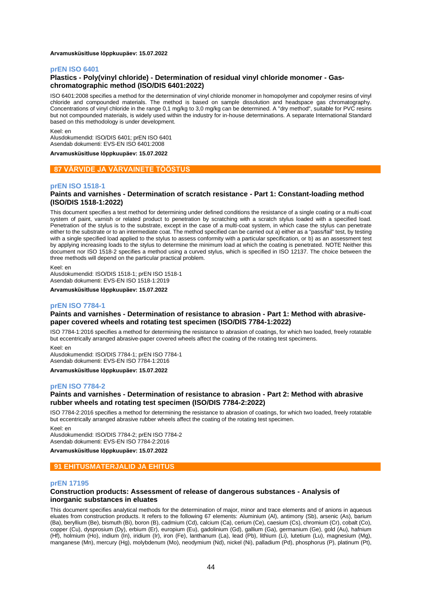#### **Arvamusküsitluse lõppkuupäev: 15.07.2022**

#### **prEN ISO 6401**

#### **Plastics - Poly(vinyl chloride) - Determination of residual vinyl chloride monomer - Gaschromatographic method (ISO/DIS 6401:2022)**

ISO 6401:2008 specifies a method for the determination of vinyl chloride monomer in homopolymer and copolymer resins of vinyl chloride and compounded materials. The method is based on sample dissolution and headspace gas chromatography. Concentrations of vinyl chloride in the range 0,1 mg/kg to 3,0 mg/kg can be determined. A "dry method", suitable for PVC resins but not compounded materials, is widely used within the industry for in-house determinations. A separate International Standard based on this methodology is under development.

Keel: en

Alusdokumendid: ISO/DIS 6401; prEN ISO 6401 Asendab dokumenti: EVS-EN ISO 6401:2008

#### **Arvamusküsitluse lõppkuupäev: 15.07.2022**

#### **87 VÄRVIDE JA VÄRVAINETE TÖÖSTUS**

#### **prEN ISO 1518-1**

#### **Paints and varnishes - Determination of scratch resistance - Part 1: Constant-loading method (ISO/DIS 1518-1:2022)**

This document specifies a test method for determining under defined conditions the resistance of a single coating or a multi-coat system of paint, varnish or related product to penetration by scratching with a scratch stylus loaded with a specified load. Penetration of the stylus is to the substrate, except in the case of a multi-coat system, in which case the stylus can penetrate either to the substrate or to an intermediate coat. The method specified can be carried out a) either as a "pass/fail" test, by testing with a single specified load applied to the stylus to assess conformity with a particular specification, or b) as an assessment test by applying increasing loads to the stylus to determine the minimum load at which the coating is penetrated. NOTE Neither this document nor ISO 1518‑2 specifies a method using a curved stylus, which is specified in ISO 12137. The choice between the three methods will depend on the particular practical problem.

Keel: en

Alusdokumendid: ISO/DIS 1518-1; prEN ISO 1518-1 Asendab dokumenti: EVS-EN ISO 1518-1:2019

**Arvamusküsitluse lõppkuupäev: 15.07.2022**

#### **prEN ISO 7784-1**

#### **Paints and varnishes - Determination of resistance to abrasion - Part 1: Method with abrasivepaper covered wheels and rotating test specimen (ISO/DIS 7784-1:2022)**

ISO 7784-1:2016 specifies a method for determining the resistance to abrasion of coatings, for which two loaded, freely rotatable but eccentrically arranged abrasive-paper covered wheels affect the coating of the rotating test specimens.

Keel: en

Alusdokumendid: ISO/DIS 7784-1; prEN ISO 7784-1 Asendab dokumenti: EVS-EN ISO 7784-1:2016

**Arvamusküsitluse lõppkuupäev: 15.07.2022**

### **prEN ISO 7784-2**

#### **Paints and varnishes - Determination of resistance to abrasion - Part 2: Method with abrasive rubber wheels and rotating test specimen (ISO/DIS 7784-2:2022)**

ISO 7784-2:2016 specifies a method for determining the resistance to abrasion of coatings, for which two loaded, freely rotatable but eccentrically arranged abrasive rubber wheels affect the coating of the rotating test specimen.

Keel: en

Alusdokumendid: ISO/DIS 7784-2; prEN ISO 7784-2 Asendab dokumenti: EVS-EN ISO 7784-2:2016

**Arvamusküsitluse lõppkuupäev: 15.07.2022**

#### **91 EHITUSMATERJALID JA EHITUS**

#### **prEN 17195**

#### **Construction products: Assessment of release of dangerous substances - Analysis of inorganic substances in eluates**

This document specifies analytical methods for the determination of major, minor and trace elements and of anions in aqueous eluates from construction products. It refers to the following 67 elements: Aluminium (Al), antimony (Sb), arsenic (As), barium (Ba), beryllium (Be), bismuth (Bi), boron (B), cadmium (Cd), calcium (Ca), cerium (Ce), caesium (Cs), chromium (Cr), cobalt (Co), copper (Cu), dysprosium (Dy), erbium (Er), europium (Eu), gadolinium (Gd), gallium (Ga), germanium (Ge), gold (Au), hafnium (Hf), holmium (Ho), indium (In), iridium (Ir), iron (Fe), lanthanum (La), lead (Pb), lithium (Li), lutetium (Lu), magnesium (Mg), manganese (Mn), mercury (Hg), molybdenum (Mo), neodymium (Nd), nickel (Ni), palladium (Pd), phosphorus (P), platinum (Pt),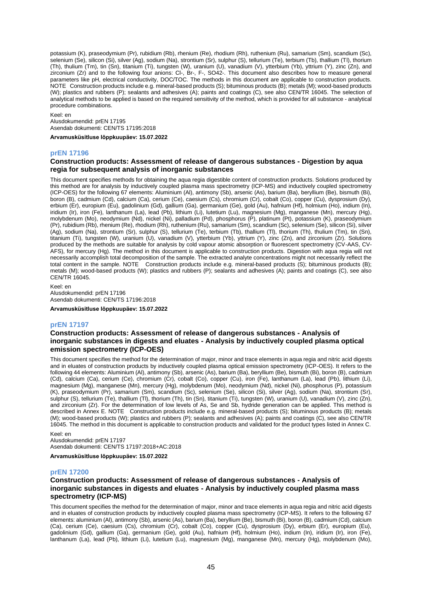potassium (K), praseodymium (Pr), rubidium (Rb), rhenium (Re), rhodium (Rh), ruthenium (Ru), samarium (Sm), scandium (Sc), selenium (Se), silicon (Si), silver (Ag), sodium (Na), strontium (Sr), sulphur (S), tellurium (Te), terbium (Tb), thallium (Tl), thorium (Th), thulium (Tm), tin (Sn), titanium (Ti), tungsten (W), uranium (U), vanadium (V), ytterbium (Yb), yttrium (Y), zinc (Zn), and zirconium (Zr) and to the following four anions: Cl-, Br-, F-, SO42-. This document also describes how to measure general parameters like pH, electrical conductivity, DOC/TOC. The methods in this document are applicable to construction products. NOTE Construction products include e.g. mineral-based products (S); bituminous products (B); metals (M); wood-based products (W); plastics and rubbers (P); sealants and adhesives (A); paints and coatings (C), see also CEN/TR 16045. The selection of analytical methods to be applied is based on the required sensitivity of the method, which is provided for all substance - analytical procedure combinations.

Keel: en Alusdokumendid: prEN 17195 Asendab dokumenti: CEN/TS 17195:2018

**Arvamusküsitluse lõppkuupäev: 15.07.2022**

#### **prEN 17196**

#### **Construction products: Assessment of release of dangerous substances - Digestion by aqua regia for subsequent analysis of inorganic substances**

This document specifies methods for obtaining the aqua regia digestible content of construction products. Solutions produced by this method are for analysis by inductively coupled plasma mass spectrometry (ICP-MS) and inductively coupled spectrometry (ICP-OES) for the following 67 elements: Aluminium (Al), antimony (Sb), arsenic (As), barium (Ba), beryllium (Be), bismuth (Bi), boron (B), cadmium (Cd), calcium (Ca), cerium (Ce), caesium (Cs), chromium (Cr), cobalt (Co), copper (Cu), dysprosium (Dy), erbium (Er), europium (Eu), gadolinium (Gd), gallium (Ga), germanium (Ge), gold (Au), hafnium (Hf), holmium (Ho), indium (In), iridium (Ir), iron (Fe), lanthanum (La), lead (Pb), lithium (Li), lutetium (Lu), magnesium (Mg), manganese (Mn), mercury (Hg), molybdenum (Mo), neodymium (Nd), nickel (Ni), palladium (Pd), phosphorus (P), platinum (Pt), potassium (K), praseodymium (Pr), rubidium (Rb), rhenium (Re), rhodium (Rh), ruthenium (Ru), samarium (Sm), scandium (Sc), selenium (Se), silicon (Si), silver (Ag), sodium (Na), strontium (Sr), sulphur (S), tellurium (Te), terbium (Tb), thallium (Tl), thorium (Th), thulium (Tm), tin (Sn), titanium (Ti), tungsten (W), uranium (U), vanadium (V), ytterbium (Yb), yttrium (Y), zinc (Zn), and zirconium (Zr). Solutions produced by the methods are suitable for analysis by cold vapour atomic absorption or fluorescent spectrometry (CV-AAS, CV-AFS), for mercury (Hg). The method in this document is applicable to construction products. Digestion with aqua regia will not necessarily accomplish total decomposition of the sample. The extracted analyte concentrations might not necessarily reflect the total content in the sample. NOTE Construction products include e.g. mineral-based products (S); bituminous products (B); metals (M); wood-based products (W); plastics and rubbers (P); sealants and adhesives (A); paints and coatings (C), see also CEN/TR 16045.

Keel: en Alusdokumendid: prEN 17196 Asendab dokumenti: CEN/TS 17196:2018

#### **Arvamusküsitluse lõppkuupäev: 15.07.2022**

#### **prEN 17197**

#### **Construction products: Assessment of release of dangerous substances - Analysis of inorganic substances in digests and eluates - Analysis by inductively coupled plasma optical emission spectrometry (ICP-OES)**

This document specifies the method for the determination of major, minor and trace elements in aqua regia and nitric acid digests and in eluates of construction products by inductively coupled plasma optical emission spectrometry (ICP-OES). It refers to the following 44 elements: Aluminium (Al), antimony (Sb), arsenic (As), barium (Ba), beryllium (Be), bismuth (Bi), boron (B), cadmium (Cd), calcium (Ca), cerium (Ce), chromium (Cr), cobalt (Co), copper (Cu), iron (Fe), lanthanum (La), lead (Pb), lithium (Li), magnesium (Mg), manganese (Mn), mercury (Hg), molybdenum (Mo), neodymium (Nd), nickel (Ni), phosphorus (P), potassium (K), praseodymium (Pr), samarium (Sm), scandium (Sc), selenium (Se), silicon (Si), silver (Ag), sodium (Na), strontium (Sr), sulphur (S), tellurium (Te), thallium (Tl), thorium (Th), tin (Sn), titanium (Ti), tungsten (W), uranium (U), vanadium (V), zinc (Zn), and zirconium (Zr). For the determination of low levels of As, Se and Sb, hydride generation can be applied. This method is described in Annex E. NOTE Construction products include e.g. mineral-based products (S); bituminous products (B); metals (M); wood-based products (W); plastics and rubbers (P); sealants and adhesives (A); paints and coatings (C), see also CEN/TR 16045. The method in this document is applicable to construction products and validated for the product types listed in Annex C.

Keel: en Alusdokumendid: prEN 17197 Asendab dokumenti: CEN/TS 17197:2018+AC:2018

**Arvamusküsitluse lõppkuupäev: 15.07.2022**

#### **prEN 17200**

#### **Construction products: Assessment of release of dangerous substances - Analysis of inorganic substances in digests and eluates - Analysis by inductively coupled plasma mass spectrometry (ICP-MS)**

This document specifies the method for the determination of major, minor and trace elements in aqua regia and nitric acid digests and in eluates of construction products by inductively coupled plasma mass spectrometry (ICP-MS). It refers to the following 67 elements: aluminium (Al), antimony (Sb), arsenic (As), barium (Ba), beryllium (Be), bismuth (Bi), boron (B), cadmium (Cd), calcium (Ca), cerium (Ce), caesium (Cs), chromium (Cr), cobalt (Co), copper (Cu), dysprosium (Dy), erbium (Er), europium (Eu), gadolinium (Gd), gallium (Ga), germanium (Ge), gold (Au), hafnium (Hf), holmium (Ho), indium (In), iridium (Ir), iron (Fe), lanthanum (La), lead (Pb), lithium (Li), lutetium (Lu), magnesium (Mg), manganese (Mn), mercury (Hg), molybdenum (Mo),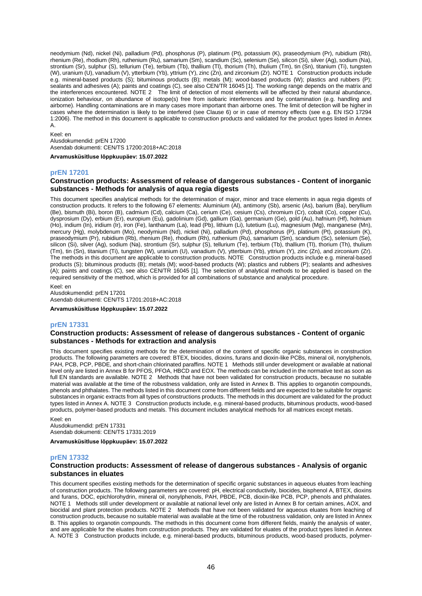neodymium (Nd), nickel (Ni), palladium (Pd), phosphorus (P), platinum (Pt), potassium (K), praseodymium (Pr), rubidium (Rb), rhenium (Re), rhodium (Rh), ruthenium (Ru), samarium (Sm), scandium (Sc), selenium (Se), silicon (Si), silver (Ag), sodium (Na), strontium (Sr), sulphur (S), tellurium (Te), terbium (Tb), thallium (Tl), thorium (Th), thulium (Tm), tin (Sn), titanium (Ti), tungsten (W), uranium (U), vanadium (V), ytterbium (Yb), yttrium (Y), zinc (Zn), and zirconium (Zr). NOTE 1 Construction products include e.g. mineral-based products (S); bituminous products (B); metals (M); wood-based products (W); plastics and rubbers (P); sealants and adhesives (A); paints and coatings (C), see also CEN/TR 16045 [1]. The working range depends on the matrix and the interferences encountered. NOTE 2 The limit of detection of most elements will be affected by their natural abundance, ionization behaviour, on abundance of isotope(s) free from isobaric interferences and by contamination (e.g. handling and airborne). Handling contaminations are in many cases more important than airborne ones. The limit of detection will be higher in cases where the determination is likely to be interfered (see Clause 6) or in case of memory effects (see e.g. EN ISO 17294 1:2006). The method in this document is applicable to construction products and validated for the product types listed in Annex A.

## Keel: en

Alusdokumendid: prEN 17200 Asendab dokumenti: CEN/TS 17200:2018+AC:2018

**Arvamusküsitluse lõppkuupäev: 15.07.2022**

#### **prEN 17201**

## **Construction products: Assessment of release of dangerous substances - Content of inorganic substances - Methods for analysis of aqua regia digests**

This document specifies analytical methods for the determination of major, minor and trace elements in aqua regia digests of construction products. It refers to the following 67 elements: Aluminium (Al), antimony (Sb), arsenic (As), barium (Ba), beryllium (Be), bismuth (Bi), boron (B), cadmium (Cd), calcium (Ca), cerium (Ce), cesium (Cs), chromium (Cr), cobalt (Co), copper (Cu), dysprosium (Dy), erbium (Er), europium (Eu), gadolinium (Gd), gallium (Ga), germanium (Ge), gold (Au), hafnium (Hf), holmium (Ho), indium (In), iridium (Ir), iron (Fe), lanthanum (La), lead (Pb), lithium (Li), lutetium (Lu), magnesium (Mg), manganese (Mn), mercury (Hg), molybdenum (Mo), neodymium (Nd), nickel (Ni), palladium (Pd), phosphorus (P), platinum (Pt), potassium (K), praseodymium (Pr), rubidium (Rb), rhenium (Re), rhodium (Rh), ruthenium (Ru), samarium (Sm), scandium (Sc), selenium (Se), silicon (Si), silver (Ag), sodium (Na), strontium (Sr), sulphur (S), tellurium (Te), terbium (Tb), thallium (Tl), thorium (Th), thulium (Tm), tin (Sn), titanium (Ti), tungsten (W), uranium (U), vanadium (V), ytterbium (Yb), yttrium (Y), zinc (Zn), and zirconium (Zr). The methods in this document are applicable to construction products. NOTE Construction products include e.g. mineral-based products (S); bituminous products (B); metals (M); wood-based products (W); plastics and rubbers (P); sealants and adhesives (A); paints and coatings (C), see also CEN/TR 16045 [1]. The selection of analytical methods to be applied is based on the required sensitivity of the method, which is provided for all combinations of substance and analytical procedure.

Keel: en Alusdokumendid: prEN 17201 Asendab dokumenti: CEN/TS 17201:2018+AC:2018

#### **Arvamusküsitluse lõppkuupäev: 15.07.2022**

#### **prEN 17331**

#### **Construction products: Assessment of release of dangerous substances - Content of organic substances - Methods for extraction and analysis**

This document specifies existing methods for the determination of the content of specific organic substances in construction products. The following parameters are covered: BTEX, biocides, dioxins, furans and dioxin-like PCBs, mineral oil, nonylphenols, PAH, PCB, PCP, PBDE, and short-chain chlorinated paraffins. NOTE 1 Methods still under development or available at national level only are listed in Annex B for PFOS, PFOA, HBCD and EOX. The methods can be included in the normative text as soon as full EN standards are available. NOTE 2 Methods that have not been validated for construction products, because no suitable material was available at the time of the robustness validation, only are listed in Annex B. This applies to organotin compounds, phenols and phthalates. The methods listed in this document come from different fields and are expected to be suitable for organic substances in organic extracts from all types of constructions products. The methods in this document are validated for the product types listed in Annex A. NOTE 3 Construction products include, e.g. mineral-based products, bituminous products, wood-based products, polymer-based products and metals. This document includes analytical methods for all matrices except metals.

Keel: en

Alusdokumendid: prEN 17331 Asendab dokumenti: CEN/TS 17331:2019

**Arvamusküsitluse lõppkuupäev: 15.07.2022**

#### **prEN 17332**

#### **Construction products: Assessment of release of dangerous substances - Analysis of organic substances in eluates**

This document specifies existing methods for the determination of specific organic substances in aqueous eluates from leaching of construction products. The following parameters are covered: pH, electrical conductivity, biocides, bisphenol A, BTEX, dioxins and furans, DOC, epichlorohydrin, mineral oil, nonylphenols, PAH, PBDE, PCB, dioxin-like PCB, PCP, phenols and phthalates. NOTE 1 Methods still under development or available at national level only are listed in Annex B for certain amines, AOX, and biocidal and plant protection products. NOTE 2 Methods that have not been validated for aqueous eluates from leaching of construction products, because no suitable material was available at the time of the robustness validation, only are listed in Annex B. This applies to organotin compounds. The methods in this document come from different fields, mainly the analysis of water, and are applicable for the eluates from construction products. They are validated for eluates of the product types listed in Annex A. NOTE 3 Construction products include, e.g. mineral-based products, bituminous products, wood-based products, polymer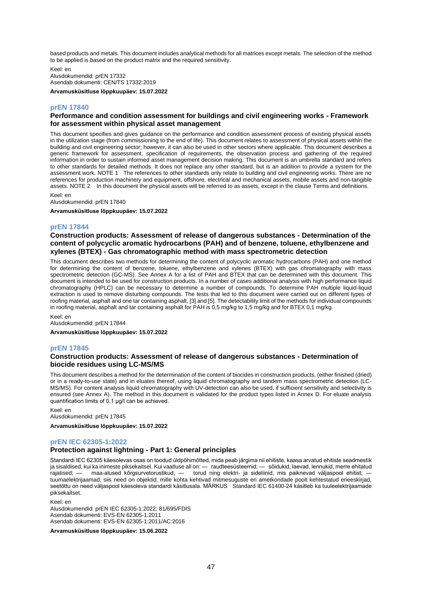based products and metals. This document includes analytical methods for all matrices except metals. The selection of the method to be applied is based on the product matrix and the required sensitivity.

Keel: en Alusdokumendid: prEN 17332 Asendab dokumenti: CEN/TS 17332:2019

**Arvamusküsitluse lõppkuupäev: 15.07.2022**

#### **prEN 17840**

#### **Performance and condition assessment for buildings and civil engineering works - Framework for assessment within physical asset management**

This document specifies and gives guidance on the performance and condition assessment process of existing physical assets in the utilization stage (from commissioning to the end of life). This document relates to assessment of physical assets within the building and civil engineering sector; however, it can also be used in other sectors where applicable. This document describes a generic framework for assessment, specification of requirements, the observation process and gathering of the required information in order to sustain informed asset management decision making. This document is an umbrella standard and refers to other standards for detailed methods. It does not replace any other standard, but is an addition to provide a system for the assessment work. NOTE 1 The references to other standards only relate to building and civil engineering works. There are no references for production machinery and equipment, offshore, electrical and mechanical assets, mobile assets and non-tangible assets. NOTE 2 In this document the physical assets will be referred to as assets, except in the clause Terms and definitions.

Keel: en Alusdokumendid: prEN 17840

**Arvamusküsitluse lõppkuupäev: 15.07.2022**

#### **prEN 17844**

### **Construction products: Assessment of release of dangerous substances - Determination of the content of polycyclic aromatic hydrocarbons (PAH) and of benzene, toluene, ethylbenzene and xylenes (BTEX) - Gas chromatographic method with mass spectrometric detection**

This document describes two methods for determining the content of polycyclic aromatic hydrocarbons (PAH) and one method for determining the content of benzene, toluene, ethylbenzene and xylenes (BTEX) with gas chromatography with mass spectrometric detection (GC-MS). See Annex A for a list of PAH and BTEX that can be determined with this document. This document is intended to be used for construction products. In a number of cases additional analysis with high performance liquid chromatography (HPLC) can be necessary to determine a number of compounds. To determine PAH multiple liquid-liquid extraction is used to remove disturbing compounds. The tests that led to this document were carried out on different types of roofing material, asphalt and one tar containing asphalt, [3] and [5]. The detectability limit of the methods for individual compounds in roofing material, asphalt and tar containing asphalt for PAH is 0,5 mg/kg to 1,5 mg/kg and for BTEX 0,1 mg/kg.

Keel: en

Alusdokumendid: prEN 17844

**Arvamusküsitluse lõppkuupäev: 15.07.2022**

#### **prEN 17845**

#### **Construction products: Assessment of release of dangerous substances - Determination of biocide residues using LC-MS/MS**

This document describes a method for the determination of the content of biocides in construction products, (either finished (dried) or in a ready-to-use state) and in eluates thereof, using liquid chromatography and tandem mass spectrometric detection (LC-MS/MS). For content analysis liquid chromatography with UV-detection can also be used, if sufficient sensitivity and selectivity is ensured (see Annex A). The method in this document is validated for the product types listed in Annex D. For eluate analysis quantification limits of 0,1 µg/l can be achieved.

Keel: en Alusdokumendid: prEN 17845

**Arvamusküsitluse lõppkuupäev: 15.07.2022**

## **prEN IEC 62305-1:2022**

#### **Protection against lightning - Part 1: General principles**

Standardi IEC 62305 käesolevas osas on toodud üldpõhimõtted, mida peab järgima nii ehitiste, kaasa arvatud ehitiste seadmestik ja sisaldised, kui ka inimeste piksekaitsel. Kui vaatluse all on: — raudteesüsteemid; — sõidukid, laevad, lennukid, merre ehitatud<br>raiatised: — maa-alused kõrgsurvetorustikud: — torud ning elektri- ja sideliinid. mis paikn rajatised; — maa-alused kõrgsurvetorustikud; — torud ning elektri- ja sideliinid, mis paiknevad väljaspool ehitist; tuumaelektrijaamad; siis need on objektid, mille kohta kehtivad mitmesuguste eri ametkondade poolt kehtestatud erieeskirjad, seetõttu on need väljaspool käesoleva standardi käsitlusala. MÄRKUS Standard IEC 61400-24 käsitleb ka tuuleelektrijaamade piksekaitset.

Keel: en

Alusdokumendid: prEN IEC 62305-1:2022; 81/695/FDIS Asendab dokumenti: EVS-EN 62305-1:2011 Asendab dokumenti: EVS-EN 62305-1:2011/AC:2016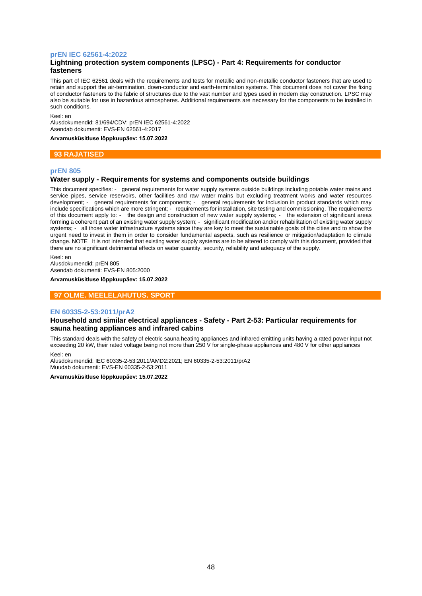#### **prEN IEC 62561-4:2022**

## **Lightning protection system components (LPSC) - Part 4: Requirements for conductor fasteners**

This part of IEC 62561 deals with the requirements and tests for metallic and non-metallic conductor fasteners that are used to retain and support the air-termination, down-conductor and earth-termination systems. This document does not cover the fixing of conductor fasteners to the fabric of structures due to the vast number and types used in modern day construction. LPSC may also be suitable for use in hazardous atmospheres. Additional requirements are necessary for the components to be installed in such conditions.

Keel: en

Alusdokumendid: 81/694/CDV; prEN IEC 62561-4:2022 Asendab dokumenti: EVS-EN 62561-4:2017

**Arvamusküsitluse lõppkuupäev: 15.07.2022**

#### **93 RAJATISED**

## **prEN 805**

#### **Water supply - Requirements for systems and components outside buildings**

This document specifies: - general requirements for water supply systems outside buildings including potable water mains and service pipes, service reservoirs, other facilities and raw water mains but excluding treatment works and water resources development; - general requirements for components; - general requirements for inclusion in product standards which may include specifications which are more stringent; - requirements for installation, site testing and commissioning. The requirements of this document apply to: - the design and construction of new water supply systems; - the extension of significant areas forming a coherent part of an existing water supply system; - significant modification and/or rehabilitation of existing water supply systems; - all those water infrastructure systems since they are key to meet the sustainable goals of the cities and to show the urgent need to invest in them in order to consider fundamental aspects, such as resilience or mitigation/adaptation to climate change. NOTE It is not intended that existing water supply systems are to be altered to comply with this document, provided that there are no significant detrimental effects on water quantity, security, reliability and adequacy of the supply.

Keel: en Alusdokumendid: prEN 805 Asendab dokumenti: EVS-EN 805:2000

**Arvamusküsitluse lõppkuupäev: 15.07.2022**

## **97 OLME. MEELELAHUTUS. SPORT**

#### **EN 60335-2-53:2011/prA2**

#### **Household and similar electrical appliances - Safety - Part 2-53: Particular requirements for sauna heating appliances and infrared cabins**

This standard deals with the safety of electric sauna heating appliances and infrared emitting units having a rated power input not exceeding 20 kW, their rated voltage being not more than 250 V for single-phase appliances and 480 V for other appliances

#### Keel: en

Alusdokumendid: IEC 60335-2-53:2011/AMD2:2021; EN 60335-2-53:2011/prA2 Muudab dokumenti: EVS-EN 60335-2-53:2011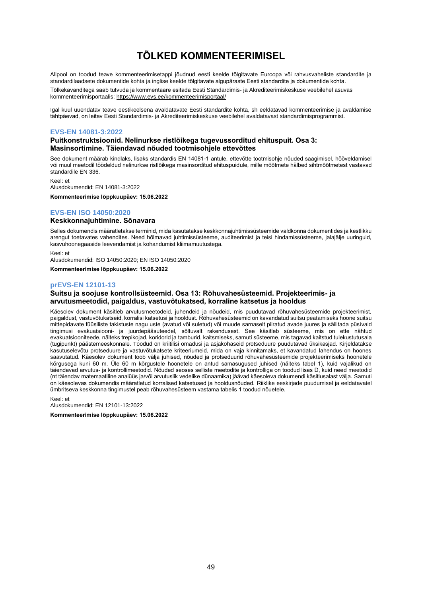# **TÕLKED KOMMENTEERIMISEL**

<span id="page-48-0"></span>Allpool on toodud teave kommenteerimisetappi jõudnud eesti keelde tõlgitavate Euroopa või rahvusvaheliste standardite ja standardilaadsete dokumentide kohta ja inglise keelde tõlgitavate algupäraste Eesti standardite ja dokumentide kohta.

Tõlkekavanditega saab tutvuda ja kommentaare esitada Eesti Standardimis- ja Akrediteerimiskeskuse veebilehel asuvas kommenteerimisportaalis[: https://www.evs.ee/kommenteerimisportaal/](https://www.evs.ee/kommenteerimisportaal/)

Igal kuul uuendatav teave eestikeelsena avaldatavate Eesti standardite kohta, sh eeldatavad kommenteerimise ja avaldamise tähtpäevad, on leitav Eesti Standardimis- ja Akrediteerimiskeskuse veebilehel avaldatavas[t standardimisprogrammist.](https://www.evs.ee/et/standardimisprogramm)

## **EVS-EN 14081-3:2022**

#### **Puitkonstruktsioonid. Nelinurkse ristlõikega tugevussorditud ehituspuit. Osa 3: Masinsortimine. Täiendavad nõuded tootmisohjele ettevõttes**

See dokument määrab kindlaks, lisaks standardis EN 14081-1 antule, ettevõtte tootmisohje nõuded saagimisel, hööveldamisel või muul meetodil töödeldud nelinurkse ristlõikega masinsorditud ehituspuidule, mille mõõtmete hälbed sihtmõõtmetest vastavad standardile EN 336.

Keel: et Alusdokumendid: EN 14081-3:2022

**Kommenteerimise lõppkuupäev: 15.06.2022**

## **EVS-EN ISO 14050:2020**

#### **Keskkonnajuhtimine. Sõnavara**

Selles dokumendis määratletakse terminid, mida kasutatakse keskkonnajuhtimissüsteemide valdkonna dokumentides ja kestlikku arengut toetavates vahendites. Need hõlmavad juhtimissüsteeme, auditeerimist ja teisi hindamissüsteeme, jalajälje uuringuid, kasvuhoonegaaside leevendamist ja kohandumist kliimamuutustega.

Keel: et

Alusdokumendid: ISO 14050:2020; EN ISO 14050:2020

**Kommenteerimise lõppkuupäev: 15.06.2022**

## **prEVS-EN 12101-13**

#### **Suitsu ja soojuse kontrollsüsteemid. Osa 13: Rõhuvahesüsteemid. Projekteerimis- ja arvutusmeetodid, paigaldus, vastuvõtukatsed, korraline katsetus ja hooldus**

Käesolev dokument käsitleb arvutusmeetodeid, juhendeid ja nõudeid, mis puudutavad rõhuvahesüsteemide projekteerimist, paigaldust, vastuvõtukatseid, korralisi katsetusi ja hooldust. Rõhuvahesüsteemid on kavandatud suitsu peatamiseks hoone suitsu mittepidavate füüsiliste takistuste nagu uste (avatud või suletud) või muude sarnaselt piiratud avade juures ja säilitada püsivaid tingimusi evakuatsiooni- ja juurdepääsuteedel, sõltuvalt rakendusest. See käsitleb süsteeme, mis on ette nähtud evakuatsiooniteede, näiteks trepikojad, koridorid ja tamburid, kaitsmiseks, samuti süsteeme, mis tagavad kaitstud tulekustutusala (tugipunkt) päästemeeskonnale. Toodud on kriitilisi omadusi ja asjakohaseid protseduure puudutavad üksikasjad. Kirjeldatakse kasutuselevõtu protseduure ja vastuvõtukatsete kriteeriumeid, mida on vaja kinnitamaks, et kavandatud lahendus on hoones saavutatud. Käesolev dokument toob välja juhised, nõuded ja protseduurid rõhuvahesüsteemide projekteerimiseks hoonetele kõrgusega kuni 60 m. Üle 60 m kõrgustele hoonetele on antud samasugused juhised (näiteks tabel 1), kuid vajalikud on täiendavad arvutus- ja kontrollimeetodid. Nõuded seoses selliste meetodite ja kontrolliga on toodud lisas D, kuid need meetodid (nt täiendav matemaatiline analüüs ja/või arvutuslik vedelike dünaamika) jäävad käesoleva dokumendi käsitlusalast välja. Samuti on käesolevas dokumendis määratletud korralised katsetused ja hooldusnõuded. Riiklike eeskirjade puudumisel ja eeldatavatel ümbritseva keskkonna tingimustel peab rõhuvahesüsteem vastama tabelis 1 toodud nõuetele.

Keel: et Alusdokumendid: EN 12101-13:2022

**Kommenteerimise lõppkuupäev: 15.06.2022**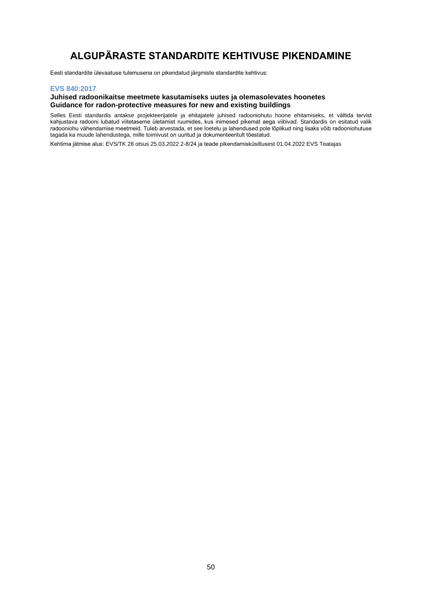# **ALGUPÄRASTE STANDARDITE KEHTIVUSE PIKENDAMINE**

<span id="page-49-0"></span>Eesti standardite ülevaatuse tulemusena on pikendatud järgmiste standardite kehtivus:

## **EVS 840:2017**

## **Juhised radoonikaitse meetmete kasutamiseks uutes ja olemasolevates hoonetes Guidance for radon-protective measures for new and existing buildings**

Selles Eesti standardis antakse projekteerijatele ja ehitajatele juhised radooniohutu hoone ehitamiseks, et vältida tervist kahjustava radooni lubatud viitetaseme ületamist ruumides, kus inimesed pikemat aega viibivad. Standardis on esitatud valik radooniohu vähendamise meetmeid. Tuleb arvestada, et see loetelu ja lahendused pole lõplikud ning lisaks võib radooniohutuse tagada ka muude lahendustega, mille toimivust on uuritud ja dokumenteeritult tõestatud.

Kehtima jätmise alus: EVS/TK 28 otsus 25.03.2022 2-8/24 ja teade pikendamisküsitlusest 01.04.2022 EVS Teatajas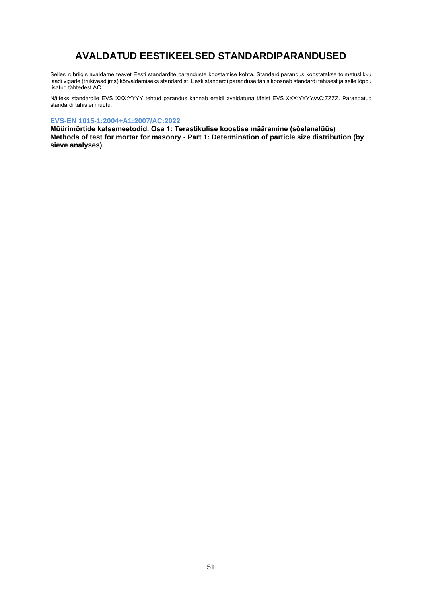# **AVALDATUD EESTIKEELSED STANDARDIPARANDUSED**

<span id="page-50-0"></span>Selles rubriigis avaldame teavet Eesti standardite paranduste koostamise kohta. Standardiparandus koostatakse toimetuslikku laadi vigade (trükivead jms) kõrvaldamiseks standardist. Eesti standardi paranduse tähis koosneb standardi tähisest ja selle lõppu lisatud tähtedest AC.

Näiteks standardile EVS XXX:YYYY tehtud parandus kannab eraldi avaldatuna tähist EVS XXX:YYYY/AC:ZZZZ. Parandatud standardi tähis ei muutu.

## **EVS-EN 1015-1:2004+A1:2007/AC:2022**

**Müürimörtide katsemeetodid. Osa 1: Terastikulise koostise määramine (sõelanalüüs) Methods of test for mortar for masonry - Part 1: Determination of particle size distribution (by sieve analyses)**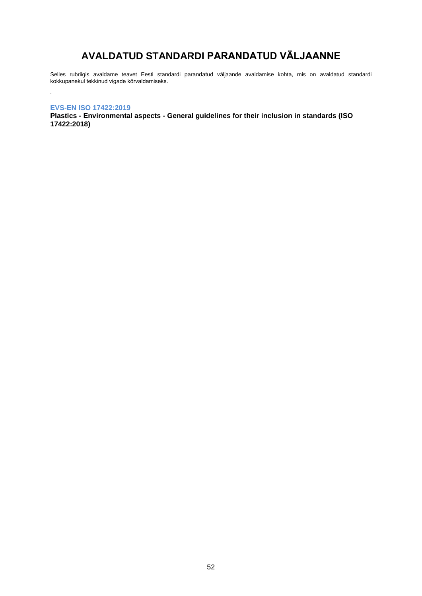# **AVALDATUD STANDARDI PARANDATUD VÄLJAANNE**

<span id="page-51-0"></span>Selles rubriigis avaldame teavet Eesti standardi parandatud väljaande avaldamise kohta, mis on avaldatud standardi kokkupanekul tekkinud vigade kõrvaldamiseks.

## **EVS-EN ISO 17422:2019**

.

**Plastics - Environmental aspects - General guidelines for their inclusion in standards (ISO 17422:2018)**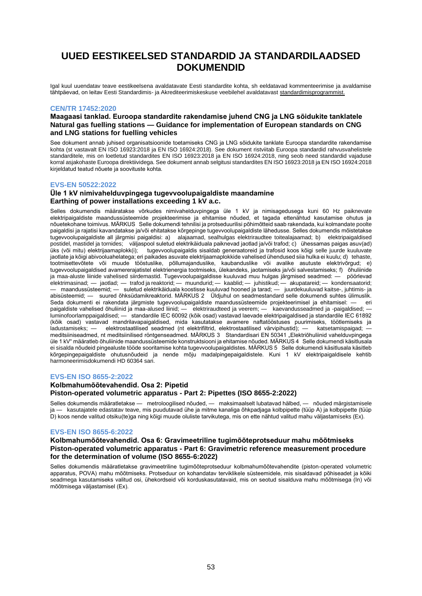## <span id="page-52-0"></span>**UUED EESTIKEELSED STANDARDID JA STANDARDILAADSED DOKUMENDID**

Igal kuul uuendatav teave eestikeelsena avaldatavate Eesti standardite kohta, sh eeldatavad kommenteerimise ja avaldamise tähtpäevad, on leitav Eesti Standardimis- ja Akrediteerimiskeskuse veebilehel avaldatavas[t standardimisprogrammist.](https://www.evs.ee/et/standardimisprogramm)

#### **CEN/TR 17452:2020**

## **Maagaasi tanklad. Euroopa standardite rakendamise juhend CNG ja LNG sõidukite tanklatele Natural gas fuelling stations — Guidance for implementation of European standards on CNG and LNG stations for fuelling vehicles**

See dokument annab juhised organisatsioonide toetamiseks CNG ja LNG sõidukite tanklate Euroopa standardite rakendamise kohta (st vastavalt EN ISO 16923:2018 ja EN ISO 16924:2018). See dokument ristviitab Euroopa standardid rahvusvahelistele standarditele, mis on loetletud standardites EN ISO 16923:2018 ja EN ISO 16924:2018, ning seob need standardid vajaduse korral asjakohaste Euroopa direktiividega. See dokument annab selgitusi standardites EN ISO 16923:2018 ja EN ISO 16924:2018 kirjeldatud teatud nõuete ja soovituste kohta.

#### **EVS-EN 50522:2022**

## **Üle 1 kV nimivahelduvpingega tugevvoolupaigaldiste maandamine Earthing of power installations exceeding 1 kV a.c.**

Selles dokumendis määratakse võrkudes nimivahelduvpingega üle 1 kV ja nimisagedusega kuni 60 Hz paiknevate elektripaigaldiste maandussüsteemide projekteerimise ja ehitamise nõuded, et tagada ettenähtud kasutamise ohutus ja nõuetekohane toimivus. MÄRKUS Selle dokumendi tehnilisi ja protseduurilisi põhimõtteid saab rakendada, kui kolmandate poolte paigaldisi ja rajatisi kavandatakse ja/või ehitatakse kõrgepinge tugevvoolupaigaldiste lähedusse. Selles dokumendis mõistetakse tugevvoolupaigaldiste all järgmisi paigaldisi: a) alajaamad, sealhulgas elektriraudtee toitealajaamad; b) elektripaigaldised postidel, mastidel ja tornides; väljaspool suletud elektrikäiduala paiknevad jaotlad ja/või trafod; c) ühessamas paigas asuv(ad) üks (või mitu) elektrijaamaplokk(i); tugevvoolupaigaldis sisaldab generaatoreid ja trafosid koos kõigi selle juurde kuuluvate jaotlate ja kõigi abivooluahelatega; eri paikades asuvate elektrijaamaplokkide vahelised ühendused siia hulka ei kuulu; d) tehaste, tootmisettevõtete või muude tööstuslike, põllumajanduslike, kaubanduslike või avalike asutuste elektrivõrgud; e) tugevvoolupaigaldised avamererajatistel elektrienergia tootmiseks, ülekandeks, jaotamiseks ja/või salvestamiseks; f) õhuliinide ja maa-aluste liinide vahelised siirdemastid. Tugevvoolupaigaldisse kuuluvad muu hulgas järgmised seadmed: — pöörlevad elektrimasinad; — jaotlad; — trafod ja reaktorid; — muundurid; — kaablid; — juhistikud; — akupatareid; — kondensaatorid; — maandussüsteemid; — suletud elektrikäiduala koostisse kuuluvad hooned ja tarad; — juurdekuuluvad kaitse-, juhtimis- ja abisüsteemid; — suured õhksüdamikreaktorid. MÄRKUS 2 Üldjuhul on seadmestandard selle dokumendi suhtes ülimuslik. Seda dokumenti ei rakendata järgmiste tugevvoolupaigaldiste maandussüsteemide projekteerimisel ja ehitamisel: — eri paigaldiste vahelised õhuliinid ja maa-alused liinid; — elektriraudteed ja veerem; — kaevandusseadmed ja -paigaldised; luminofoorlamppaigaldised; — standardile IEC 60092 (kõik osad) vastavad laevade elektripaigaldised ja standardile IEC 61892 (kõik osad) vastavad mandrilavapaigaldised, mida kasutatakse avamere naftatööstuses puurimiseks, töötlemiseks ja<br>Iadustamiseks: — elektrostaatilised seadmed (nt elektrifiltrid elektrostaatilised värvipihustid): — katsetami ladustamiseks; — elektrostaatilised seadmed (nt elektrifiltrid, elektrostaatilised värvipihustid); meditsiiniseadmed, nt meditsiinilised röntgenseadmed. MÄRKUS 3 Standardisari EN 50341 "Elektriõhuliinid vahelduvpingega üle 1 kV" määratleb õhuliinide maandussüsteemide konstruktsiooni ja ehitamise nõuded. MÄRKUS 4 Selle dokumendi käsitlusala ei sisalda nõudeid pingealuste tööde sooritamise kohta tugevvoolupaigaldistes. MÄRKUS 5 Selle dokumendi käsitlusala käsitleb kõrgepingepaigaldiste ohutusnõudeid ja nende mõju madalpingepaigaldistele. Kuni 1 kV elektripaigaldisele kehtib harmoneerimisdokumendi HD 60364 sari.

#### **EVS-EN ISO 8655-2:2022**

## **Kolbmahumõõtevahendid. Osa 2: Pipetid Piston-operated volumetric apparatus - Part 2: Pipettes (ISO 8655-2:2022)**

Selles dokumendis määratletakse — metroloogilised nõuded, — maksimaalselt lubatavad hälbed, — nõuded märgistamisele ja — kasutajatele edastatav teave, mis puudutavad ühe ja mitme kanaliga õhkpadjaga kolbpipette (tüüp A) ja kolbpipette (tüüp D) koos nende valitud otsiku(te)ga ning kõigi muude oluliste tarvikutega, mis on ette nähtud valitud mahu väljastamiseks (Ex).

## **EVS-EN ISO 8655-6:2022**

## **Kolbmahumõõtevahendid. Osa 6: Gravimeetriline tugimõõteprotseduur mahu mõõtmiseks Piston-operated volumetric apparatus - Part 6: Gravimetric reference measurement procedure for the determination of volume (ISO 8655-6:2022)**

Selles dokumendis määratletakse gravimeetriline tugimõõteprotseduur kolbmahumõõtevahendite (piston-operated volumetric apparatus, POVA) mahu mõõtmiseks. Protseduur on kohandatav terviklikele süsteemidele, mis sisaldavad põhiseadet ja kõiki seadmega kasutamiseks valitud osi, ühekordseid või korduskasutatavaid, mis on seotud sisalduva mahu mõõtmisega (In) või mõõtmisega väljastamisel (Ex).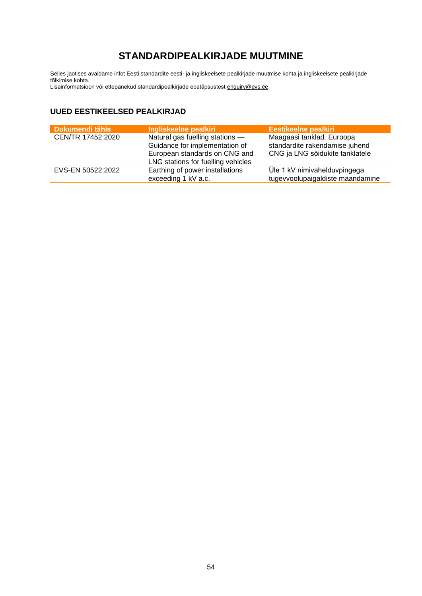# **STANDARDIPEALKIRJADE MUUTMINE**

<span id="page-53-0"></span>Selles jaotises avaldame infot Eesti standardite eesti- ja ingliskeelsete pealkirjade muutmise kohta ja ingliskeelsete pealkirjade tõlkimise kohta.

Lisainformatsioon või ettepanekud standardipealkirjade ebatäpsustes[t enquiry@evs.ee.](mailto:enquiry@evs.ee)

## **UUED EESTIKEELSED PEALKIRJAD**

| Dokumendi tähis   | Ingliskeelne pealkiri                                                                                                                    | <b>Eestikeelne pealkiri</b>                                                                    |
|-------------------|------------------------------------------------------------------------------------------------------------------------------------------|------------------------------------------------------------------------------------------------|
| CEN/TR 17452:2020 | Natural gas fuelling stations -<br>Guidance for implementation of<br>European standards on CNG and<br>LNG stations for fuelling vehicles | Maagaasi tanklad. Euroopa<br>standardite rakendamise juhend<br>CNG ja LNG sõidukite tanklatele |
| EVS-EN 50522:2022 | Earthing of power installations<br>exceeding 1 kV a.c.                                                                                   | Üle 1 kV nimivahelduvpingega<br>tugevvoolupaigaldiste maandamine                               |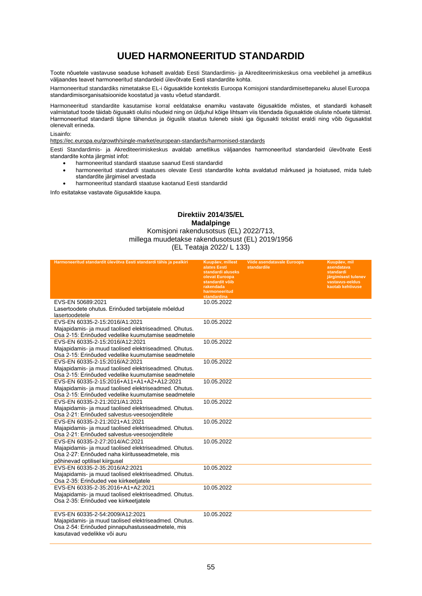# **UUED HARMONEERITUD STANDARDID**

<span id="page-54-0"></span>Toote nõuetele vastavuse seaduse kohaselt avaldab Eesti Standardimis- ja Akrediteerimiskeskus oma veebilehel ja ametlikus väljaandes teavet harmoneeritud standardeid ülevõtvate Eesti standardite kohta.

Harmoneeritud standardiks nimetatakse EL-i õigusaktide kontekstis Euroopa Komisjoni standardimisettepaneku alusel Euroopa standardimisorganisatsioonide koostatud ja vastu võetud standardit.

Harmoneeritud standardite kasutamise korral eeldatakse enamiku vastavate õigusaktide mõistes, et standardi kohaselt valmistatud toode täidab õigusakti olulisi nõudeid ning on üldjuhul kõige lihtsam viis tõendada õigusaktide oluliste nõuete täitmist. Harmoneeritud standardi täpne tähendus ja õiguslik staatus tuleneb siiski iga õigusakti tekstist eraldi ning võib õigusaktist olenevalt erineda.

#### Lisainfo:

<https://ec.europa.eu/growth/single-market/european-standards/harmonised-standards>

Eesti Standardimis- ja Akrediteerimiskeskus avaldab ametlikus väljaandes harmoneeritud standardeid ülevõtvate Eesti standardite kohta järgmist infot:

- harmoneeritud standardi staatuse saanud Eesti standardid
- harmoneeritud standardi staatuses olevate Eesti standardite kohta avaldatud märkused ja hoiatused, mida tuleb standardite järgimisel arvestada
- harmoneeritud standardi staatuse kaotanud Eesti standardid

Info esitatakse vastavate õigusaktide kaupa.

## **Direktiiv 2014/35/EL Madalpinge**

## Komisjoni rakendusotsus (EL) 2022/713, millega muudetakse rakendusotsust (EL) 2019/1956 (EL Teataja 2022/ L 133)

| Harmoneeritud standardit ülevõtva Eesti standardi tähis ja pealkiri                                                                                                          | Kuupäev, millest<br>alates Eesti<br>standardi aluseks<br>olevat Euroopa<br>standardit võib<br>rakendada<br>harmoneeritud<br>standardina | Viide asendatavale Euroopa<br>standardile | Kuupäev, mil<br>asendatava<br>standardi<br>järgimisest tulenev<br>vastavus-eeldus<br>kaotab kehtivuse |
|------------------------------------------------------------------------------------------------------------------------------------------------------------------------------|-----------------------------------------------------------------------------------------------------------------------------------------|-------------------------------------------|-------------------------------------------------------------------------------------------------------|
| EVS-EN 50689:2021<br>Lasertoodete ohutus. Erinõuded tarbijatele mõeldud<br>lasertoodetele                                                                                    | 10.05.2022                                                                                                                              |                                           |                                                                                                       |
| EVS-EN 60335-2-15:2016/A1:2021<br>Majapidamis- ja muud taolised elektriseadmed. Ohutus.<br>Osa 2-15: Erinõuded vedelike kuumutamise seadmetele                               | 10.05.2022                                                                                                                              |                                           |                                                                                                       |
| EVS-EN 60335-2-15:2016/A12:2021<br>Majapidamis- ja muud taolised elektriseadmed. Ohutus.<br>Osa 2-15: Erinõuded vedelike kuumutamise seadmetele                              | 10.05.2022                                                                                                                              |                                           |                                                                                                       |
| EVS-EN 60335-2-15:2016/A2:2021<br>Majapidamis- ja muud taolised elektriseadmed. Ohutus.<br>Osa 2-15: Erinõuded vedelike kuumutamise seadmetele                               | 10.05.2022                                                                                                                              |                                           |                                                                                                       |
| EVS-EN 60335-2-15:2016+A11+A1+A2+A12:2021<br>Majapidamis- ja muud taolised elektriseadmed. Ohutus.<br>Osa 2-15: Erinõuded vedelike kuumutamise seadmetele                    | 10.05.2022                                                                                                                              |                                           |                                                                                                       |
| EVS-EN 60335-2-21:2021/A1:2021<br>Majapidamis- ja muud taolised elektriseadmed. Ohutus.<br>Osa 2-21: Erinõuded salvestus-veesoojenditele                                     | 10.05.2022                                                                                                                              |                                           |                                                                                                       |
| EVS-EN 60335-2-21:2021+A1:2021<br>Majapidamis- ja muud taolised elektriseadmed. Ohutus.<br>Osa 2-21: Erinõuded salvestus-veesoojenditele                                     | 10.05.2022                                                                                                                              |                                           |                                                                                                       |
| EVS-EN 60335-2-27:2014/AC:2021<br>Majapidamis- ja muud taolised elektriseadmed. Ohutus.<br>Osa 2-27: Erinõuded naha kiiritusseadmetele, mis<br>põhinevad optilisel kiirgusel | 10.05.2022                                                                                                                              |                                           |                                                                                                       |
| EVS-EN 60335-2-35:2016/A2:2021<br>Majapidamis- ja muud taolised elektriseadmed. Ohutus.<br>Osa 2-35: Erinõuded vee kiirkeetjatele                                            | 10.05.2022                                                                                                                              |                                           |                                                                                                       |
| EVS-EN 60335-2-35:2016+A1+A2:2021<br>Majapidamis- ja muud taolised elektriseadmed. Ohutus.<br>Osa 2-35: Erinõuded vee kiirkeetjatele                                         | 10.05.2022                                                                                                                              |                                           |                                                                                                       |
| EVS-EN 60335-2-54:2009/A12:2021<br>Majapidamis- ja muud taolised elektriseadmed. Ohutus.<br>Osa 2-54: Erinõuded pinnapuhastusseadmetele, mis<br>kasutavad vedelikke või auru | 10.05.2022                                                                                                                              |                                           |                                                                                                       |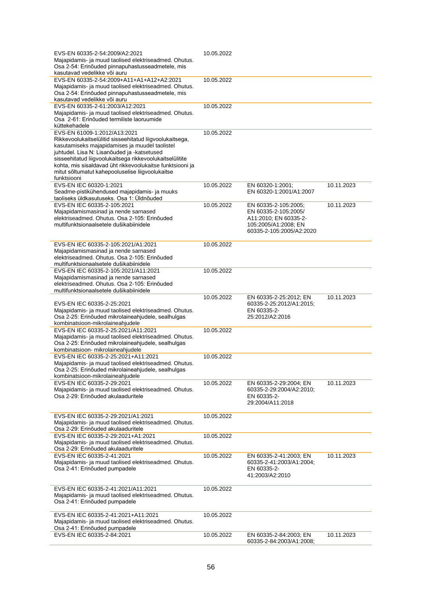| EVS-EN 60335-2-54:2009/A2:2021                            | 10.05.2022 |                                                    |            |
|-----------------------------------------------------------|------------|----------------------------------------------------|------------|
| Majapidamis- ja muud taolised elektriseadmed. Ohutus.     |            |                                                    |            |
| Osa 2-54: Erinõuded pinnapuhastusseadmetele, mis          |            |                                                    |            |
| kasutavad vedelikke või auru                              |            |                                                    |            |
| EVS-EN 60335-2-54:2009+A11+A1+A12+A2:2021                 | 10.05.2022 |                                                    |            |
| Majapidamis- ja muud taolised elektriseadmed. Ohutus.     |            |                                                    |            |
| Osa 2-54: Erinõuded pinnapuhastusseadmetele, mis          |            |                                                    |            |
| kasutavad vedelikke või auru                              |            |                                                    |            |
| EVS-EN 60335-2-61:2003/A12:2021                           | 10.05.2022 |                                                    |            |
| Majapidamis- ja muud taolised elektriseadmed. Ohutus.     |            |                                                    |            |
| Osa 2-61: Erinõuded termiliste laoruumide                 |            |                                                    |            |
| küttekehadele                                             |            |                                                    |            |
| EVS-EN 61009-1:2012/A13:2021                              | 10.05.2022 |                                                    |            |
| Rikkevoolukaitselülitid sisseehitatud liigvoolukaitsega,  |            |                                                    |            |
| kasutamiseks majapidamises ja muudel taolistel            |            |                                                    |            |
| juhtudel. Lisa N: Lisanõuded ja -katsetused               |            |                                                    |            |
| sisseehitatud liigvoolukaitsega rikkevoolukaitselülitite  |            |                                                    |            |
| kohta, mis sisaldavad üht rikkevoolukaitse funktsiooni ja |            |                                                    |            |
| mitut sõltumatut kahepooluselise liigvoolukaitse          |            |                                                    |            |
| funktsiooni                                               |            |                                                    |            |
| EVS-EN IEC 60320-1:2021                                   | 10.05.2022 | EN 60320-1:2001;                                   | 10.11.2023 |
| Seadme-pistikühendused majapidamis- ja muuks              |            | EN 60320-1:2001/A1:2007                            |            |
| taoliseks üldkasutuseks. Osa 1: Üldnõuded                 |            |                                                    |            |
| EVS-EN IEC 60335-2-105:2021                               | 10.05.2022 | EN 60335-2-105:2005;                               | 10.11.2023 |
| Majapidamismasinad ja nende sarnased                      |            | EN 60335-2-105:2005/                               |            |
| elektriseadmed. Ohutus. Osa 2-105: Erinõuded              |            | A11:2010; EN 60335-2-                              |            |
| multifunktsionaalsetele dušikabiinidele                   |            | 105:2005/A1:2008; EN                               |            |
|                                                           |            | 60335-2-105:2005/A2:2020                           |            |
|                                                           |            |                                                    |            |
| EVS-EN IEC 60335-2-105:2021/A1:2021                       | 10.05.2022 |                                                    |            |
| Majapidamismasinad ja nende sarnased                      |            |                                                    |            |
| elektriseadmed. Ohutus. Osa 2-105: Erinõuded              |            |                                                    |            |
| multifunktsionaalsetele dušikabiinidele                   |            |                                                    |            |
| EVS-EN IEC 60335-2-105:2021/A11:2021                      | 10.05.2022 |                                                    |            |
| Majapidamismasinad ja nende sarnased                      |            |                                                    |            |
|                                                           |            |                                                    |            |
|                                                           |            |                                                    |            |
| elektriseadmed. Ohutus. Osa 2-105: Erinõuded              |            |                                                    |            |
| multifunktsionaalsetele dušikabiinidele                   |            |                                                    |            |
|                                                           | 10.05.2022 | EN 60335-2-25:2012; EN                             | 10.11.2023 |
| EVS-EN IEC 60335-2-25:2021                                |            | 60335-2-25:2012/A1:2015;                           |            |
| Majapidamis- ja muud taolised elektriseadmed. Ohutus.     |            | EN 60335-2-                                        |            |
| Osa 2-25: Erinõuded mikrolaineahjudele, sealhulgas        |            | 25:2012/A2:2016                                    |            |
| kombinatsioon-mikrolaineahjudele                          |            |                                                    |            |
| EVS-EN IEC 60335-2-25:2021/A11:2021                       | 10.05.2022 |                                                    |            |
| Majapidamis- ja muud taolised elektriseadmed. Ohutus.     |            |                                                    |            |
| Osa 2-25: Erinõuded mikrolaineahjudele, sealhulgas        |            |                                                    |            |
| kombinatsioon- mikrolaineahjudele                         |            |                                                    |            |
| EVS-EN IEC 60335-2-25:2021+A11:2021                       | 10.05.2022 |                                                    |            |
| Majapidamis- ja muud taolised elektriseadmed. Ohutus.     |            |                                                    |            |
| Osa 2-25: Erinõuded mikrolaineahjudele, sealhulgas        |            |                                                    |            |
| kombinatsioon-mikrolaineahjudele                          |            |                                                    |            |
| EVS-EN IEC 60335-2-29:2021                                | 10.05.2022 | EN 60335-2-29:2004; EN                             | 10.11.2023 |
| Majapidamis- ja muud taolised elektriseadmed. Ohutus.     |            | 60335-2-29:2004/A2:2010;                           |            |
| Osa 2-29: Erinõuded akulaaduritele                        |            | EN 60335-2-                                        |            |
|                                                           |            | 29:2004/A11:2018                                   |            |
|                                                           |            |                                                    |            |
| EVS-EN IEC 60335-2-29:2021/A1:2021                        | 10.05.2022 |                                                    |            |
| Majapidamis- ja muud taolised elektriseadmed. Ohutus.     |            |                                                    |            |
| Osa 2-29: Erinõuded akulaaduritele                        |            |                                                    |            |
| EVS-EN IEC 60335-2-29:2021+A1:2021                        | 10.05.2022 |                                                    |            |
| Majapidamis- ja muud taolised elektriseadmed. Ohutus.     |            |                                                    |            |
| Osa 2-29: Erinõuded akulaaduritele                        |            |                                                    |            |
| EVS-EN IEC 60335-2-41:2021                                | 10.05.2022 | EN 60335-2-41:2003; EN                             | 10.11.2023 |
| Majapidamis- ja muud taolised elektriseadmed. Ohutus.     |            | 60335-2-41:2003/A1:2004;                           |            |
| Osa 2-41: Erinõuded pumpadele                             |            | EN 60335-2-                                        |            |
|                                                           |            | 41:2003/A2:2010                                    |            |
|                                                           |            |                                                    |            |
| EVS-EN IEC 60335-2-41:2021/A11:2021                       | 10.05.2022 |                                                    |            |
| Majapidamis- ja muud taolised elektriseadmed. Ohutus.     |            |                                                    |            |
| Osa 2-41: Erinõuded pumpadele                             |            |                                                    |            |
|                                                           |            |                                                    |            |
| EVS-EN IEC 60335-2-41:2021+A11:2021                       | 10.05.2022 |                                                    |            |
| Majapidamis- ja muud taolised elektriseadmed. Ohutus.     |            |                                                    |            |
| Osa 2-41: Erinõuded pumpadele                             |            |                                                    |            |
| EVS-EN IEC 60335-2-84:2021                                | 10.05.2022 | EN 60335-2-84:2003; EN<br>60335-2-84:2003/A1:2008; | 10.11.2023 |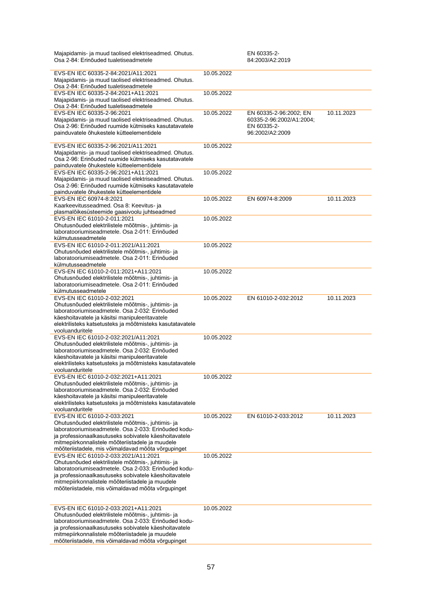| Majapidamis- ja muud taolised elektriseadmed. Ohutus.<br>Osa 2-84: Erinõuded tualetiseadmetele                                                                                                                                                                                                                        |            | EN 60335-2-<br>84:2003/A2:2019                                                       |            |
|-----------------------------------------------------------------------------------------------------------------------------------------------------------------------------------------------------------------------------------------------------------------------------------------------------------------------|------------|--------------------------------------------------------------------------------------|------------|
| EVS-EN IEC 60335-2-84:2021/A11:2021<br>Majapidamis- ja muud taolised elektriseadmed. Ohutus.<br>Osa 2-84: Erinõuded tualetiseadmetele                                                                                                                                                                                 | 10.05.2022 |                                                                                      |            |
| EVS-EN IEC 60335-2-84:2021+A11:2021<br>Majapidamis- ja muud taolised elektriseadmed. Ohutus.<br>Osa 2-84: Erinõuded tualetiseadmetele                                                                                                                                                                                 | 10.05.2022 |                                                                                      |            |
| EVS-EN IEC 60335-2-96:2021<br>Majapidamis- ja muud taolised elektriseadmed. Ohutus.<br>Osa 2-96: Erinõuded ruumide kütmiseks kasutatavatele<br>painduvatele õhukestele kütteelementidele                                                                                                                              | 10.05.2022 | EN 60335-2-96:2002; EN<br>60335-2-96:2002/A1:2004;<br>EN 60335-2-<br>96:2002/A2:2009 | 10.11.2023 |
| EVS-EN IEC 60335-2-96:2021/A11:2021<br>Majapidamis- ja muud taolised elektriseadmed. Ohutus.<br>Osa 2-96: Erinõuded ruumide kütmiseks kasutatavatele<br>painduvatele õhukestele kütteelementidele                                                                                                                     | 10.05.2022 |                                                                                      |            |
| EVS-EN IEC 60335-2-96:2021+A11:2021<br>Majapidamis- ja muud taolised elektriseadmed. Ohutus.<br>Osa 2-96: Erinõuded ruumide kütmiseks kasutatavatele<br>painduvatele õhukestele kütteelementidele                                                                                                                     | 10.05.2022 |                                                                                      |            |
| EVS-EN IEC 60974-8:2021<br>Kaarkeevitusseadmed. Osa 8: Keevitus- ja<br>plasmalõikesüsteemide gaasivoolu juhtseadmed                                                                                                                                                                                                   | 10.05.2022 | EN 60974-8:2009                                                                      | 10.11.2023 |
| EVS-EN IEC 61010-2-011:2021<br>Ohutusnõuded elektrilistele mõõtmis-, juhtimis- ja<br>laboratooriumiseadmetele. Osa 2-011: Erinõuded<br>külmutusseadmetele                                                                                                                                                             | 10.05.2022 |                                                                                      |            |
| EVS-EN IEC 61010-2-011:2021/A11:2021<br>Ohutusnõuded elektrilistele mõõtmis-, juhtimis- ja<br>laboratooriumiseadmetele. Osa 2-011: Erinõuded<br>külmutusseadmetele                                                                                                                                                    | 10.05.2022 |                                                                                      |            |
| EVS-EN IEC 61010-2-011:2021+A11:2021<br>Ohutusnõuded elektrilistele mõõtmis-, juhtimis- ja<br>laboratooriumiseadmetele. Osa 2-011: Erinõuded<br>külmutusseadmetele                                                                                                                                                    | 10.05.2022 |                                                                                      |            |
| EVS-EN IEC 61010-2-032:2021<br>Ohutusnõuded elektrilistele mõõtmis-, juhtimis- ja<br>laboratooriumiseadmetele. Osa 2-032: Erinõuded<br>käeshoitavatele ja käsitsi manipuleeritavatele<br>elektrilisteks katsetusteks ja mõõtmisteks kasutatavatele<br>vooluanduritele                                                 | 10.05.2022 | EN 61010-2-032:2012                                                                  | 10.11.2023 |
| EVS-EN IEC 61010-2-032:2021/A11:2021<br>Ohutusnõuded elektrilistele mõõtmis-, juhtimis- ja<br>laboratooriumiseadmetele. Osa 2-032: Erinõuded<br>käeshoitavatele ja käsitsi manipuleeritavatele<br>elektrilisteks katsetusteks ja mõõtmisteks kasutatavatele<br>vooluanduritele                                        | 10.05.2022 |                                                                                      |            |
| EVS-EN IEC 61010-2-032:2021+A11:2021<br>Ohutusnõuded elektrilistele mõõtmis-, juhtimis- ja<br>laboratooriumiseadmetele. Osa 2-032: Erinõuded<br>käeshoitavatele ja käsitsi manipuleeritavatele<br>elektrilisteks katsetusteks ja mõõtmisteks kasutatavatele<br>vooluanduritele                                        | 10.05.2022 |                                                                                      |            |
| EVS-EN IEC 61010-2-033:2021<br>Ohutusnõuded elektrilistele mõõtmis-, juhtimis- ja<br>laboratooriumiseadmetele. Osa 2-033: Erinõuded kodu-<br>ja professionaalkasutuseks sobivatele käeshoitavatele<br>mitmepiirkonnalistele mõõteriistadele ja muudele<br>mõõteriistadele, mis võimaldavad mõõta võrgupinget          | 10.05.2022 | EN 61010-2-033:2012                                                                  | 10.11.2023 |
| EVS-EN IEC 61010-2-033:2021/A11:2021<br>Ohutusnõuded elektrilistele mõõtmis-, juhtimis- ja<br>laboratooriumiseadmetele. Osa 2-033: Erinõuded kodu-<br>ja professionaalkasutuseks sobivatele käeshoitavatele<br>mitmepiirkonnalistele mõõteriistadele ja muudele<br>mõõteriistadele, mis võimaldavad mõõta võrgupinget | 10.05.2022 |                                                                                      |            |
| EVS-EN IEC 61010-2-033:2021+A11:2021<br>Ohutusnõuded elektrilistele mõõtmis-, juhtimis- ja<br>laboratooriumiseadmetele. Osa 2-033: Erinõuded kodu-<br>ja professionaalkasutuseks sobivatele käeshoitavatele<br>mitmepiirkonnalistele mõõteriistadele ja muudele<br>mõõteriistadele, mis võimaldavad mõõta võrgupinget | 10.05.2022 |                                                                                      |            |